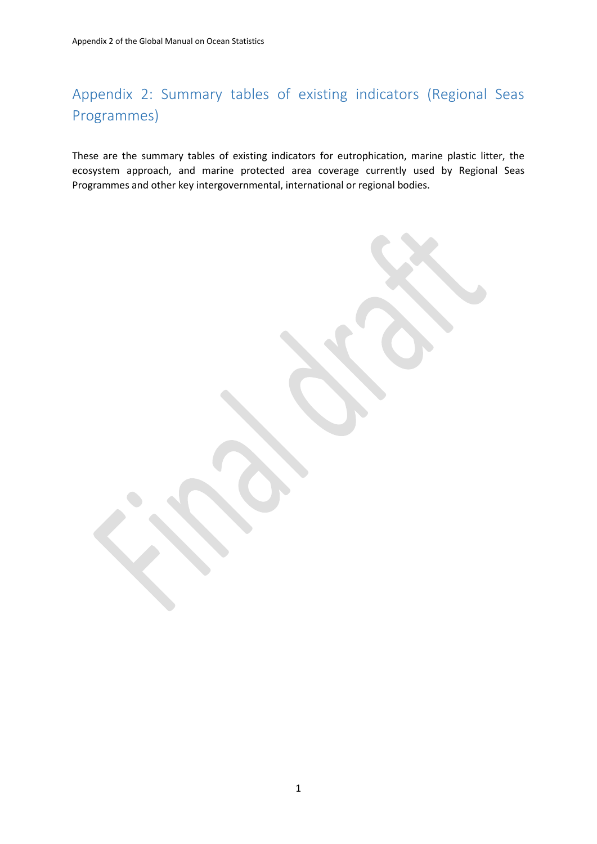# Appendix 2: Summary tables of existing indicators (Regional Seas Programmes)

These are the summary tables of existing indicators for eutrophication, marine plastic litter, the ecosystem approach, and marine protected area coverage currently used by Regional Seas Programmes and other key intergovernmental, international or regional bodies.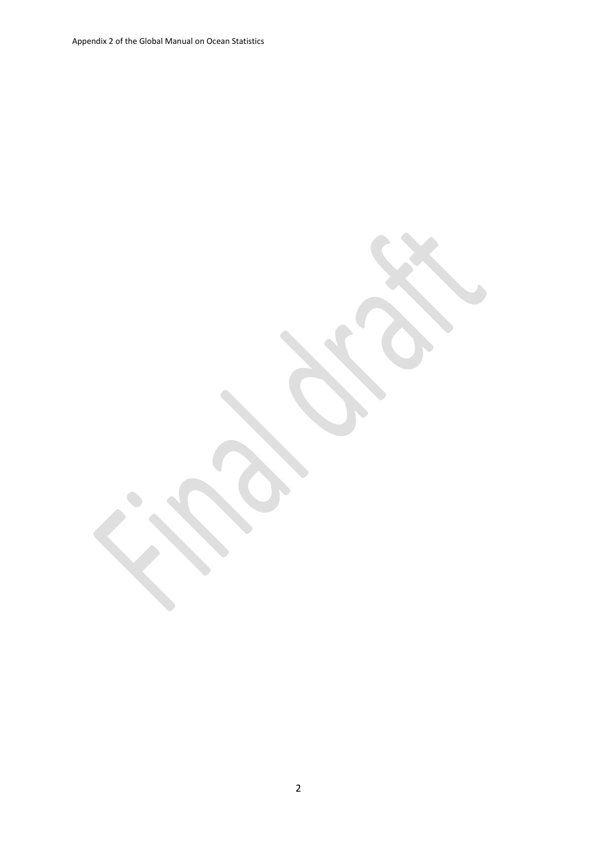Appendix 2 of the Global Manual on Ocean Statistics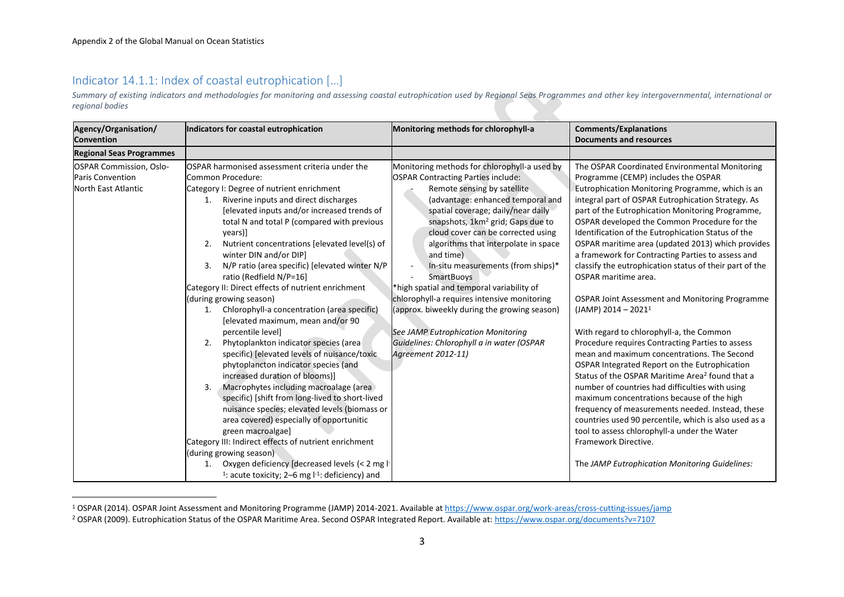## Indicator 14.1.1: Index of coastal eutrophication […]

*Summary of existing indicators and methodologies for monitoring and assessing coastal eutrophication used by Regional Seas Programmes and other key intergovernmental, international or regional bodies*

| Agency/Organisation/<br><b>Convention</b>                                 | Indicators for coastal eutrophication                                                                                                                                                                                                                                                                                                                                                                                                                                                                                                                                                                                                                                                                                                                                                                                                                                                                                                                                                                                                                                                                                                                                               | Monitoring methods for chlorophyll-a                                                                                                                                                                                                                                                                                                                                                                                                                                                                                                                                                                                                                            | <b>Comments/Explanations</b><br><b>Documents and resources</b>                                                                                                                                                                                                                                                                                                                                                                                                                                                                                                                                                                                                                                                                                                                                                                                                                                                                                                                                                                                                                                                                                                                                                                                             |
|---------------------------------------------------------------------------|-------------------------------------------------------------------------------------------------------------------------------------------------------------------------------------------------------------------------------------------------------------------------------------------------------------------------------------------------------------------------------------------------------------------------------------------------------------------------------------------------------------------------------------------------------------------------------------------------------------------------------------------------------------------------------------------------------------------------------------------------------------------------------------------------------------------------------------------------------------------------------------------------------------------------------------------------------------------------------------------------------------------------------------------------------------------------------------------------------------------------------------------------------------------------------------|-----------------------------------------------------------------------------------------------------------------------------------------------------------------------------------------------------------------------------------------------------------------------------------------------------------------------------------------------------------------------------------------------------------------------------------------------------------------------------------------------------------------------------------------------------------------------------------------------------------------------------------------------------------------|------------------------------------------------------------------------------------------------------------------------------------------------------------------------------------------------------------------------------------------------------------------------------------------------------------------------------------------------------------------------------------------------------------------------------------------------------------------------------------------------------------------------------------------------------------------------------------------------------------------------------------------------------------------------------------------------------------------------------------------------------------------------------------------------------------------------------------------------------------------------------------------------------------------------------------------------------------------------------------------------------------------------------------------------------------------------------------------------------------------------------------------------------------------------------------------------------------------------------------------------------------|
| <b>Regional Seas Programmes</b>                                           |                                                                                                                                                                                                                                                                                                                                                                                                                                                                                                                                                                                                                                                                                                                                                                                                                                                                                                                                                                                                                                                                                                                                                                                     |                                                                                                                                                                                                                                                                                                                                                                                                                                                                                                                                                                                                                                                                 |                                                                                                                                                                                                                                                                                                                                                                                                                                                                                                                                                                                                                                                                                                                                                                                                                                                                                                                                                                                                                                                                                                                                                                                                                                                            |
| OSPAR Commission, Oslo-<br><b>Paris Convention</b><br>North East Atlantic | OSPAR harmonised assessment criteria under the<br>Common Procedure:<br>Category I: Degree of nutrient enrichment<br>Riverine inputs and direct discharges<br>1.<br>[elevated inputs and/or increased trends of<br>total N and total P (compared with previous<br>years)]<br>Nutrient concentrations [elevated level(s) of<br>2.<br>winter DIN and/or DIP]<br>N/P ratio (area specific) [elevated winter N/P<br>3.<br>ratio (Redfield N/P=16]<br>Category II: Direct effects of nutrient enrichment<br>(during growing season)<br>1. Chlorophyll-a concentration (area specific)<br>[elevated maximum, mean and/or 90<br>percentile level]<br>Phytoplankton indicator species (area<br>2.<br>specific) [elevated levels of nuisance/toxic<br>phytoplancton indicator species (and<br>increased duration of blooms)]<br>3.<br>Macrophytes including macroalage (area)<br>specific) [shift from long-lived to short-lived<br>nuisance species; elevated levels (biomass or<br>area covered) especially of opportunitic<br>green macroalgae]<br>Category III: Indirect effects of nutrient enrichment<br>(during growing season)<br>Oxygen deficiency [decreased levels (< 2 mg l<br>1. | Monitoring methods for chlorophyll-a used by<br><b>OSPAR Contracting Parties include:</b><br>Remote sensing by satellite<br>(advantage: enhanced temporal and<br>spatial coverage; daily/near daily<br>snapshots, 1km <sup>2</sup> grid; Gaps due to<br>cloud cover can be corrected using<br>algorithms that interpolate in space<br>and time)<br>In-situ measurements (from ships)*<br><b>SmartBuoys</b><br>*high spatial and temporal variability of<br>chlorophyll-a requires intensive monitoring<br>(approx. biweekly during the growing season)<br>See JAMP Eutrophication Monitoring<br>Guidelines: Chlorophyll a in water (OSPAR<br>Agreement 2012-11) | The OSPAR Coordinated Environmental Monitoring<br>Programme (CEMP) includes the OSPAR<br>Eutrophication Monitoring Programme, which is an<br>integral part of OSPAR Eutrophication Strategy. As<br>part of the Eutrophication Monitoring Programme,<br>OSPAR developed the Common Procedure for the<br>Identification of the Eutrophication Status of the<br>OSPAR maritime area (updated 2013) which provides<br>a framework for Contracting Parties to assess and<br>classify the eutrophication status of their part of the<br>OSPAR maritime area.<br><b>OSPAR Joint Assessment and Monitoring Programme</b><br>(JAMP) 2014 - 2021 <sup>1</sup><br>With regard to chlorophyll-a, the Common<br>Procedure requires Contracting Parties to assess<br>mean and maximum concentrations. The Second<br>OSPAR Integrated Report on the Eutrophication<br>Status of the OSPAR Maritime Area <sup>2</sup> found that a<br>number of countries had difficulties with using<br>maximum concentrations because of the high<br>frequency of measurements needed. Instead, these<br>countries used 90 percentile, which is also used as a<br>tool to assess chlorophyll-a under the Water<br>Framework Directive.<br>The JAMP Eutrophication Monitoring Guidelines: |
|                                                                           | <sup>1</sup> : acute toxicity; 2-6 mg l <sup>-1</sup> : deficiency) and                                                                                                                                                                                                                                                                                                                                                                                                                                                                                                                                                                                                                                                                                                                                                                                                                                                                                                                                                                                                                                                                                                             |                                                                                                                                                                                                                                                                                                                                                                                                                                                                                                                                                                                                                                                                 |                                                                                                                                                                                                                                                                                                                                                                                                                                                                                                                                                                                                                                                                                                                                                                                                                                                                                                                                                                                                                                                                                                                                                                                                                                                            |

<sup>&</sup>lt;sup>1</sup> OSPAR (2014). OSPAR Joint Assessment and Monitoring Programme (JAMP) 2014-2021. Available at<https://www.ospar.org/work-areas/cross-cutting-issues/jamp> <sup>2</sup> OSPAR (2009). Eutrophication Status of the OSPAR Maritime Area. Second OSPAR Integrated Report. Available at[: https://www.ospar.org/documents?v=7107](https://www.ospar.org/documents?v=7107)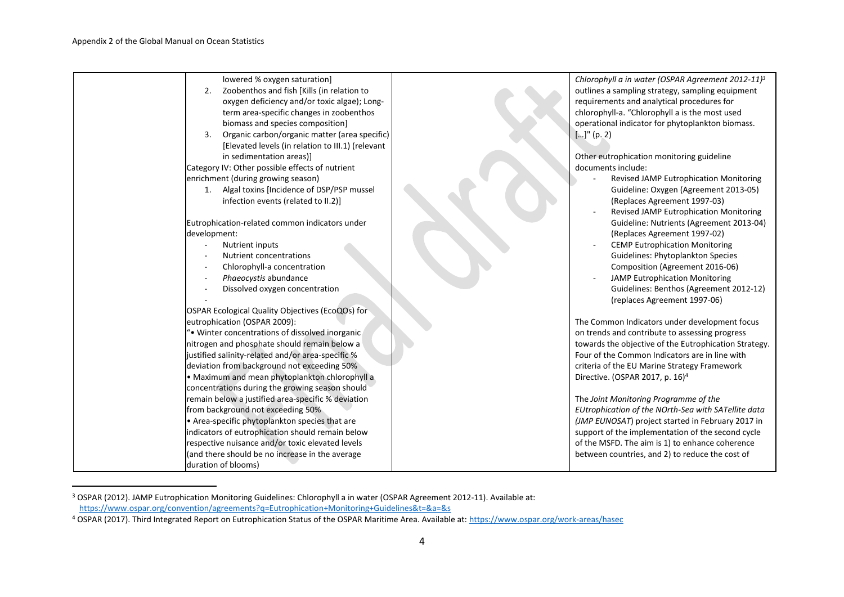| lowered % oxygen saturation]<br>Zoobenthos and fish [Kills (in relation to<br>2.<br>oxygen deficiency and/or toxic algae); Long-<br>term area-specific changes in zoobenthos<br>biomass and species composition]<br>Organic carbon/organic matter (area specific)<br>3.<br>[Elevated levels (in relation to III.1) (relevant<br>in sedimentation areas)]<br>Category IV: Other possible effects of nutrient<br>enrichment (during growing season)<br>1. Algal toxins [Incidence of DSP/PSP mussel<br>infection events (related to II.2)]<br>Eutrophication-related common indicators under<br>development:<br><b>Nutrient inputs</b><br><b>Nutrient concentrations</b><br>Chlorophyll-a concentration<br>Phaeocystis abundance<br>Dissolved oxygen concentration<br>OSPAR Ecological Quality Objectives (EcoQOs) for<br>eutrophication (OSPAR 2009):<br>". Winter concentrations of dissolved inorganic<br>nitrogen and phosphate should remain below a | Chlorophyll a in water (OSPAR Agreement 2012-11) <sup>3</sup><br>outlines a sampling strategy, sampling equipment<br>requirements and analytical procedures for<br>chlorophyll-a. "Chlorophyll a is the most used<br>operational indicator for phytoplankton biomass.<br>$[]$ " (p. 2)<br>Other eutrophication monitoring guideline<br>documents include:<br>Revised JAMP Eutrophication Monitoring<br>Guideline: Oxygen (Agreement 2013-05)<br>(Replaces Agreement 1997-03)<br><b>Revised JAMP Eutrophication Monitoring</b><br>Guideline: Nutrients (Agreement 2013-04)<br>(Replaces Agreement 1997-02)<br><b>CEMP Eutrophication Monitoring</b><br><b>Guidelines: Phytoplankton Species</b><br>Composition (Agreement 2016-06)<br><b>JAMP Eutrophication Monitoring</b><br>Guidelines: Benthos (Agreement 2012-12)<br>(replaces Agreement 1997-06)<br>The Common Indicators under development focus<br>on trends and contribute to assessing progress<br>towards the objective of the Eutrophication Strategy. |
|---------------------------------------------------------------------------------------------------------------------------------------------------------------------------------------------------------------------------------------------------------------------------------------------------------------------------------------------------------------------------------------------------------------------------------------------------------------------------------------------------------------------------------------------------------------------------------------------------------------------------------------------------------------------------------------------------------------------------------------------------------------------------------------------------------------------------------------------------------------------------------------------------------------------------------------------------------|-------------------------------------------------------------------------------------------------------------------------------------------------------------------------------------------------------------------------------------------------------------------------------------------------------------------------------------------------------------------------------------------------------------------------------------------------------------------------------------------------------------------------------------------------------------------------------------------------------------------------------------------------------------------------------------------------------------------------------------------------------------------------------------------------------------------------------------------------------------------------------------------------------------------------------------------------------------------------------------------------------------------|
|                                                                                                                                                                                                                                                                                                                                                                                                                                                                                                                                                                                                                                                                                                                                                                                                                                                                                                                                                         |                                                                                                                                                                                                                                                                                                                                                                                                                                                                                                                                                                                                                                                                                                                                                                                                                                                                                                                                                                                                                   |
|                                                                                                                                                                                                                                                                                                                                                                                                                                                                                                                                                                                                                                                                                                                                                                                                                                                                                                                                                         |                                                                                                                                                                                                                                                                                                                                                                                                                                                                                                                                                                                                                                                                                                                                                                                                                                                                                                                                                                                                                   |
|                                                                                                                                                                                                                                                                                                                                                                                                                                                                                                                                                                                                                                                                                                                                                                                                                                                                                                                                                         |                                                                                                                                                                                                                                                                                                                                                                                                                                                                                                                                                                                                                                                                                                                                                                                                                                                                                                                                                                                                                   |
|                                                                                                                                                                                                                                                                                                                                                                                                                                                                                                                                                                                                                                                                                                                                                                                                                                                                                                                                                         |                                                                                                                                                                                                                                                                                                                                                                                                                                                                                                                                                                                                                                                                                                                                                                                                                                                                                                                                                                                                                   |
|                                                                                                                                                                                                                                                                                                                                                                                                                                                                                                                                                                                                                                                                                                                                                                                                                                                                                                                                                         |                                                                                                                                                                                                                                                                                                                                                                                                                                                                                                                                                                                                                                                                                                                                                                                                                                                                                                                                                                                                                   |
|                                                                                                                                                                                                                                                                                                                                                                                                                                                                                                                                                                                                                                                                                                                                                                                                                                                                                                                                                         |                                                                                                                                                                                                                                                                                                                                                                                                                                                                                                                                                                                                                                                                                                                                                                                                                                                                                                                                                                                                                   |
|                                                                                                                                                                                                                                                                                                                                                                                                                                                                                                                                                                                                                                                                                                                                                                                                                                                                                                                                                         |                                                                                                                                                                                                                                                                                                                                                                                                                                                                                                                                                                                                                                                                                                                                                                                                                                                                                                                                                                                                                   |
|                                                                                                                                                                                                                                                                                                                                                                                                                                                                                                                                                                                                                                                                                                                                                                                                                                                                                                                                                         |                                                                                                                                                                                                                                                                                                                                                                                                                                                                                                                                                                                                                                                                                                                                                                                                                                                                                                                                                                                                                   |
|                                                                                                                                                                                                                                                                                                                                                                                                                                                                                                                                                                                                                                                                                                                                                                                                                                                                                                                                                         |                                                                                                                                                                                                                                                                                                                                                                                                                                                                                                                                                                                                                                                                                                                                                                                                                                                                                                                                                                                                                   |
|                                                                                                                                                                                                                                                                                                                                                                                                                                                                                                                                                                                                                                                                                                                                                                                                                                                                                                                                                         |                                                                                                                                                                                                                                                                                                                                                                                                                                                                                                                                                                                                                                                                                                                                                                                                                                                                                                                                                                                                                   |
|                                                                                                                                                                                                                                                                                                                                                                                                                                                                                                                                                                                                                                                                                                                                                                                                                                                                                                                                                         |                                                                                                                                                                                                                                                                                                                                                                                                                                                                                                                                                                                                                                                                                                                                                                                                                                                                                                                                                                                                                   |
|                                                                                                                                                                                                                                                                                                                                                                                                                                                                                                                                                                                                                                                                                                                                                                                                                                                                                                                                                         |                                                                                                                                                                                                                                                                                                                                                                                                                                                                                                                                                                                                                                                                                                                                                                                                                                                                                                                                                                                                                   |
|                                                                                                                                                                                                                                                                                                                                                                                                                                                                                                                                                                                                                                                                                                                                                                                                                                                                                                                                                         |                                                                                                                                                                                                                                                                                                                                                                                                                                                                                                                                                                                                                                                                                                                                                                                                                                                                                                                                                                                                                   |
| justified salinity-related and/or area-specific %                                                                                                                                                                                                                                                                                                                                                                                                                                                                                                                                                                                                                                                                                                                                                                                                                                                                                                       | Four of the Common Indicators are in line with                                                                                                                                                                                                                                                                                                                                                                                                                                                                                                                                                                                                                                                                                                                                                                                                                                                                                                                                                                    |
| deviation from background not exceeding 50%                                                                                                                                                                                                                                                                                                                                                                                                                                                                                                                                                                                                                                                                                                                                                                                                                                                                                                             | criteria of the EU Marine Strategy Framework                                                                                                                                                                                                                                                                                                                                                                                                                                                                                                                                                                                                                                                                                                                                                                                                                                                                                                                                                                      |
| • Maximum and mean phytoplankton chlorophyll a                                                                                                                                                                                                                                                                                                                                                                                                                                                                                                                                                                                                                                                                                                                                                                                                                                                                                                          | Directive. (OSPAR 2017, p. 16) <sup>4</sup>                                                                                                                                                                                                                                                                                                                                                                                                                                                                                                                                                                                                                                                                                                                                                                                                                                                                                                                                                                       |
| concentrations during the growing season should<br>remain below a justified area-specific % deviation                                                                                                                                                                                                                                                                                                                                                                                                                                                                                                                                                                                                                                                                                                                                                                                                                                                   | The Joint Monitoring Programme of the                                                                                                                                                                                                                                                                                                                                                                                                                                                                                                                                                                                                                                                                                                                                                                                                                                                                                                                                                                             |
| from background not exceeding 50%                                                                                                                                                                                                                                                                                                                                                                                                                                                                                                                                                                                                                                                                                                                                                                                                                                                                                                                       | EUtrophication of the NOrth-Sea with SATellite data                                                                                                                                                                                                                                                                                                                                                                                                                                                                                                                                                                                                                                                                                                                                                                                                                                                                                                                                                               |
| • Area-specific phytoplankton species that are                                                                                                                                                                                                                                                                                                                                                                                                                                                                                                                                                                                                                                                                                                                                                                                                                                                                                                          | (JMP EUNOSAT) project started in February 2017 in                                                                                                                                                                                                                                                                                                                                                                                                                                                                                                                                                                                                                                                                                                                                                                                                                                                                                                                                                                 |
| indicators of eutrophication should remain below                                                                                                                                                                                                                                                                                                                                                                                                                                                                                                                                                                                                                                                                                                                                                                                                                                                                                                        | support of the implementation of the second cycle                                                                                                                                                                                                                                                                                                                                                                                                                                                                                                                                                                                                                                                                                                                                                                                                                                                                                                                                                                 |
| respective nuisance and/or toxic elevated levels                                                                                                                                                                                                                                                                                                                                                                                                                                                                                                                                                                                                                                                                                                                                                                                                                                                                                                        | of the MSFD. The aim is 1) to enhance coherence                                                                                                                                                                                                                                                                                                                                                                                                                                                                                                                                                                                                                                                                                                                                                                                                                                                                                                                                                                   |
| (and there should be no increase in the average                                                                                                                                                                                                                                                                                                                                                                                                                                                                                                                                                                                                                                                                                                                                                                                                                                                                                                         | between countries, and 2) to reduce the cost of                                                                                                                                                                                                                                                                                                                                                                                                                                                                                                                                                                                                                                                                                                                                                                                                                                                                                                                                                                   |
| duration of blooms)                                                                                                                                                                                                                                                                                                                                                                                                                                                                                                                                                                                                                                                                                                                                                                                                                                                                                                                                     |                                                                                                                                                                                                                                                                                                                                                                                                                                                                                                                                                                                                                                                                                                                                                                                                                                                                                                                                                                                                                   |

<sup>3</sup> OSPAR (2012). JAMP Eutrophication Monitoring Guidelines: Chlorophyll a in water (OSPAR Agreement 2012-11). Available at: <https://www.ospar.org/convention/agreements?q=Eutrophication+Monitoring+Guidelines&t=&a=&s>

<sup>&</sup>lt;sup>4</sup> OSPAR (2017). Third Integrated Report on Eutrophication Status of the OSPAR Maritime Area. Available at:<https://www.ospar.org/work-areas/hasec>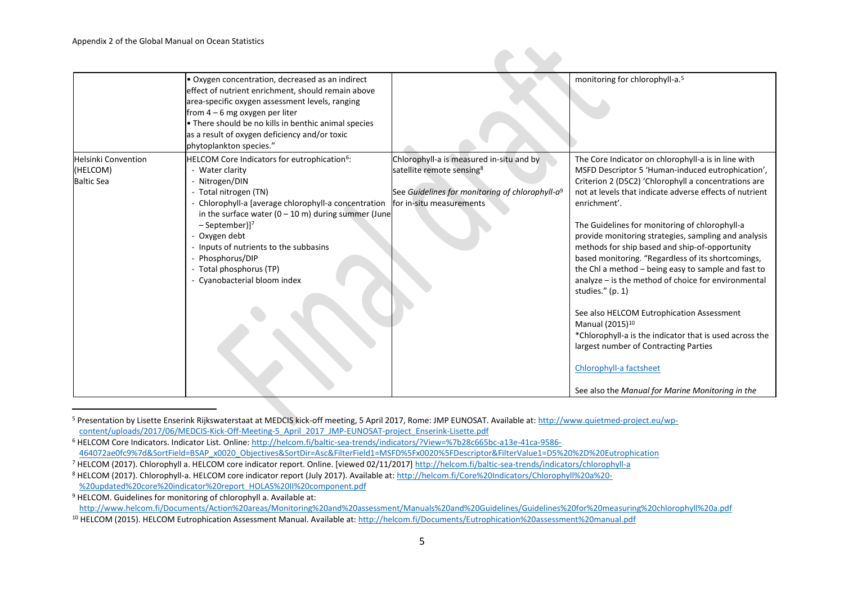|                                                             | Oxygen concentration, decreased as an indirect<br>effect of nutrient enrichment, should remain above<br>area-specific oxygen assessment levels, ranging<br>from $4-6$ mg oxygen per liter<br>There should be no kills in benthic animal species<br>as a result of oxygen deficiency and/or toxic<br>phytoplankton species."                                                                                             |                                                                                                                                                                              | monitoring for chlorophyll-a. <sup>5</sup>                                                                                                                                                                                                                                                                                                                                                                                                                                                                                                                                                                                                                                                                                                                                                                 |
|-------------------------------------------------------------|-------------------------------------------------------------------------------------------------------------------------------------------------------------------------------------------------------------------------------------------------------------------------------------------------------------------------------------------------------------------------------------------------------------------------|------------------------------------------------------------------------------------------------------------------------------------------------------------------------------|------------------------------------------------------------------------------------------------------------------------------------------------------------------------------------------------------------------------------------------------------------------------------------------------------------------------------------------------------------------------------------------------------------------------------------------------------------------------------------------------------------------------------------------------------------------------------------------------------------------------------------------------------------------------------------------------------------------------------------------------------------------------------------------------------------|
| <b>Helsinki Convention</b><br>(HELCOM)<br><b>Baltic Sea</b> | HELCOM Core Indicators for eutrophication <sup>6</sup> :<br>- Water clarity<br>- Nitrogen/DIN<br>- Total nitrogen (TN)<br>Chlorophyll-a [average chlorophyll-a concentration<br>in the surface water $(0 - 10 \text{ m})$ during summer (June<br>$-$ September)] <sup>7</sup><br>- Oxygen debt<br>- Inputs of nutrients to the subbasins<br>- Phosphorus/DIP<br>- Total phosphorus (TP)<br>- Cyanobacterial bloom index | Chlorophyll-a is measured in-situ and by<br>satellite remote sensing <sup>8</sup><br>See Guidelines for monitoring of chlorophyll-a <sup>9</sup><br>for in-situ measurements | The Core Indicator on chlorophyll-a is in line with<br>MSFD Descriptor 5 'Human-induced eutrophication',<br>Criterion 2 (D5C2) 'Chlorophyll a concentrations are<br>not at levels that indicate adverse effects of nutrient<br>enrichment'.<br>The Guidelines for monitoring of chlorophyll-a<br>provide monitoring strategies, sampling and analysis<br>methods for ship based and ship-of-opportunity<br>based monitoring. "Regardless of its shortcomings,<br>the ChI a method - being easy to sample and fast to<br>analyze - is the method of choice for environmental<br>studies." (p. 1)<br>See also HELCOM Eutrophication Assessment<br>Manual (2015) <sup>10</sup><br>*Chlorophyll-a is the indicator that is used across the<br>largest number of Contracting Parties<br>Chlorophyll-a factsheet |
|                                                             |                                                                                                                                                                                                                                                                                                                                                                                                                         |                                                                                                                                                                              | See also the Manual for Marine Monitoring in the                                                                                                                                                                                                                                                                                                                                                                                                                                                                                                                                                                                                                                                                                                                                                           |

<sup>5</sup> Presentation by Lisette Enserink Rijkswaterstaat at MEDCIS kick-off meeting, 5 April 2017, Rome: JMP EUNOSAT. Available at: [http://www.quietmed-project.eu/wp](http://www.quietmed-project.eu/wp-content/uploads/2017/06/MEDCIS-Kick-Off-Meeting-5_April_2017_JMP-EUNOSAT-project_Enserink-Lisette.pdf)[content/uploads/2017/06/MEDCIS-Kick-Off-Meeting-5\\_April\\_2017\\_JMP-EUNOSAT-project\\_Enserink-Lisette.pdf](http://www.quietmed-project.eu/wp-content/uploads/2017/06/MEDCIS-Kick-Off-Meeting-5_April_2017_JMP-EUNOSAT-project_Enserink-Lisette.pdf)

<sup>6</sup> HELCOM Core Indicators. Indicator List. Online[: http://helcom.fi/baltic-sea-trends/indicators/?View=%7b28c665bc-a13e-41ca-9586-](http://helcom.fi/baltic-sea-trends/indicators/?View=%7b28c665bc-a13e-41ca-9586-464072ae0fc9%7d&SortField=BSAP_x0020_Objectives&SortDir=Asc&FilterField1=MSFD%5Fx0020%5FDescriptor&FilterValue1=D5%20%2D%20Eutrophication) [464072ae0fc9%7d&SortField=BSAP\\_x0020\\_Objectives&SortDir=Asc&FilterField1=MSFD%5Fx0020%5FDescriptor&FilterValue1=D5%20%2D%20Eutrophication](http://helcom.fi/baltic-sea-trends/indicators/?View=%7b28c665bc-a13e-41ca-9586-464072ae0fc9%7d&SortField=BSAP_x0020_Objectives&SortDir=Asc&FilterField1=MSFD%5Fx0020%5FDescriptor&FilterValue1=D5%20%2D%20Eutrophication)

<sup>7</sup> HELCOM (2017). Chlorophyll a. HELCOM core indicator report. Online. [viewed 02/11/2017]<http://helcom.fi/baltic-sea-trends/indicators/chlorophyll-a>

<sup>8</sup> HELCOM (2017). Chlorophyll-a. HELCOM core indicator report (July 2017). Available at: [http://helcom.fi/Core%20Indicators/Chlorophyll%20a%20-](http://helcom.fi/Core%20Indicators/Chlorophyll%20a%20-%20updated%20core%20indicator%20report_HOLAS%20II%20component.pdf) [%20updated%20core%20indicator%20report\\_HOLAS%20II%20component.pdf](http://helcom.fi/Core%20Indicators/Chlorophyll%20a%20-%20updated%20core%20indicator%20report_HOLAS%20II%20component.pdf)

<sup>9</sup> HELCOM. Guidelines for monitoring of chlorophyll a. Available at:

<http://www.helcom.fi/Documents/Action%20areas/Monitoring%20and%20assessment/Manuals%20and%20Guidelines/Guidelines%20for%20measuring%20chlorophyll%20a.pdf>

<sup>10</sup> HELCOM (2015). HELCOM Eutrophication Assessment Manual. Available at[: http://helcom.fi/Documents/Eutrophication%20assessment%20manual.pdf](http://helcom.fi/Documents/Eutrophication%20assessment%20manual.pdf)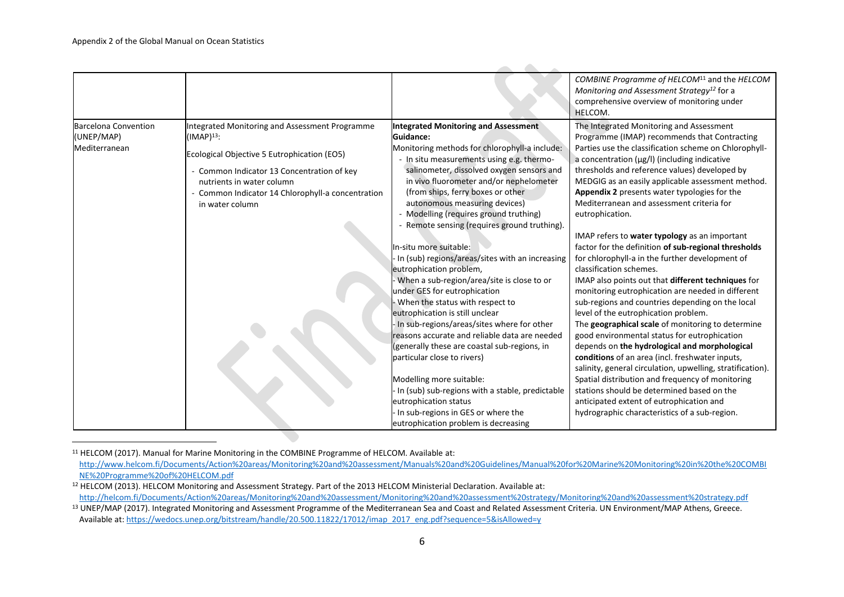|                                                            |                                                                                                                                                                                                                                                                   |                                                                                                                                                                                                                                                                                                                                                                                                                                                                                                                                                                                                                                                                                                                                                                                                                                                                                                                                                                                                                                                    | COMBINE Programme of HELCOM <sup>11</sup> and the HELCOM<br>Monitoring and Assessment Strategy <sup>12</sup> for a<br>comprehensive overview of monitoring under<br>HELCOM.                                                                                                                                                                                                                                                                                                                                                                                                                                                                                                                                                                                                                                                                                                                                                                                                                                                                                                                                                                                                                                                                                                                      |
|------------------------------------------------------------|-------------------------------------------------------------------------------------------------------------------------------------------------------------------------------------------------------------------------------------------------------------------|----------------------------------------------------------------------------------------------------------------------------------------------------------------------------------------------------------------------------------------------------------------------------------------------------------------------------------------------------------------------------------------------------------------------------------------------------------------------------------------------------------------------------------------------------------------------------------------------------------------------------------------------------------------------------------------------------------------------------------------------------------------------------------------------------------------------------------------------------------------------------------------------------------------------------------------------------------------------------------------------------------------------------------------------------|--------------------------------------------------------------------------------------------------------------------------------------------------------------------------------------------------------------------------------------------------------------------------------------------------------------------------------------------------------------------------------------------------------------------------------------------------------------------------------------------------------------------------------------------------------------------------------------------------------------------------------------------------------------------------------------------------------------------------------------------------------------------------------------------------------------------------------------------------------------------------------------------------------------------------------------------------------------------------------------------------------------------------------------------------------------------------------------------------------------------------------------------------------------------------------------------------------------------------------------------------------------------------------------------------|
| <b>Barcelona Convention</b><br>(UNEP/MAP)<br>Mediterranean | Integrated Monitoring and Assessment Programme<br>$(IMAP)^{13}$ :<br>Ecological Objective 5 Eutrophication (EO5)<br>- Common Indicator 13 Concentration of key<br>nutrients in water column<br>Common Indicator 14 Chlorophyll-a concentration<br>in water column | <b>Integrated Monitoring and Assessment</b><br>Guidance:<br>Monitoring methods for chlorophyll-a include:<br>- In situ measurements using e.g. thermo-<br>salinometer, dissolved oxygen sensors and<br>in vivo fluorometer and/or nephelometer<br>(from ships, ferry boxes or other<br>autonomous measuring devices)<br>- Modelling (requires ground truthing)<br>Remote sensing (requires ground truthing).<br>In-situ more suitable:<br>- In (sub) regions/areas/sites with an increasing<br>eutrophication problem,<br>When a sub-region/area/site is close to or<br>under GES for eutrophication<br>- When the status with respect to<br>eutrophication is still unclear<br>In sub-regions/areas/sites where for other<br>reasons accurate and reliable data are needed<br>(generally these are coastal sub-regions, in<br>particular close to rivers)<br>Modelling more suitable:<br>- In (sub) sub-regions with a stable, predictable<br>eutrophication status<br>In sub-regions in GES or where the<br>eutrophication problem is decreasing | The Integrated Monitoring and Assessment<br>Programme (IMAP) recommends that Contracting<br>Parties use the classification scheme on Chlorophyll-<br>a concentration $(\mu g/l)$ (including indicative<br>thresholds and reference values) developed by<br>MEDGIG as an easily applicable assessment method.<br>Appendix 2 presents water typologies for the<br>Mediterranean and assessment criteria for<br>eutrophication.<br>IMAP refers to water typology as an important<br>factor for the definition of sub-regional thresholds<br>for chlorophyll-a in the further development of<br>classification schemes.<br>IMAP also points out that different techniques for<br>monitoring eutrophication are needed in different<br>sub-regions and countries depending on the local<br>level of the eutrophication problem.<br>The geographical scale of monitoring to determine<br>good environmental status for eutrophication<br>depends on the hydrological and morphological<br>conditions of an area (incl. freshwater inputs,<br>salinity, general circulation, upwelling, stratification).<br>Spatial distribution and frequency of monitoring<br>stations should be determined based on the<br>anticipated extent of eutrophication and<br>hydrographic characteristics of a sub-region. |

<sup>11</sup> HELCOM (2017). Manual for Marine Monitoring in the COMBINE Programme of HELCOM. Available at:

[http://www.helcom.fi/Documents/Action%20areas/Monitoring%20and%20assessment/Manuals%20and%20Guidelines/Manual%20for%20Marine%20Monitoring%20in%20the%20COMBI](http://www.helcom.fi/Documents/Action%20areas/Monitoring%20and%20assessment/Manuals%20and%20Guidelines/Manual%20for%20Marine%20Monitoring%20in%20the%20COMBINE%20Programme%20of%20HELCOM.pdf) [NE%20Programme%20of%20HELCOM.pdf](http://www.helcom.fi/Documents/Action%20areas/Monitoring%20and%20assessment/Manuals%20and%20Guidelines/Manual%20for%20Marine%20Monitoring%20in%20the%20COMBINE%20Programme%20of%20HELCOM.pdf)

<sup>12</sup> HELCOM (2013). HELCOM Monitoring and Assessment Strategy. Part of the 2013 HELCOM Ministerial Declaration. Available at:

<http://helcom.fi/Documents/Action%20areas/Monitoring%20and%20assessment/Monitoring%20and%20assessment%20strategy/Monitoring%20and%20assessment%20strategy.pdf>

<sup>&</sup>lt;sup>13</sup> UNEP/MAP (2017). Integrated Monitoring and Assessment Programme of the Mediterranean Sea and Coast and Related Assessment Criteria. UN Environment/MAP Athens, Greece. Available at[: https://wedocs.unep.org/bitstream/handle/20.500.11822/17012/imap\\_2017\\_eng.pdf?sequence=5&isAllowed=y](https://wedocs.unep.org/bitstream/handle/20.500.11822/17012/imap_2017_eng.pdf?sequence=5&isAllowed=y)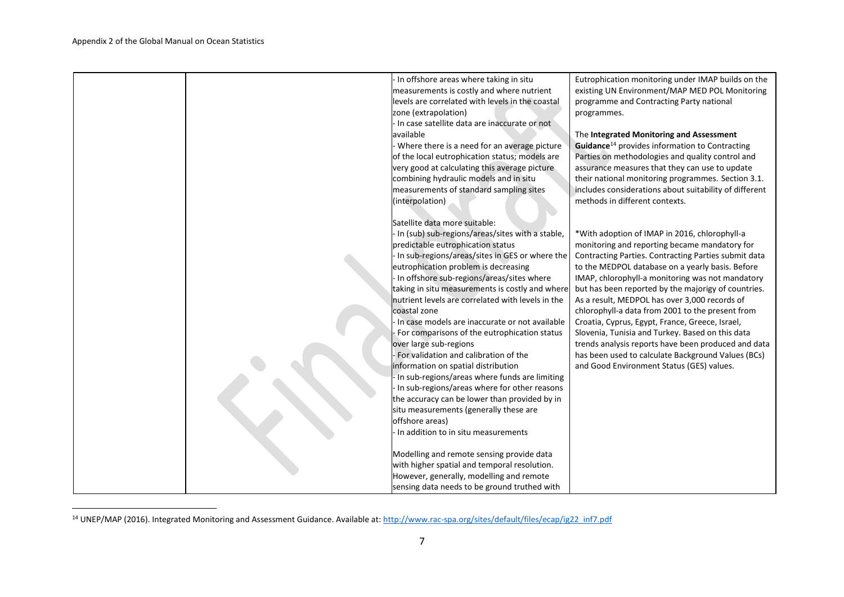| In offshore areas where taking in situ            | Eutrophication monitoring under IMAP builds on the         |
|---------------------------------------------------|------------------------------------------------------------|
| measurements is costly and where nutrient         | existing UN Environment/MAP MED POL Monitoring             |
| levels are correlated with levels in the coastal  | programme and Contracting Party national                   |
| zone (extrapolation)                              | programmes.                                                |
| In case satellite data are inaccurate or not      |                                                            |
| available                                         | The Integrated Monitoring and Assessment                   |
| Where there is a need for an average picture      | Guidance <sup>14</sup> provides information to Contracting |
| of the local eutrophication status; models are    | Parties on methodologies and quality control and           |
| very good at calculating this average picture     | assurance measures that they can use to update             |
| combining hydraulic models and in situ            | their national monitoring programmes. Section 3.1.         |
| measurements of standard sampling sites           | includes considerations about suitability of different     |
| (interpolation)                                   | methods in different contexts.                             |
|                                                   |                                                            |
| Satellite data more suitable:                     |                                                            |
| In (sub) sub-regions/areas/sites with a stable,   | *With adoption of IMAP in 2016, chlorophyll-a              |
| predictable eutrophication status                 | monitoring and reporting became mandatory for              |
| In sub-regions/areas/sites in GES or where the    | Contracting Parties. Contracting Parties submit data       |
| eutrophication problem is decreasing              | to the MEDPOL database on a yearly basis. Before           |
| In offshore sub-regions/areas/sites where         | IMAP, chlorophyll-a monitoring was not mandatory           |
| taking in situ measurements is costly and where   | but has been reported by the majorigy of countries.        |
| nutrient levels are correlated with levels in the | As a result, MEDPOL has over 3,000 records of              |
| coastal zone                                      | chlorophyll-a data from 2001 to the present from           |
| In case models are inaccurate or not available    | Croatia, Cyprus, Egypt, France, Greece, Israel,            |
| For comparisons of the eutrophication status      | Slovenia, Tunisia and Turkey. Based on this data           |
| over large sub-regions                            | trends analysis reports have been produced and data        |
| For validation and calibration of the             | has been used to calculate Background Values (BCs)         |
| information on spatial distribution               | and Good Environment Status (GES) values.                  |
| In sub-regions/areas where funds are limiting     |                                                            |
| In sub-regions/areas where for other reasons      |                                                            |
| the accuracy can be lower than provided by in     |                                                            |
| situ measurements (generally these are            |                                                            |
| offshore areas)                                   |                                                            |
| In addition to in situ measurements               |                                                            |
|                                                   |                                                            |
| Modelling and remote sensing provide data         |                                                            |
| with higher spatial and temporal resolution.      |                                                            |
| However, generally, modelling and remote          |                                                            |
| sensing data needs to be ground truthed with      |                                                            |

<sup>&</sup>lt;sup>14</sup> UNEP/MAP (2016). Integrated Monitoring and Assessment Guidance. Available at[: http://www.rac-spa.org/sites/default/files/ecap/ig22\\_inf7.pdf](http://www.rac-spa.org/sites/default/files/ecap/ig22_inf7.pdf)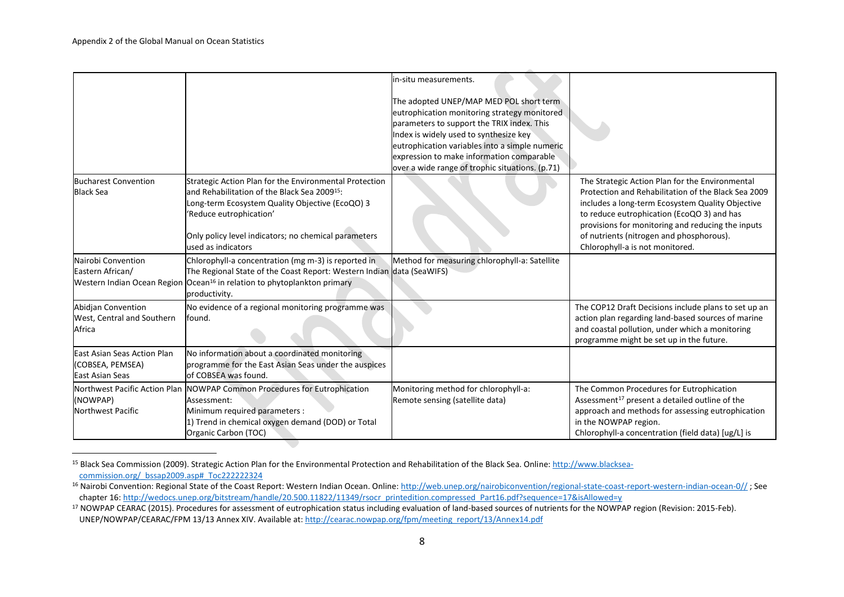|                                                                           |                                                                                                                                                                                                                                                                                | in-situ measurements.<br>The adopted UNEP/MAP MED POL short term<br>eutrophication monitoring strategy monitored<br>parameters to support the TRIX index. This<br>Index is widely used to synthesize key<br>eutrophication variables into a simple numeric<br>expression to make information comparable<br>over a wide range of trophic situations. (p.71) |                                                                                                                                                                                                                                                                                                                                              |
|---------------------------------------------------------------------------|--------------------------------------------------------------------------------------------------------------------------------------------------------------------------------------------------------------------------------------------------------------------------------|------------------------------------------------------------------------------------------------------------------------------------------------------------------------------------------------------------------------------------------------------------------------------------------------------------------------------------------------------------|----------------------------------------------------------------------------------------------------------------------------------------------------------------------------------------------------------------------------------------------------------------------------------------------------------------------------------------------|
| <b>Bucharest Convention</b><br><b>Black Sea</b>                           | Strategic Action Plan for the Environmental Protection<br>and Rehabilitation of the Black Sea 2009 <sup>15</sup> :<br>Long-term Ecosystem Quality Objective (EcoQO) 3<br>'Reduce eutrophication'<br>Only policy level indicators; no chemical parameters<br>used as indicators |                                                                                                                                                                                                                                                                                                                                                            | The Strategic Action Plan for the Environmental<br>Protection and Rehabilitation of the Black Sea 2009<br>includes a long-term Ecosystem Quality Objective<br>to reduce eutrophication (EcoQO 3) and has<br>provisions for monitoring and reducing the inputs<br>of nutrients (nitrogen and phosphorous).<br>Chlorophyll-a is not monitored. |
| Nairobi Convention<br>Eastern African/                                    | Chlorophyll-a concentration (mg m-3) is reported in<br>The Regional State of the Coast Report: Western Indian data (SeaWIFS)<br>Western Indian Ocean Region Ocean <sup>16</sup> in relation to phytoplankton primary<br>productivity.                                          | Method for measuring chlorophyll-a: Satellite                                                                                                                                                                                                                                                                                                              |                                                                                                                                                                                                                                                                                                                                              |
| Abidjan Convention<br>West, Central and Southern<br>Africa                | No evidence of a regional monitoring programme was<br>found.                                                                                                                                                                                                                   |                                                                                                                                                                                                                                                                                                                                                            | The COP12 Draft Decisions include plans to set up an<br>action plan regarding land-based sources of marine<br>and coastal pollution, under which a monitoring<br>programme might be set up in the future.                                                                                                                                    |
| East Asian Seas Action Plan<br>(COBSEA, PEMSEA)<br><b>East Asian Seas</b> | No information about a coordinated monitoring<br>programme for the East Asian Seas under the auspices<br>of COBSEA was found.                                                                                                                                                  |                                                                                                                                                                                                                                                                                                                                                            |                                                                                                                                                                                                                                                                                                                                              |
| (NOWPAP)<br>Northwest Pacific                                             | Northwest Pacific Action Plan NOWPAP Common Procedures for Eutrophication<br>Assessment:<br>Minimum required parameters :<br>1) Trend in chemical oxygen demand (DOD) or Total<br>Organic Carbon (TOC)                                                                         | Monitoring method for chlorophyll-a:<br>Remote sensing (satellite data)                                                                                                                                                                                                                                                                                    | The Common Procedures for Eutrophication<br>Assessment <sup>17</sup> present a detailed outline of the<br>approach and methods for assessing eutrophication<br>in the NOWPAP region.<br>Chlorophyll-a concentration (field data) [ug/L] is                                                                                                   |

<sup>&</sup>lt;sup>15</sup> Black Sea Commission (2009). Strategic Action Plan for the Environmental Protection and Rehabilitation of the Black Sea. Online[: http://www.blacksea](http://www.blacksea-commission.org/_bssap2009.asp#_Toc222222324)[commission.org/\\_bssap2009.asp#\\_Toc222222324](http://www.blacksea-commission.org/_bssap2009.asp#_Toc222222324)

<sup>&</sup>lt;sup>16</sup> Nairobi Convention: Regional State of the Coast Report: Western Indian Ocean. Online: [http://web.unep.org/nairobiconvention/regional-state-coast-report-western-indian-ocean-0//](http://web.unep.org/nairobiconvention/regional-state-coast-report-western-indian-ocean-0/); See chapter 16: [http://wedocs.unep.org/bitstream/handle/20.500.11822/11349/rsocr\\_printedition.compressed\\_Part16.pdf?sequence=17&isAllowed=y](http://wedocs.unep.org/bitstream/handle/20.500.11822/11349/rsocr_printedition.compressed_Part16.pdf?sequence=17&isAllowed=y)

<sup>&</sup>lt;sup>17</sup> NOWPAP CEARAC (2015). Procedures for assessment of eutrophication status including evaluation of land-based sources of nutrients for the NOWPAP region (Revision: 2015-Feb). UNEP/NOWPAP/CEARAC/FPM 13/13 Annex XIV. Available at[: http://cearac.nowpap.org/fpm/meeting\\_report/13/Annex14.pdf](http://cearac.nowpap.org/fpm/meeting_report/13/Annex14.pdf)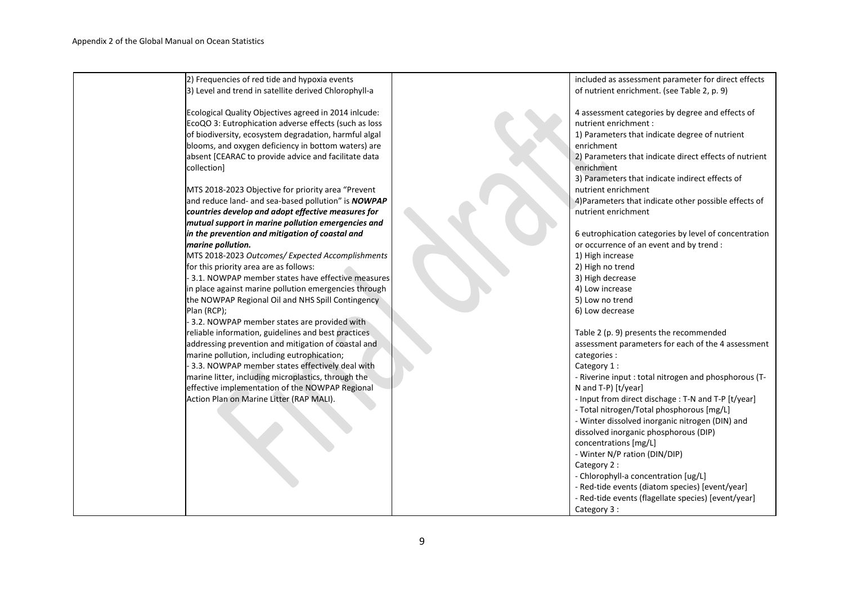| 2) Frequencies of red tide and hypoxia events         | included as assessment parameter for direct effects    |
|-------------------------------------------------------|--------------------------------------------------------|
| 3) Level and trend in satellite derived Chlorophyll-a | of nutrient enrichment. (see Table 2, p. 9)            |
|                                                       |                                                        |
| Ecological Quality Objectives agreed in 2014 inlcude: | 4 assessment categories by degree and effects of       |
| EcoQO 3: Eutrophication adverse effects (such as loss | nutrient enrichment :                                  |
| of biodiversity, ecosystem degradation, harmful algal | 1) Parameters that indicate degree of nutrient         |
| blooms, and oxygen deficiency in bottom waters) are   | enrichment                                             |
| absent [CEARAC to provide advice and facilitate data  | 2) Parameters that indicate direct effects of nutrient |
| collection]                                           | enrichment                                             |
|                                                       | 3) Parameters that indicate indirect effects of        |
| MTS 2018-2023 Objective for priority area "Prevent    | nutrient enrichment                                    |
| and reduce land- and sea-based pollution" is NOWPAP   | 4) Parameters that indicate other possible effects of  |
| countries develop and adopt effective measures for    | nutrient enrichment                                    |
| mutual support in marine pollution emergencies and    |                                                        |
| in the prevention and mitigation of coastal and       | 6 eutrophication categories by level of concentration  |
| marine pollution.                                     | or occurrence of an event and by trend :               |
| MTS 2018-2023 Outcomes/ Expected Accomplishments      | 1) High increase                                       |
| for this priority area are as follows:                | 2) High no trend                                       |
| - 3.1. NOWPAP member states have effective measures   | 3) High decrease                                       |
| in place against marine pollution emergencies through | 4) Low increase                                        |
| the NOWPAP Regional Oil and NHS Spill Contingency     | 5) Low no trend                                        |
| Plan (RCP);                                           | 6) Low decrease                                        |
| - 3.2. NOWPAP member states are provided with         |                                                        |
| reliable information, guidelines and best practices   | Table 2 (p. 9) presents the recommended                |
| addressing prevention and mitigation of coastal and   | assessment parameters for each of the 4 assessment     |
| marine pollution, including eutrophication;           | categories :                                           |
| - 3.3. NOWPAP member states effectively deal with     | Category 1:                                            |
| marine litter, including microplastics, through the   | - Riverine input : total nitrogen and phosphorous (T-  |
| effective implementation of the NOWPAP Regional       | N and T-P) [t/year]                                    |
| Action Plan on Marine Litter (RAP MALI).              | - Input from direct dischage : T-N and T-P [t/year]    |
|                                                       | - Total nitrogen/Total phosphorous [mg/L]              |
|                                                       | - Winter dissolved inorganic nitrogen (DIN) and        |
|                                                       | dissolved inorganic phosphorous (DIP)                  |
|                                                       | concentrations [mg/L]                                  |
|                                                       | - Winter N/P ration (DIN/DIP)                          |
|                                                       | Category 2:                                            |
|                                                       | - Chlorophyll-a concentration [ug/L]                   |
|                                                       | - Red-tide events (diatom species) [event/year]        |
|                                                       | - Red-tide events (flagellate species) [event/year]    |
|                                                       | Category 3:                                            |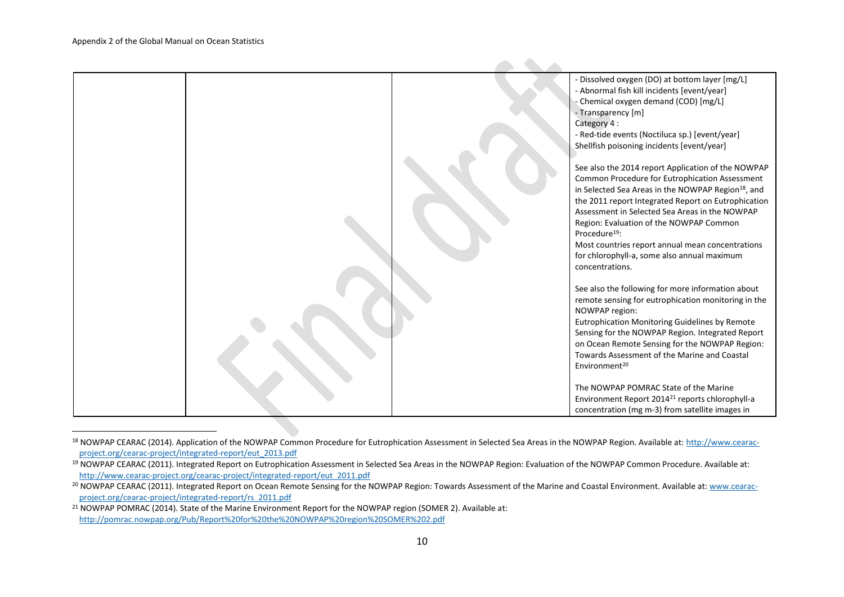

<sup>18</sup> NOWPAP CEARAC (2014). Application of the NOWPAP Common Procedure for Eutrophication Assessment in Selected Sea Areas in the NOWPAP Region. Available at[: http://www.cearac](http://www.cearac-project.org/cearac-project/integrated-report/eut_2013.pdf)[project.org/cearac-project/integrated-report/eut\\_2013.pdf](http://www.cearac-project.org/cearac-project/integrated-report/eut_2013.pdf)

<sup>19</sup> NOWPAP CEARAC (2011). Integrated Report on Eutrophication Assessment in Selected Sea Areas in the NOWPAP Region: Evaluation of the NOWPAP Common Procedure. Available at: [http://www.cearac-project.org/cearac-project/integrated-report/eut\\_2011.pdf](http://www.cearac-project.org/cearac-project/integrated-report/eut_2011.pdf)

<sup>&</sup>lt;sup>20</sup> NOWPAP CEARAC (2011). Integrated Report on Ocean Remote Sensing for the NOWPAP Region: Towards Assessment of the Marine and Coastal Environment. Available at[: www.cearac](http://www.cearac-project.org/cearac-project/integrated-report/rs_2011.pdf)[project.org/cearac-project/integrated-report/rs\\_2011.pdf](http://www.cearac-project.org/cearac-project/integrated-report/rs_2011.pdf)

<sup>21</sup> NOWPAP POMRAC (2014). State of the Marine Environment Report for the NOWPAP region (SOMER 2). Available at: <http://pomrac.nowpap.org/Pub/Report%20for%20the%20NOWPAP%20region%20SOMER%202.pdf>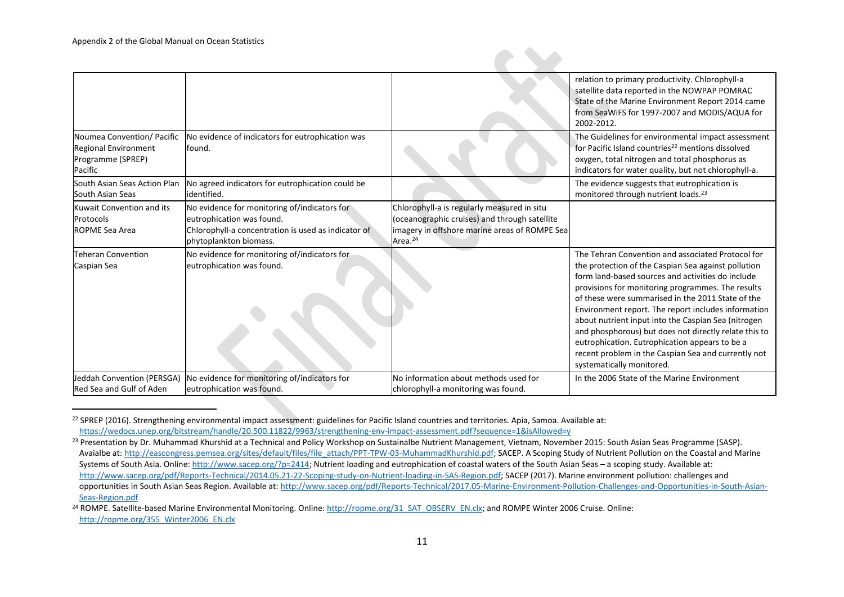|                                                                                           |                                                                                                                                                            |                                                                                                                                                                      | relation to primary productivity. Chlorophyll-a<br>satellite data reported in the NOWPAP POMRAC<br>State of the Marine Environment Report 2014 came<br>from SeaWiFS for 1997-2007 and MODIS/AQUA for<br>2002-2012.                                                                                                                                                                                                                                                                                                                                                                   |
|-------------------------------------------------------------------------------------------|------------------------------------------------------------------------------------------------------------------------------------------------------------|----------------------------------------------------------------------------------------------------------------------------------------------------------------------|--------------------------------------------------------------------------------------------------------------------------------------------------------------------------------------------------------------------------------------------------------------------------------------------------------------------------------------------------------------------------------------------------------------------------------------------------------------------------------------------------------------------------------------------------------------------------------------|
| Noumea Convention/ Pacific<br><b>Regional Environment</b><br>Programme (SPREP)<br>Pacific | No evidence of indicators for eutrophication was<br>lfound.                                                                                                |                                                                                                                                                                      | The Guidelines for environmental impact assessment<br>for Pacific Island countries <sup>22</sup> mentions dissolved<br>oxygen, total nitrogen and total phosphorus as<br>indicators for water quality, but not chlorophyll-a.                                                                                                                                                                                                                                                                                                                                                        |
| South Asian Seas Action Plan<br>South Asian Seas                                          | No agreed indicators for eutrophication could be<br>identified.                                                                                            |                                                                                                                                                                      | The evidence suggests that eutrophication is<br>monitored through nutrient loads. <sup>23</sup>                                                                                                                                                                                                                                                                                                                                                                                                                                                                                      |
| Kuwait Convention and its<br>Protocols<br>ROPME Sea Area                                  | No evidence for monitoring of/indicators for<br>eutrophication was found.<br>Chlorophyll-a concentration is used as indicator of<br>phytoplankton biomass. | Chlorophyll-a is regularly measured in situ<br>(oceanographic cruises) and through satellite<br>imagery in offshore marine areas of ROMPE Sea<br>Area. <sup>24</sup> |                                                                                                                                                                                                                                                                                                                                                                                                                                                                                                                                                                                      |
| Teheran Convention<br>Caspian Sea                                                         | No evidence for monitoring of/indicators for<br>eutrophication was found.                                                                                  |                                                                                                                                                                      | The Tehran Convention and associated Protocol for<br>the protection of the Caspian Sea against pollution<br>form land-based sources and activities do include<br>provisions for monitoring programmes. The results<br>of these were summarised in the 2011 State of the<br>Environment report. The report includes information<br>about nutrient input into the Caspian Sea (nitrogen<br>and phosphorous) but does not directly relate this to<br>eutrophication. Eutrophication appears to be a<br>recent problem in the Caspian Sea and currently not<br>systematically monitored. |
| Jeddah Convention (PERSGA)<br>Red Sea and Gulf of Aden                                    | No evidence for monitoring of/indicators for<br>eutrophication was found.                                                                                  | No information about methods used for<br>chlorophyll-a monitoring was found.                                                                                         | In the 2006 State of the Marine Environment                                                                                                                                                                                                                                                                                                                                                                                                                                                                                                                                          |

<sup>&</sup>lt;sup>22</sup> SPREP (2016). Strengthening environmental impact assessment: guidelines for Pacific Island countries and territories. Apia, Samoa. Available at: <https://wedocs.unep.org/bitstream/handle/20.500.11822/9963/strengthening-env-impact-assessment.pdf?sequence=1&isAllowed=y>

<sup>&</sup>lt;sup>23</sup> Presentation by Dr. Muhammad Khurshid at a Technical and Policy Workshop on Sustainalbe Nutrient Management, Vietnam, November 2015: South Asian Seas Programme (SASP). Avaialbe at: [http://eascongress.pemsea.org/sites/default/files/file\\_attach/PPT-TPW-03-MuhammadKhurshid.pdf;](http://eascongress.pemsea.org/sites/default/files/file_attach/PPT-TPW-03-MuhammadKhurshid.pdf) SACEP. A Scoping Study of Nutrient Pollution on the Coastal and Marine Systems of South Asia. Online: [http://www.sacep.org/?p=2414;](http://www.sacep.org/?p=2414) Nutrient loading and eutrophication of coastal waters of the South Asian Seas – a scoping study. Available at: [http://www.sacep.org/pdf/Reports-Technical/2014.05.21-22-Scoping-study-on-Nutrient-loading-in-SAS-Region.pdf;](http://www.sacep.org/pdf/Reports-Technical/2014.05.21-22-Scoping-study-on-Nutrient-loading-in-SAS-Region.pdf) SACEP (2017). Marine environment pollution: challenges and opportunities in South Asian Seas Region. Available at: [http://www.sacep.org/pdf/Reports-Technical/2017.05-Marine-Environment-Pollution-Challenges-and-Opportunities-in-South-Asian-](http://www.sacep.org/pdf/Reports-Technical/2017.05-Marine-Environment-Pollution-Challenges-and-Opportunities-in-South-Asian-Seas-Region.pdf)[Seas-Region.pdf](http://www.sacep.org/pdf/Reports-Technical/2017.05-Marine-Environment-Pollution-Challenges-and-Opportunities-in-South-Asian-Seas-Region.pdf)

<sup>&</sup>lt;sup>24</sup> ROMPE. Satellite-based Marine Environmental Monitoring. Online[: http://ropme.org/31\\_SAT\\_OBSERV\\_EN.clx;](http://ropme.org/31_SAT_OBSERV_EN.clx) and ROMPE Winter 2006 Cruise. Online: [http://ropme.org/355\\_Winter2006\\_EN.clx](http://ropme.org/355_Winter2006_EN.clx)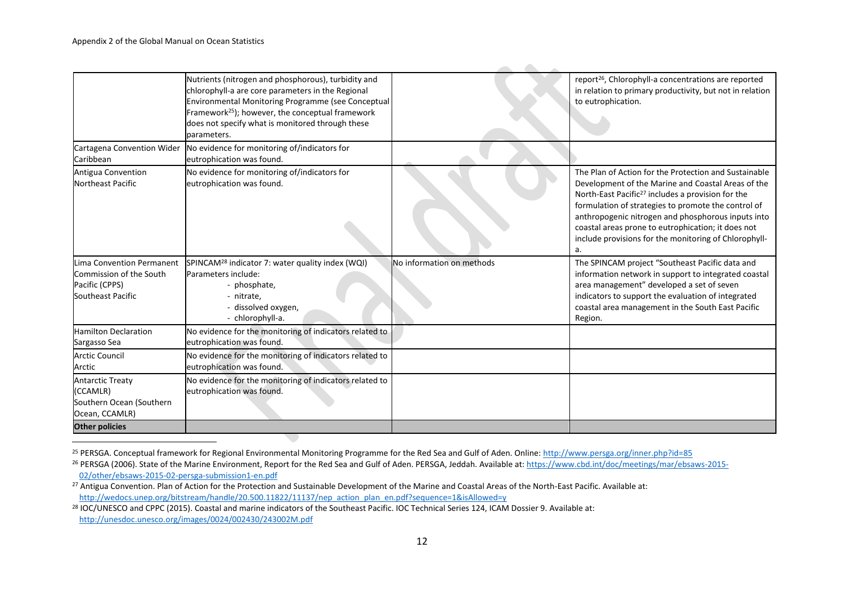| <b>Cartagena Convention Wider</b>                                                 | Nutrients (nitrogen and phosphorous), turbidity and<br>chlorophyll-a are core parameters in the Regional<br>Environmental Monitoring Programme (see Conceptual<br>Framework <sup>25</sup> ); however, the conceptual framework<br>does not specify what is monitored through these<br>parameters.<br>No evidence for monitoring of/indicators for |                           | report <sup>26</sup> , Chlorophyll-a concentrations are reported<br>in relation to primary productivity, but not in relation<br>to eutrophication.                                                                                                                                                                                                                                                             |
|-----------------------------------------------------------------------------------|---------------------------------------------------------------------------------------------------------------------------------------------------------------------------------------------------------------------------------------------------------------------------------------------------------------------------------------------------|---------------------------|----------------------------------------------------------------------------------------------------------------------------------------------------------------------------------------------------------------------------------------------------------------------------------------------------------------------------------------------------------------------------------------------------------------|
| Caribbean                                                                         | eutrophication was found.                                                                                                                                                                                                                                                                                                                         |                           |                                                                                                                                                                                                                                                                                                                                                                                                                |
| Antigua Convention<br><b>Northeast Pacific</b>                                    | No evidence for monitoring of/indicators for<br>eutrophication was found.                                                                                                                                                                                                                                                                         |                           | The Plan of Action for the Protection and Sustainable<br>Development of the Marine and Coastal Areas of the<br>North-East Pacific <sup>27</sup> includes a provision for the<br>formulation of strategies to promote the control of<br>anthropogenic nitrogen and phosphorous inputs into<br>coastal areas prone to eutrophication; it does not<br>include provisions for the monitoring of Chlorophyll-<br>a. |
| <b>Lima Convention Permanent</b>                                                  | SPINCAM <sup>28</sup> indicator 7: water quality index (WQI)                                                                                                                                                                                                                                                                                      | No information on methods | The SPINCAM project "Southeast Pacific data and                                                                                                                                                                                                                                                                                                                                                                |
| Commission of the South<br>Pacific (CPPS)                                         | Parameters include:<br>- phosphate,                                                                                                                                                                                                                                                                                                               |                           | information network in support to integrated coastal<br>area management" developed a set of seven                                                                                                                                                                                                                                                                                                              |
| Southeast Pacific                                                                 | - nitrate,<br>- dissolved oxygen,<br>- chlorophyll-a.                                                                                                                                                                                                                                                                                             |                           | indicators to support the evaluation of integrated<br>coastal area management in the South East Pacific<br>Region.                                                                                                                                                                                                                                                                                             |
| <b>Hamilton Declaration</b><br>Sargasso Sea                                       | No evidence for the monitoring of indicators related to<br>eutrophication was found.                                                                                                                                                                                                                                                              |                           |                                                                                                                                                                                                                                                                                                                                                                                                                |
| <b>Arctic Council</b><br>Arctic                                                   | No evidence for the monitoring of indicators related to<br>eutrophication was found.                                                                                                                                                                                                                                                              |                           |                                                                                                                                                                                                                                                                                                                                                                                                                |
| <b>Antarctic Treaty</b><br>(CCAMLR)<br>Southern Ocean (Southern<br>Ocean, CCAMLR) | No evidence for the monitoring of indicators related to<br>eutrophication was found.                                                                                                                                                                                                                                                              |                           |                                                                                                                                                                                                                                                                                                                                                                                                                |
| <b>Other policies</b>                                                             |                                                                                                                                                                                                                                                                                                                                                   |                           |                                                                                                                                                                                                                                                                                                                                                                                                                |

<sup>&</sup>lt;sup>25</sup> PERSGA. Conceptual framework for Regional Environmental Monitoring Programme for the Red Sea and Gulf of Aden. Online:<http://www.persga.org/inner.php?id=85>

<sup>&</sup>lt;sup>26</sup> PERSGA (2006). State of the Marine Environment, Report for the Red Sea and Gulf of Aden. PERSGA, Jeddah. Available at[: https://www.cbd.int/doc/meetings/mar/ebsaws-2015-](https://www.cbd.int/doc/meetings/mar/ebsaws-2015-02/other/ebsaws-2015-02-persga-submission1-en.pdf) [02/other/ebsaws-2015-02-persga-submission1-en.pdf](https://www.cbd.int/doc/meetings/mar/ebsaws-2015-02/other/ebsaws-2015-02-persga-submission1-en.pdf)

<sup>&</sup>lt;sup>27</sup> Antigua Convention. Plan of Action for the Protection and Sustainable Development of the Marine and Coastal Areas of the North-East Pacific. Available at: [http://wedocs.unep.org/bitstream/handle/20.500.11822/11137/nep\\_action\\_plan\\_en.pdf?sequence=1&isAllowed=y](http://wedocs.unep.org/bitstream/handle/20.500.11822/11137/nep_action_plan_en.pdf?sequence=1&isAllowed=y)

<sup>&</sup>lt;sup>28</sup> IOC/UNESCO and CPPC (2015). Coastal and marine indicators of the Southeast Pacific. IOC Technical Series 124, ICAM Dossier 9. Available at: <http://unesdoc.unesco.org/images/0024/002430/243002M.pdf>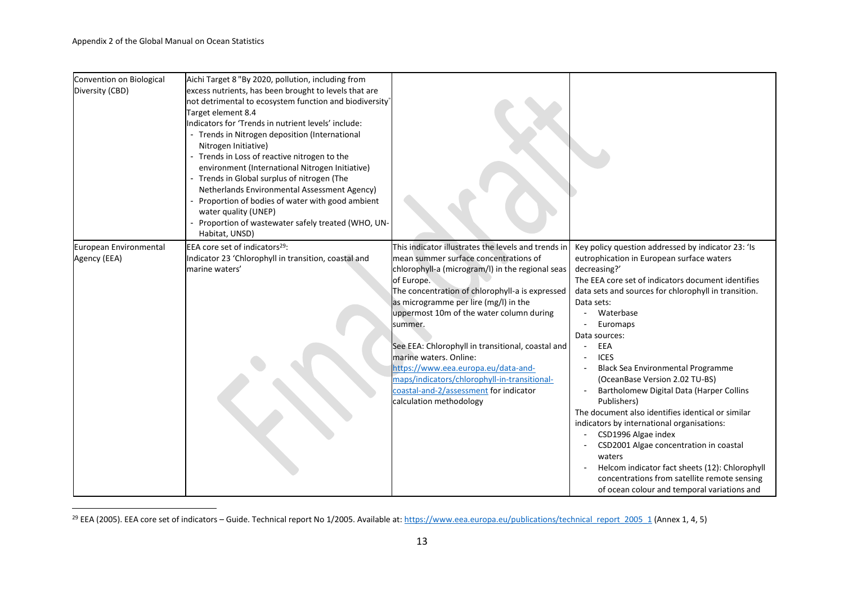| Convention on Biological<br>Diversity (CBD) | Aichi Target 8 "By 2020, pollution, including from<br>excess nutrients, has been brought to levels that are<br>not detrimental to ecosystem function and biodiversity"<br>Target element 8.4<br>Indicators for 'Trends in nutrient levels' include:<br>- Trends in Nitrogen deposition (International<br>Nitrogen Initiative)<br>- Trends in Loss of reactive nitrogen to the<br>environment (International Nitrogen Initiative)<br>- Trends in Global surplus of nitrogen (The<br>Netherlands Environmental Assessment Agency)<br>Proportion of bodies of water with good ambient<br>water quality (UNEP)<br>Proportion of wastewater safely treated (WHO, UN-<br>Habitat, UNSD) |                                                                                                                                                                                                                                                                                                                                                                                                                                                                                                                                                              |                                                                                                                                                                                                                                                                                                                                                                                                                                                                                                                                                                                                                                                                                                                                                                                                       |
|---------------------------------------------|-----------------------------------------------------------------------------------------------------------------------------------------------------------------------------------------------------------------------------------------------------------------------------------------------------------------------------------------------------------------------------------------------------------------------------------------------------------------------------------------------------------------------------------------------------------------------------------------------------------------------------------------------------------------------------------|--------------------------------------------------------------------------------------------------------------------------------------------------------------------------------------------------------------------------------------------------------------------------------------------------------------------------------------------------------------------------------------------------------------------------------------------------------------------------------------------------------------------------------------------------------------|-------------------------------------------------------------------------------------------------------------------------------------------------------------------------------------------------------------------------------------------------------------------------------------------------------------------------------------------------------------------------------------------------------------------------------------------------------------------------------------------------------------------------------------------------------------------------------------------------------------------------------------------------------------------------------------------------------------------------------------------------------------------------------------------------------|
| European Environmental<br>Agency (EEA)      | EEA core set of indicators <sup>29</sup> :<br>Indicator 23 'Chlorophyll in transition, coastal and<br>marine waters'                                                                                                                                                                                                                                                                                                                                                                                                                                                                                                                                                              | This indicator illustrates the levels and trends in<br>mean summer surface concentrations of<br>chlorophyll-a (microgram/l) in the regional seas<br>of Europe.<br>The concentration of chlorophyll-a is expressed<br>as microgramme per lire (mg/l) in the<br>uppermost 10m of the water column during<br>summer.<br>See EEA: Chlorophyll in transitional, coastal and<br>marine waters. Online:<br>https://www.eea.europa.eu/data-and-<br>maps/indicators/chlorophyll-in-transitional-<br>coastal-and-2/assessment for indicator<br>calculation methodology | Key policy question addressed by indicator 23: 'Is<br>eutrophication in European surface waters<br>decreasing?'<br>The EEA core set of indicators document identifies<br>data sets and sources for chlorophyll in transition.<br>Data sets:<br>Waterbase<br>Euromaps<br>Data sources:<br>EEA<br><b>ICES</b><br>$\blacksquare$<br><b>Black Sea Environmental Programme</b><br>(OceanBase Version 2.02 TU-BS)<br>Bartholomew Digital Data (Harper Collins<br>Publishers)<br>The document also identifies identical or similar<br>indicators by international organisations:<br>CSD1996 Algae index<br>CSD2001 Algae concentration in coastal<br>waters<br>Helcom indicator fact sheets (12): Chlorophyll<br>concentrations from satellite remote sensing<br>of ocean colour and temporal variations and |

<sup>&</sup>lt;sup>29</sup> EEA (2005). EEA core set of indicators – Guide. Technical report No 1/2005. Available at: <u>https://www.eea.europa.eu/publications/technical\_report\_2005\_1</u> (Annex 1, 4, 5)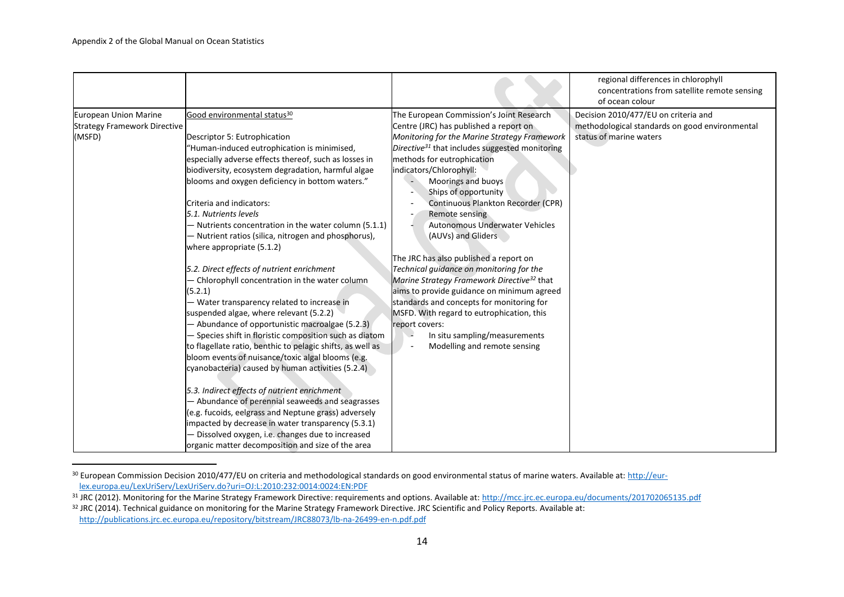|                                                                               |                                                                                                                                                                                                                                                                                                                                                                                                                                                                                                                                                                                                                                                                                                                                                                                                                                                                                                                                                                                                                                                                                                                                                                                                                                                                                                              |                                                                                                                                                                                                                                                                                                                                                                                                                                                                                                                                                                                                                                                                                                                                                                                                                             | regional differences in chlorophyll<br>concentrations from satellite remote sensing<br>of ocean colour            |
|-------------------------------------------------------------------------------|--------------------------------------------------------------------------------------------------------------------------------------------------------------------------------------------------------------------------------------------------------------------------------------------------------------------------------------------------------------------------------------------------------------------------------------------------------------------------------------------------------------------------------------------------------------------------------------------------------------------------------------------------------------------------------------------------------------------------------------------------------------------------------------------------------------------------------------------------------------------------------------------------------------------------------------------------------------------------------------------------------------------------------------------------------------------------------------------------------------------------------------------------------------------------------------------------------------------------------------------------------------------------------------------------------------|-----------------------------------------------------------------------------------------------------------------------------------------------------------------------------------------------------------------------------------------------------------------------------------------------------------------------------------------------------------------------------------------------------------------------------------------------------------------------------------------------------------------------------------------------------------------------------------------------------------------------------------------------------------------------------------------------------------------------------------------------------------------------------------------------------------------------------|-------------------------------------------------------------------------------------------------------------------|
| <b>European Union Marine</b><br><b>Strategy Framework Directive</b><br>(MSFD) | Good environmental status <sup>30</sup><br>Descriptor 5: Eutrophication<br>Human-induced eutrophication is minimised,<br>especially adverse effects thereof, such as losses in<br>biodiversity, ecosystem degradation, harmful algae<br>blooms and oxygen deficiency in bottom waters."<br>Criteria and indicators:<br>5.1. Nutrients levels<br>- Nutrients concentration in the water column (5.1.1)<br>- Nutrient ratios (silica, nitrogen and phosphorus),<br>where appropriate (5.1.2)<br>5.2. Direct effects of nutrient enrichment<br>Chlorophyll concentration in the water column<br>(5.2.1)<br>- Water transparency related to increase in<br>suspended algae, where relevant (5.2.2)<br>- Abundance of opportunistic macroalgae (5.2.3)<br>Species shift in floristic composition such as diatom<br>to flagellate ratio, benthic to pelagic shifts, as well as<br>bloom events of nuisance/toxic algal blooms (e.g.<br>cyanobacteria) caused by human activities (5.2.4)<br>5.3. Indirect effects of nutrient enrichment<br>- Abundance of perennial seaweeds and seagrasses<br>(e.g. fucoids, eelgrass and Neptune grass) adversely<br>impacted by decrease in water transparency (5.3.1)<br>Dissolved oxygen, i.e. changes due to increased<br>organic matter decomposition and size of the area | The European Commission's Joint Research<br>Centre (JRC) has published a report on<br>Monitoring for the Marine Strategy Framework<br>Directive <sup>31</sup> that includes suggested monitoring<br>methods for eutrophication<br>indicators/Chlorophyll:<br>Moorings and buoys<br>Ships of opportunity<br><b>Continuous Plankton Recorder (CPR)</b><br>Remote sensing<br>Autonomous Underwater Vehicles<br>(AUVs) and Gliders<br>The JRC has also published a report on<br>Technical guidance on monitoring for the<br>Marine Strategy Framework Directive <sup>32</sup> that<br>aims to provide guidance on minimum agreed<br>standards and concepts for monitoring for<br>MSFD. With regard to eutrophication, this<br>report covers:<br>In situ sampling/measurements<br>Modelling and remote sensing<br>$\blacksquare$ | Decision 2010/477/EU on criteria and<br>methodological standards on good environmental<br>status of marine waters |

<sup>&</sup>lt;sup>30</sup> European Commission Decision 2010/477/EU on criteria and methodological standards on good environmental status of marine waters. Available at: [http://eur](http://eur-lex.europa.eu/LexUriServ/LexUriServ.do?uri=OJ:L:2010:232:0014:0024:EN:PDF)[lex.europa.eu/LexUriServ/LexUriServ.do?uri=OJ:L:2010:232:0014:0024:EN:PDF](http://eur-lex.europa.eu/LexUriServ/LexUriServ.do?uri=OJ:L:2010:232:0014:0024:EN:PDF)

<sup>&</sup>lt;sup>31</sup> JRC (2012). Monitoring for the Marine Strategy Framework Directive: requirements and options. Available at:<http://mcc.jrc.ec.europa.eu/documents/201702065135.pdf> <sup>32</sup> JRC (2014). Technical guidance on monitoring for the Marine Strategy Framework Directive. JRC Scientific and Policy Reports. Available at:

<http://publications.jrc.ec.europa.eu/repository/bitstream/JRC88073/lb-na-26499-en-n.pdf.pdf>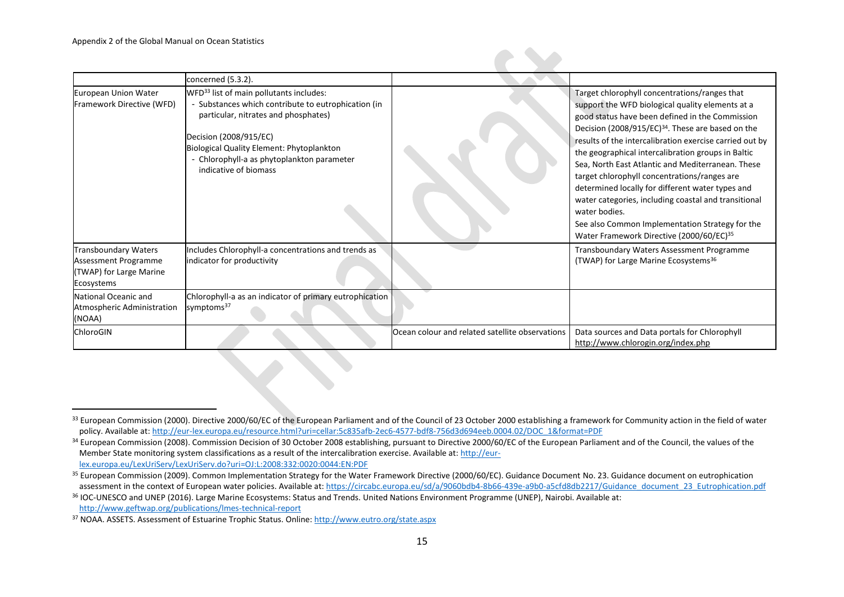|                                                                                       | concerned (5.3.2).                                                                                                                                                                                                                                                                               |                                                 |                                                                                                                                                                                                                                                                                                                                                                                                                                                                                                                                                                                                                                                                                     |
|---------------------------------------------------------------------------------------|--------------------------------------------------------------------------------------------------------------------------------------------------------------------------------------------------------------------------------------------------------------------------------------------------|-------------------------------------------------|-------------------------------------------------------------------------------------------------------------------------------------------------------------------------------------------------------------------------------------------------------------------------------------------------------------------------------------------------------------------------------------------------------------------------------------------------------------------------------------------------------------------------------------------------------------------------------------------------------------------------------------------------------------------------------------|
| <b>European Union Water</b><br>Framework Directive (WFD)                              | WFD <sup>33</sup> list of main pollutants includes:<br>- Substances which contribute to eutrophication (in<br>particular, nitrates and phosphates)<br>Decision (2008/915/EC)<br>Biological Quality Element: Phytoplankton<br>- Chlorophyll-a as phytoplankton parameter<br>indicative of biomass |                                                 | Target chlorophyll concentrations/ranges that<br>support the WFD biological quality elements at a<br>good status have been defined in the Commission<br>Decision (2008/915/EC) <sup>34</sup> . These are based on the<br>results of the intercalibration exercise carried out by<br>the geographical intercalibration groups in Baltic<br>Sea, North East Atlantic and Mediterranean. These<br>target chlorophyll concentrations/ranges are<br>determined locally for different water types and<br>water categories, including coastal and transitional<br>water bodies.<br>See also Common Implementation Strategy for the<br>Water Framework Directive (2000/60/EC) <sup>35</sup> |
| Transboundary Waters<br>Assessment Programme<br>(TWAP) for Large Marine<br>Ecosystems | Includes Chlorophyll-a concentrations and trends as<br>indicator for productivity                                                                                                                                                                                                                |                                                 | Transboundary Waters Assessment Programme<br>(TWAP) for Large Marine Ecosystems <sup>36</sup>                                                                                                                                                                                                                                                                                                                                                                                                                                                                                                                                                                                       |
| National Oceanic and<br>Atmospheric Administration<br>(NOAA)                          | Chlorophyll-a as an indicator of primary eutrophication<br>symptoms <sup>37</sup>                                                                                                                                                                                                                |                                                 |                                                                                                                                                                                                                                                                                                                                                                                                                                                                                                                                                                                                                                                                                     |
| ChloroGIN                                                                             |                                                                                                                                                                                                                                                                                                  | Ocean colour and related satellite observations | Data sources and Data portals for Chlorophyll<br>http://www.chlorogin.org/index.php                                                                                                                                                                                                                                                                                                                                                                                                                                                                                                                                                                                                 |

<sup>33</sup> European Commission (2000). Directive 2000/60/EC of the European Parliament and of the Council of 23 October 2000 establishing a framework for Community action in the field of water policy. Available at: [http://eur-lex.europa.eu/resource.html?uri=cellar:5c835afb-2ec6-4577-bdf8-756d3d694eeb.0004.02/DOC\\_1&format=PDF](http://eur-lex.europa.eu/resource.html?uri=cellar:5c835afb-2ec6-4577-bdf8-756d3d694eeb.0004.02/DOC_1&format=PDF)

<sup>&</sup>lt;sup>34</sup> European Commission (2008). Commission Decision of 30 October 2008 establishing, pursuant to Directive 2000/60/EC of the European Parliament and of the Council, the values of the Member State monitoring system classifications as a result of the intercalibration exercise. Available at[: http://eur](http://eur-lex.europa.eu/LexUriServ/LexUriServ.do?uri=OJ:L:2008:332:0020:0044:EN:PDF)[lex.europa.eu/LexUriServ/LexUriServ.do?uri=OJ:L:2008:332:0020:0044:EN:PDF](http://eur-lex.europa.eu/LexUriServ/LexUriServ.do?uri=OJ:L:2008:332:0020:0044:EN:PDF)

<sup>&</sup>lt;sup>35</sup> European Commission (2009). Common Implementation Strategy for the Water Framework Directive (2000/60/EC). Guidance Document No. 23. Guidance document on eutrophication assessment in the context of European water policies. Available at[: https://circabc.europa.eu/sd/a/9060bdb4-8b66-439e-a9b0-a5cfd8db2217/Guidance\\_document\\_23\\_Eutrophication.pdf](https://circabc.europa.eu/sd/a/9060bdb4-8b66-439e-a9b0-a5cfd8db2217/Guidance_document_23_Eutrophication.pdf)

<sup>36</sup> IOC-UNESCO and UNEP (2016). Large Marine Ecosystems: Status and Trends. United Nations Environment Programme (UNEP), Nairobi. Available at: <http://www.geftwap.org/publications/lmes-technical-report>

<sup>37</sup> NOAA. ASSETS. Assessment of Estuarine Trophic Status. Online[: http://www.eutro.org/state.aspx](http://www.eutro.org/state.aspx)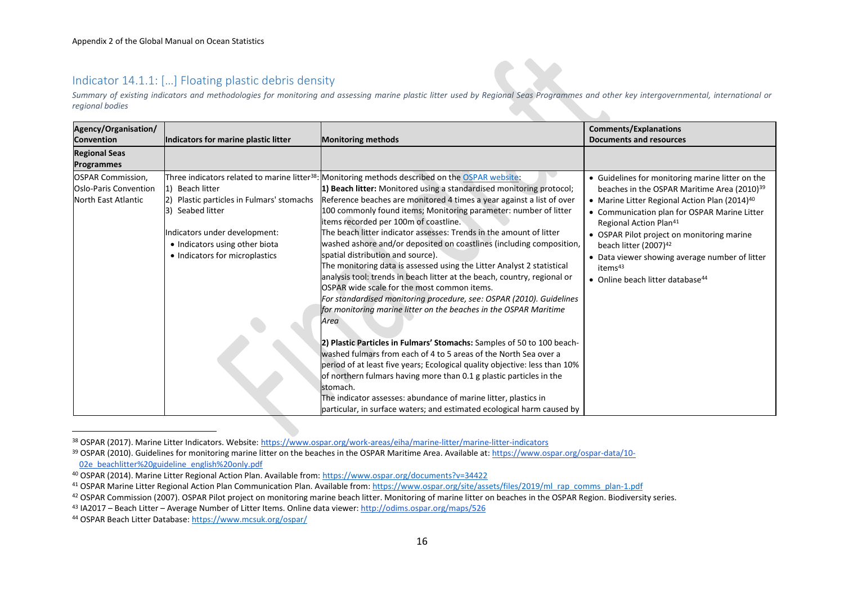## Indicator 14.1.1: […] Floating plastic debris density

Summary of existing indicators and methodologies for monitoring and assessing marine plastic litter used by Regional Seas Programmes and other key intergovernmental, international or *regional bodies*  $\sqrt{2}$ 

| Agency/Organisation/                                                     |                                                                                                                                                                                                                                                 |                                                                                                                                                                                                                                                                                                                                                                                                                                                                                                                                                                                                                                                                                                                                                                                                                                                                                                                                                                                                                                                                                                                                                                                                                                                                                                                            | <b>Comments/Explanations</b>                                                                                                                                                                                                                                                                                                                                                                                                                                               |
|--------------------------------------------------------------------------|-------------------------------------------------------------------------------------------------------------------------------------------------------------------------------------------------------------------------------------------------|----------------------------------------------------------------------------------------------------------------------------------------------------------------------------------------------------------------------------------------------------------------------------------------------------------------------------------------------------------------------------------------------------------------------------------------------------------------------------------------------------------------------------------------------------------------------------------------------------------------------------------------------------------------------------------------------------------------------------------------------------------------------------------------------------------------------------------------------------------------------------------------------------------------------------------------------------------------------------------------------------------------------------------------------------------------------------------------------------------------------------------------------------------------------------------------------------------------------------------------------------------------------------------------------------------------------------|----------------------------------------------------------------------------------------------------------------------------------------------------------------------------------------------------------------------------------------------------------------------------------------------------------------------------------------------------------------------------------------------------------------------------------------------------------------------------|
| <b>Convention</b>                                                        | Indicators for marine plastic litter                                                                                                                                                                                                            | <b>Monitoring methods</b>                                                                                                                                                                                                                                                                                                                                                                                                                                                                                                                                                                                                                                                                                                                                                                                                                                                                                                                                                                                                                                                                                                                                                                                                                                                                                                  | <b>Documents and resources</b>                                                                                                                                                                                                                                                                                                                                                                                                                                             |
| <b>Regional Seas</b><br><b>Programmes</b>                                |                                                                                                                                                                                                                                                 |                                                                                                                                                                                                                                                                                                                                                                                                                                                                                                                                                                                                                                                                                                                                                                                                                                                                                                                                                                                                                                                                                                                                                                                                                                                                                                                            |                                                                                                                                                                                                                                                                                                                                                                                                                                                                            |
| <b>OSPAR Commission,</b><br>Oslo-Paris Convention<br>North East Atlantic | Three indicators related to marine litter <sup>38</sup> :<br>1) Beach litter<br>Plastic particles in Fulmars' stomachs<br>3) Seabed litter<br>Indicators under development:<br>• Indicators using other biota<br>• Indicators for microplastics | Monitoring methods described on the OSPAR website:<br>1) Beach litter: Monitored using a standardised monitoring protocol;<br>Reference beaches are monitored 4 times a year against a list of over<br>100 commonly found items; Monitoring parameter: number of litter<br>items recorded per 100m of coastline.<br>The beach litter indicator assesses: Trends in the amount of litter<br>washed ashore and/or deposited on coastlines (including composition,<br>spatial distribution and source).<br>The monitoring data is assessed using the Litter Analyst 2 statistical<br>analysis tool: trends in beach litter at the beach, country, regional or<br>OSPAR wide scale for the most common items.<br>For standardised monitoring procedure, see: OSPAR (2010). Guidelines<br>for monitoring marine litter on the beaches in the OSPAR Maritime<br>Area<br>2) Plastic Particles in Fulmars' Stomachs: Samples of 50 to 100 beach-<br>washed fulmars from each of 4 to 5 areas of the North Sea over a<br>period of at least five years; Ecological quality objective: less than 10%<br>of northern fulmars having more than 0.1 g plastic particles in the<br>stomach.<br>The indicator assesses: abundance of marine litter, plastics in<br>particular, in surface waters; and estimated ecological harm caused by | • Guidelines for monitoring marine litter on the<br>beaches in the OSPAR Maritime Area (2010) <sup>39</sup><br>• Marine Litter Regional Action Plan (2014) <sup>40</sup><br>• Communication plan for OSPAR Marine Litter<br>Regional Action Plan <sup>41</sup><br>• OSPAR Pilot project on monitoring marine<br>beach litter (2007) <sup>42</sup><br>• Data viewer showing average number of litter<br>items <sup>43</sup><br>• Online beach litter database <sup>44</sup> |

<sup>38</sup> OSPAR (2017). Marine Litter Indicators. Website[: https://www.ospar.org/work-areas/eiha/marine-litter/marine-litter-indicators](https://www.ospar.org/work-areas/eiha/marine-litter/marine-litter-indicators)

<sup>&</sup>lt;sup>39</sup> OSPAR (2010). Guidelines for monitoring marine litter on the beaches in the OSPAR Maritime Area. Available at: [https://www.ospar.org/ospar-data/10-](https://www.ospar.org/ospar-data/10-02e_beachlitter%20guideline_english%20only.pdf) 02e beachlitter%20guideline\_english%20only.pdf

<sup>40</sup> OSPAR (2014). Marine Litter Regional Action Plan. Available from:<https://www.ospar.org/documents?v=34422>

<sup>&</sup>lt;sup>41</sup> OSPAR Marine Litter Regional Action Plan Communication Plan. Available from[: https://www.ospar.org/site/assets/files/2019/ml\\_rap\\_comms\\_plan-1.pdf](https://www.ospar.org/site/assets/files/2019/ml_rap_comms_plan-1.pdf)

<sup>42</sup> OSPAR Commission (2007). OSPAR Pilot project on monitoring marine beach litter. Monitoring of marine litter on beaches in the OSPAR Region. Biodiversity series.

<sup>43</sup> IA2017 – Beach Litter – Average Number of Litter Items. Online data viewer:<http://odims.ospar.org/maps/526>

<sup>44</sup> OSPAR Beach Litter Database[: https://www.mcsuk.org/ospar/](https://www.mcsuk.org/ospar/)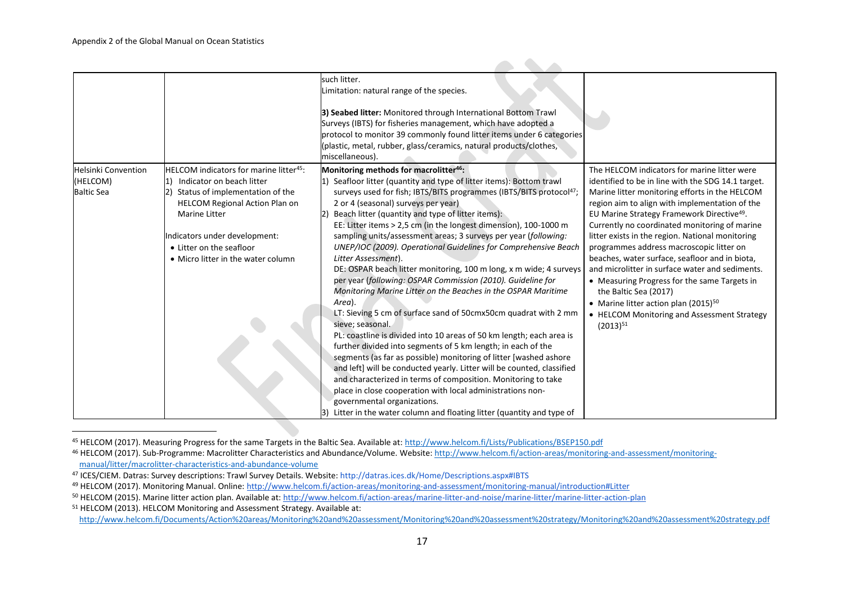|                            |                                                     | such litter.<br>Limitation: natural range of the species.                                                                                                                                                                                                                                         |                                                        |
|----------------------------|-----------------------------------------------------|---------------------------------------------------------------------------------------------------------------------------------------------------------------------------------------------------------------------------------------------------------------------------------------------------|--------------------------------------------------------|
|                            |                                                     | 3) Seabed litter: Monitored through International Bottom Trawl<br>Surveys (IBTS) for fisheries management, which have adopted a<br>protocol to monitor 39 commonly found litter items under 6 categories<br>(plastic, metal, rubber, glass/ceramics, natural products/clothes,<br>miscellaneous). |                                                        |
| <b>Helsinki Convention</b> | HELCOM indicators for marine litter <sup>45</sup> : | Monitoring methods for macrolitter <sup>46</sup> :                                                                                                                                                                                                                                                | The HELCOM indicators for marine litter were           |
| (HELCOM)                   | Indicator on beach litter                           | 1) Seafloor litter (quantity and type of litter items): Bottom trawl                                                                                                                                                                                                                              | identified to be in line with the SDG 14.1 target.     |
| <b>Baltic Sea</b>          | 2) Status of implementation of the                  | surveys used for fish; IBTS/BITS programmes (IBTS/BITS protocol <sup>47</sup> ;                                                                                                                                                                                                                   | Marine litter monitoring efforts in the HELCOM         |
|                            | <b>HELCOM Regional Action Plan on</b>               | 2 or 4 (seasonal) surveys per year)                                                                                                                                                                                                                                                               | region aim to align with implementation of the         |
|                            | <b>Marine Litter</b>                                | Beach litter (quantity and type of litter items):                                                                                                                                                                                                                                                 | EU Marine Strategy Framework Directive <sup>49</sup> . |
|                            |                                                     | EE: Litter items > 2,5 cm (in the longest dimension), 100-1000 m                                                                                                                                                                                                                                  | Currently no coordinated monitoring of marine          |
|                            | Indicators under development:                       | sampling units/assessment areas; 3 surveys per year (following:                                                                                                                                                                                                                                   | litter exists in the region. National monitoring       |
|                            | • Litter on the seafloor                            | UNEP/IOC (2009). Operational Guidelines for Comprehensive Beach                                                                                                                                                                                                                                   | programmes address macroscopic litter on               |
|                            | • Micro litter in the water column                  | Litter Assessment).                                                                                                                                                                                                                                                                               | beaches, water surface, seafloor and in biota,         |
|                            |                                                     | DE: OSPAR beach litter monitoring, 100 m long, x m wide; 4 surveys                                                                                                                                                                                                                                | and microlitter in surface water and sediments.        |
|                            |                                                     | per year (following: OSPAR Commission (2010). Guideline for                                                                                                                                                                                                                                       | • Measuring Progress for the same Targets in           |
|                            |                                                     | Monitoring Marine Litter on the Beaches in the OSPAR Maritime                                                                                                                                                                                                                                     | the Baltic Sea (2017)                                  |
|                            |                                                     | Area).                                                                                                                                                                                                                                                                                            | • Marine litter action plan (2015) <sup>50</sup>       |
|                            |                                                     | LT: Sieving 5 cm of surface sand of 50cmx50cm quadrat with 2 mm                                                                                                                                                                                                                                   | • HELCOM Monitoring and Assessment Strategy            |
|                            |                                                     | sieve; seasonal.                                                                                                                                                                                                                                                                                  | $(2013)^{51}$                                          |
|                            |                                                     | PL: coastline is divided into 10 areas of 50 km length; each area is                                                                                                                                                                                                                              |                                                        |
|                            |                                                     | further divided into segments of 5 km length; in each of the                                                                                                                                                                                                                                      |                                                        |
|                            |                                                     | segments (as far as possible) monitoring of litter [washed ashore                                                                                                                                                                                                                                 |                                                        |
|                            |                                                     | and left] will be conducted yearly. Litter will be counted, classified                                                                                                                                                                                                                            |                                                        |
|                            |                                                     | and characterized in terms of composition. Monitoring to take                                                                                                                                                                                                                                     |                                                        |
|                            |                                                     | place in close cooperation with local administrations non-                                                                                                                                                                                                                                        |                                                        |
|                            |                                                     | governmental organizations.                                                                                                                                                                                                                                                                       |                                                        |
|                            |                                                     | Litter in the water column and floating litter (quantity and type of                                                                                                                                                                                                                              |                                                        |

<sup>50</sup> HELCOM (2015). Marine litter action plan. Available at[: http://www.helcom.fi/action-areas/marine-litter-and-noise/marine-litter/marine-litter-action-plan](http://www.helcom.fi/action-areas/marine-litter-and-noise/marine-litter/marine-litter-action-plan)

<sup>45</sup> HELCOM (2017). Measuring Progress for the same Targets in the Baltic Sea. Available at:<http://www.helcom.fi/Lists/Publications/BSEP150.pdf>

<sup>46</sup> HELCOM (2017). Sub-Programme: Macrolitter Characteristics and Abundance/Volume. Website[: http://www.helcom.fi/action-areas/monitoring-and-assessment/monitoring](http://www.helcom.fi/action-areas/monitoring-and-assessment/monitoring-manual/litter/macrolitter-characteristics-and-abundance-volume)[manual/litter/macrolitter-characteristics-and-abundance-volume](http://www.helcom.fi/action-areas/monitoring-and-assessment/monitoring-manual/litter/macrolitter-characteristics-and-abundance-volume)

<sup>47</sup> ICES/CIEM. Datras: Survey descriptions: Trawl Survey Details. Website[: http://datras.ices.dk/Home/Descriptions.aspx#IBTS](http://datras.ices.dk/Home/Descriptions.aspx#IBTS)

<sup>49</sup> HELCOM (2017). Monitoring Manual. Online:<http://www.helcom.fi/action-areas/monitoring-and-assessment/monitoring-manual/introduction#Litter>

<sup>51</sup> HELCOM (2013). HELCOM Monitoring and Assessment Strategy. Available at: <http://www.helcom.fi/Documents/Action%20areas/Monitoring%20and%20assessment/Monitoring%20and%20assessment%20strategy/Monitoring%20and%20assessment%20strategy.pdf>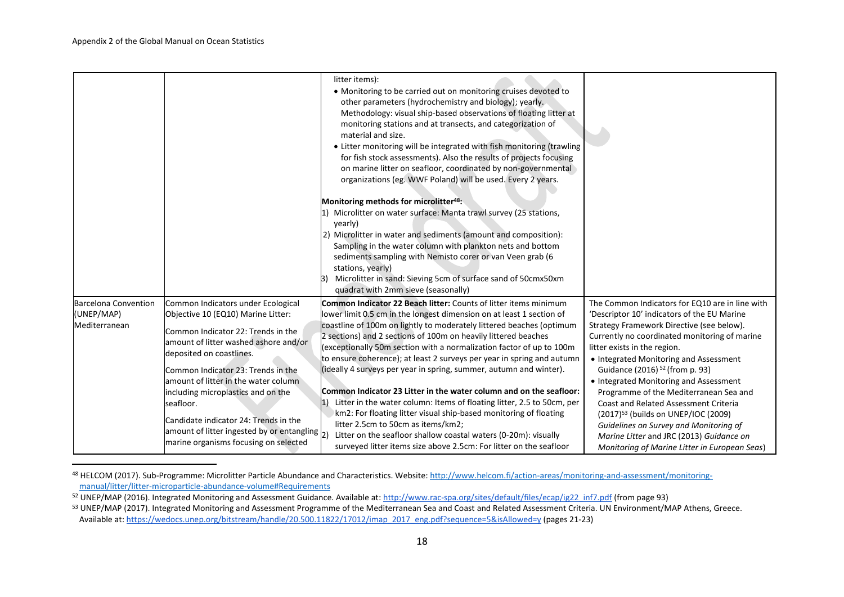|                                                            |                                                                                                                                                                                                                                                                                                                                                                                                                                                                | litter items):<br>• Monitoring to be carried out on monitoring cruises devoted to<br>other parameters (hydrochemistry and biology); yearly.<br>Methodology: visual ship-based observations of floating litter at<br>monitoring stations and at transects, and categorization of<br>material and size.<br>• Litter monitoring will be integrated with fish monitoring (trawling<br>for fish stock assessments). Also the results of projects focusing<br>on marine litter on seafloor, coordinated by non-governmental<br>organizations (eg. WWF Poland) will be used. Every 2 years.<br>Monitoring methods for microlitter <sup>48</sup> :                                                                                                                                                                                                                                                                             |                                                                                                                                                                                                                                                                                                                                                                                                                                                                                                                                                                                                                                                    |
|------------------------------------------------------------|----------------------------------------------------------------------------------------------------------------------------------------------------------------------------------------------------------------------------------------------------------------------------------------------------------------------------------------------------------------------------------------------------------------------------------------------------------------|------------------------------------------------------------------------------------------------------------------------------------------------------------------------------------------------------------------------------------------------------------------------------------------------------------------------------------------------------------------------------------------------------------------------------------------------------------------------------------------------------------------------------------------------------------------------------------------------------------------------------------------------------------------------------------------------------------------------------------------------------------------------------------------------------------------------------------------------------------------------------------------------------------------------|----------------------------------------------------------------------------------------------------------------------------------------------------------------------------------------------------------------------------------------------------------------------------------------------------------------------------------------------------------------------------------------------------------------------------------------------------------------------------------------------------------------------------------------------------------------------------------------------------------------------------------------------------|
|                                                            |                                                                                                                                                                                                                                                                                                                                                                                                                                                                | 1) Microlitter on water surface: Manta trawl survey (25 stations,<br>yearly)<br>2) Microlitter in water and sediments (amount and composition):<br>Sampling in the water column with plankton nets and bottom<br>sediments sampling with Nemisto corer or van Veen grab (6<br>stations, yearly)<br>Microlitter in sand: Sieving 5cm of surface sand of 50cmx50xm<br>B)<br>quadrat with 2mm sieve (seasonally)                                                                                                                                                                                                                                                                                                                                                                                                                                                                                                          |                                                                                                                                                                                                                                                                                                                                                                                                                                                                                                                                                                                                                                                    |
| <b>Barcelona Convention</b><br>(UNEP/MAP)<br>Mediterranean | Common Indicators under Ecological<br>Objective 10 (EQ10) Marine Litter:<br>Common Indicator 22: Trends in the<br>amount of litter washed ashore and/or<br>deposited on coastlines.<br>Common Indicator 23: Trends in the<br>amount of litter in the water column<br>including microplastics and on the<br>seafloor.<br>Candidate indicator 24: Trends in the<br>amount of litter ingested by or entangling $\vert_2$<br>marine organisms focusing on selected | <b>Common Indicator 22 Beach litter:</b> Counts of litter items minimum<br>lower limit 0.5 cm in the longest dimension on at least 1 section of<br>coastline of 100m on lightly to moderately littered beaches (optimum<br>2 sections) and 2 sections of 100m on heavily littered beaches<br>(exceptionally 50m section with a normalization factor of up to 100m<br>to ensure coherence); at least 2 surveys per year in spring and autumn<br>(ideally 4 surveys per year in spring, summer, autumn and winter).<br>Common Indicator 23 Litter in the water column and on the seafloor:<br>Litter in the water column: Items of floating litter, 2.5 to 50cm, per<br>km2: For floating litter visual ship-based monitoring of floating<br>litter 2.5cm to 50cm as items/km2;<br>Litter on the seafloor shallow coastal waters (0-20m): visually<br>surveyed litter items size above 2.5cm: For litter on the seafloor | The Common Indicators for EQ10 are in line with<br>'Descriptor 10' indicators of the EU Marine<br>Strategy Framework Directive (see below).<br>Currently no coordinated monitoring of marine<br>litter exists in the region.<br>• Integrated Monitoring and Assessment<br>Guidance (2016) <sup>52</sup> (from p. 93)<br>• Integrated Monitoring and Assessment<br>Programme of the Mediterranean Sea and<br><b>Coast and Related Assessment Criteria</b><br>(2017) <sup>53</sup> (builds on UNEP/IOC (2009)<br>Guidelines on Survey and Monitoring of<br>Marine Litter and JRC (2013) Guidance on<br>Monitoring of Marine Litter in European Seas) |

<sup>48</sup> HELCOM (2017). Sub-Programme: Microlitter Particle Abundance and Characteristics. Website: [http://www.helcom.fi/action-areas/monitoring-and-assessment/monitoring](http://www.helcom.fi/action-areas/monitoring-and-assessment/monitoring-manual/litter/litter-microparticle-abundance-volume#Requirements)[manual/litter/litter-microparticle-abundance-volume#Requirements](http://www.helcom.fi/action-areas/monitoring-and-assessment/monitoring-manual/litter/litter-microparticle-abundance-volume#Requirements)

<sup>52</sup> UNEP/MAP (2016). Integrated Monitoring and Assessment Guidance. Available at[: http://www.rac-spa.org/sites/default/files/ecap/ig22\\_inf7.pdf](http://www.rac-spa.org/sites/default/files/ecap/ig22_inf7.pdf) (from page 93)

<sup>53</sup> UNEP/MAP (2017). Integrated Monitoring and Assessment Programme of the Mediterranean Sea and Coast and Related Assessment Criteria. UN Environment/MAP Athens, Greece. Available at[: https://wedocs.unep.org/bitstream/handle/20.500.11822/17012/imap\\_2017\\_eng.pdf?sequence=5&isAllowed=y](https://wedocs.unep.org/bitstream/handle/20.500.11822/17012/imap_2017_eng.pdf?sequence=5&isAllowed=y) (pages 21-23)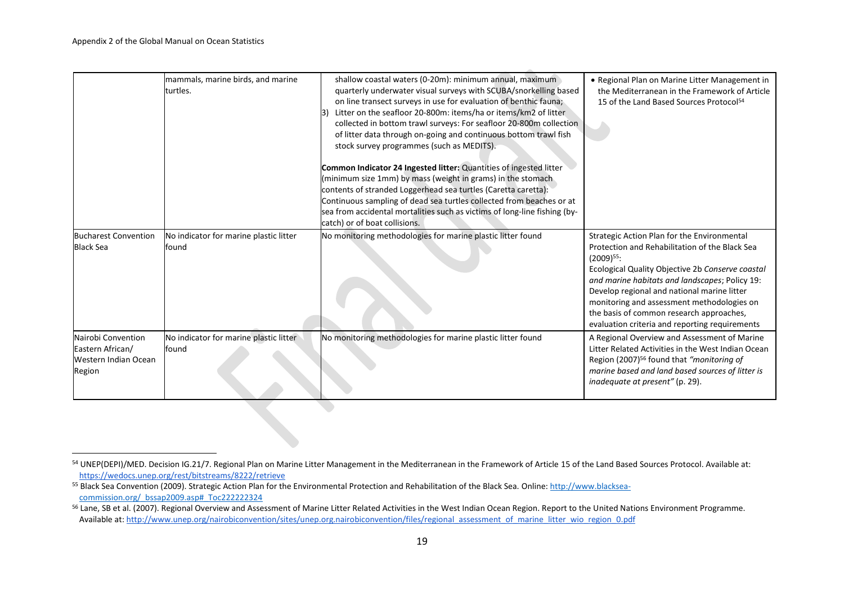|                                                                          | mammals, marine birds, and marine<br>turtles.   | shallow coastal waters (0-20m): minimum annual, maximum<br>quarterly underwater visual surveys with SCUBA/snorkelling based<br>on line transect surveys in use for evaluation of benthic fauna;<br>Litter on the seafloor 20-800m: items/ha or items/km2 of litter<br>collected in bottom trawl surveys: For seafloor 20-800m collection<br>of litter data through on-going and continuous bottom trawl fish<br>stock survey programmes (such as MEDITS). | • Regional Plan on Marine Litter Management in<br>the Mediterranean in the Framework of Article<br>15 of the Land Based Sources Protocol <sup>54</sup>                                                                                                                                                                                                                                                            |
|--------------------------------------------------------------------------|-------------------------------------------------|-----------------------------------------------------------------------------------------------------------------------------------------------------------------------------------------------------------------------------------------------------------------------------------------------------------------------------------------------------------------------------------------------------------------------------------------------------------|-------------------------------------------------------------------------------------------------------------------------------------------------------------------------------------------------------------------------------------------------------------------------------------------------------------------------------------------------------------------------------------------------------------------|
|                                                                          |                                                 | Common Indicator 24 Ingested litter: Quantities of ingested litter<br>(minimum size 1mm) by mass (weight in grams) in the stomach<br>contents of stranded Loggerhead sea turtles (Caretta caretta):<br>Continuous sampling of dead sea turtles collected from beaches or at<br>sea from accidental mortalities such as victims of long-line fishing (by-<br>catch) or of boat collisions.                                                                 |                                                                                                                                                                                                                                                                                                                                                                                                                   |
| <b>Bucharest Convention</b><br><b>Black Sea</b>                          | No indicator for marine plastic litter<br>found | No monitoring methodologies for marine plastic litter found                                                                                                                                                                                                                                                                                                                                                                                               | Strategic Action Plan for the Environmental<br>Protection and Rehabilitation of the Black Sea<br>$(2009)^{55}$ :<br>Ecological Quality Objective 2b Conserve coastal<br>and marine habitats and landscapes; Policy 19:<br>Develop regional and national marine litter<br>monitoring and assessment methodologies on<br>the basis of common research approaches,<br>evaluation criteria and reporting requirements |
| Nairobi Convention<br>Eastern African/<br>Western Indian Ocean<br>Region | No indicator for marine plastic litter<br>found | No monitoring methodologies for marine plastic litter found                                                                                                                                                                                                                                                                                                                                                                                               | A Regional Overview and Assessment of Marine<br>Litter Related Activities in the West Indian Ocean<br>Region (2007) <sup>56</sup> found that "monitoring of<br>marine based and land based sources of litter is<br>inadequate at present" (p. 29).                                                                                                                                                                |

<sup>54</sup> UNEP(DEPI)/MED. Decision IG.21/7. Regional Plan on Marine Litter Management in the Mediterranean in the Framework of Article 15 of the Land Based Sources Protocol. Available at: <https://wedocs.unep.org/rest/bitstreams/8222/retrieve>

<sup>55</sup> Black Sea Convention (2009). Strategic Action Plan for the Environmental Protection and Rehabilitation of the Black Sea. Online: [http://www.blacksea](http://www.blacksea-commission.org/_bssap2009.asp#_Toc222222324)[commission.org/\\_bssap2009.asp#\\_Toc222222324](http://www.blacksea-commission.org/_bssap2009.asp#_Toc222222324)

<sup>&</sup>lt;sup>56</sup> Lane, SB et al. (2007). Regional Overview and Assessment of Marine Litter Related Activities in the West Indian Ocean Region. Report to the United Nations Environment Programme. Available at[: http://www.unep.org/nairobiconvention/sites/unep.org.nairobiconvention/files/regional\\_assessment\\_of\\_marine\\_litter\\_wio\\_region\\_0.pdf](http://www.unep.org/nairobiconvention/sites/unep.org.nairobiconvention/files/regional_assessment_of_marine_litter_wio_region_0.pdf)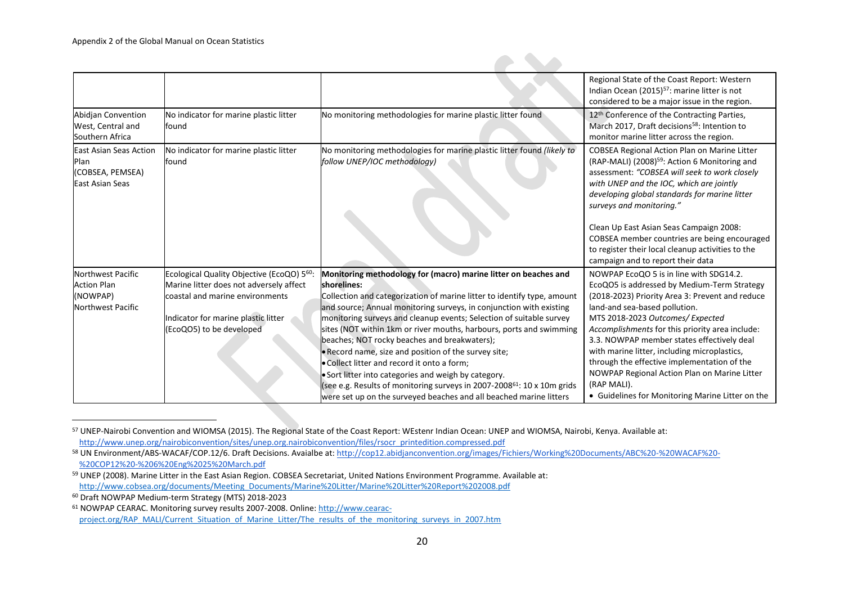|                                                                              |                                                                                                                                                                                            |                                                                                                                                                                                                                                                                                                                                                                                                                                                                                                                                                                                                                                                                                                                                                            | Regional State of the Coast Report: Western<br>Indian Ocean (2015) <sup>57</sup> : marine litter is not<br>considered to be a major issue in the region.                                                                                                                                                                                                                                                                                                                                                                          |
|------------------------------------------------------------------------------|--------------------------------------------------------------------------------------------------------------------------------------------------------------------------------------------|------------------------------------------------------------------------------------------------------------------------------------------------------------------------------------------------------------------------------------------------------------------------------------------------------------------------------------------------------------------------------------------------------------------------------------------------------------------------------------------------------------------------------------------------------------------------------------------------------------------------------------------------------------------------------------------------------------------------------------------------------------|-----------------------------------------------------------------------------------------------------------------------------------------------------------------------------------------------------------------------------------------------------------------------------------------------------------------------------------------------------------------------------------------------------------------------------------------------------------------------------------------------------------------------------------|
| Abidjan Convention<br>West, Central and<br>Southern Africa                   | No indicator for marine plastic litter<br>found                                                                                                                                            | No monitoring methodologies for marine plastic litter found                                                                                                                                                                                                                                                                                                                                                                                                                                                                                                                                                                                                                                                                                                | 12 <sup>th</sup> Conference of the Contracting Parties,<br>March 2017, Draft decisions <sup>58</sup> : Intention to<br>monitor marine litter across the region.                                                                                                                                                                                                                                                                                                                                                                   |
| <b>East Asian Seas Action</b><br>Plan<br>(COBSEA, PEMSEA)<br>East Asian Seas | No indicator for marine plastic litter<br>found                                                                                                                                            | No monitoring methodologies for marine plastic litter found (likely to<br>follow UNEP/IOC methodology)                                                                                                                                                                                                                                                                                                                                                                                                                                                                                                                                                                                                                                                     | COBSEA Regional Action Plan on Marine Litter<br>(RAP-MALI) (2008) <sup>59</sup> : Action 6 Monitoring and<br>assessment: "COBSEA will seek to work closely<br>with UNEP and the IOC, which are jointly<br>developing global standards for marine litter<br>surveys and monitoring."<br>Clean Up East Asian Seas Campaign 2008:<br>COBSEA member countries are being encouraged<br>to register their local cleanup activities to the<br>campaign and to report their data                                                          |
| Northwest Pacific<br><b>Action Plan</b><br>(NOWPAP)<br>Northwest Pacific     | Ecological Quality Objective (EcoQO) 560:<br>Marine litter does not adversely affect<br>coastal and marine environments<br>Indicator for marine plastic litter<br>(EcoQO5) to be developed | Monitoring methodology for (macro) marine litter on beaches and<br>shorelines:<br>Collection and categorization of marine litter to identify type, amount<br>and source; Annual monitoring surveys, in conjunction with existing<br>monitoring surveys and cleanup events; Selection of suitable survey<br>sites (NOT within 1km or river mouths, harbours, ports and swimming<br>beaches; NOT rocky beaches and breakwaters);<br>. Record name, size and position of the survey site;<br>. Collect litter and record it onto a form;<br>. Sort litter into categories and weigh by category.<br>(see e.g. Results of monitoring surveys in 2007-2008 <sup>61</sup> : 10 x 10m grids<br>were set up on the surveyed beaches and all beached marine litters | NOWPAP EcoQO 5 is in line with SDG14.2.<br>EcoQO5 is addressed by Medium-Term Strategy<br>(2018-2023) Priority Area 3: Prevent and reduce<br>land-and sea-based pollution.<br>MTS 2018-2023 Outcomes/ Expected<br>Accomplishments for this priority area include:<br>3.3. NOWPAP member states effectively deal<br>with marine litter, including microplastics,<br>through the effective implementation of the<br>NOWPAP Regional Action Plan on Marine Litter<br>(RAP MALI).<br>• Guidelines for Monitoring Marine Litter on the |

**A** 

<sup>57</sup> UNEP-Nairobi Convention and WIOMSA (2015). The Regional State of the Coast Report: WEstenr Indian Ocean: UNEP and WIOMSA, Nairobi, Kenya. Available at: [http://www.unep.org/nairobiconvention/sites/unep.org.nairobiconvention/files/rsocr\\_printedition.compressed.pdf](http://www.unep.org/nairobiconvention/sites/unep.org.nairobiconvention/files/rsocr_printedition.compressed.pdf)

<sup>58</sup> UN Environment/ABS-WACAF/COP.12/6. Draft Decisions. Avaialbe at: [http://cop12.abidjanconvention.org/images/Fichiers/Working%20Documents/ABC%20-%20WACAF%20-](http://cop12.abidjanconvention.org/images/Fichiers/Working%20Documents/ABC%20-%20WACAF%20-%20COP12%20-%206%20Eng%2025%20March.pdf) [%20COP12%20-%206%20Eng%2025%20March.pdf](http://cop12.abidjanconvention.org/images/Fichiers/Working%20Documents/ABC%20-%20WACAF%20-%20COP12%20-%206%20Eng%2025%20March.pdf)

<sup>59</sup> UNEP (2008). Marine Litter in the East Asian Region. COBSEA Secretariat, United Nations Environment Programme. Available at: [http://www.cobsea.org/documents/Meeting\\_Documents/Marine%20Litter/Marine%20Litter%20Report%202008.pdf](http://www.cobsea.org/documents/Meeting_Documents/Marine%20Litter/Marine%20Litter%20Report%202008.pdf)

<sup>60</sup> Draft NOWPAP Medium-term Strategy (MTS) 2018-2023

<sup>61</sup> NOWPAP CEARAC. Monitoring survey results 2007-2008. Online: [http://www.cearac](http://www.cearac-project.org/RAP_MALI/Current_Situation_of_Marine_Litter/The_results_of_the_monitoring_surveys_in_2007.htm)[project.org/RAP\\_MALI/Current\\_Situation\\_of\\_Marine\\_Litter/The\\_results\\_of\\_the\\_monitoring\\_surveys\\_in\\_2007.htm](http://www.cearac-project.org/RAP_MALI/Current_Situation_of_Marine_Litter/The_results_of_the_monitoring_surveys_in_2007.htm)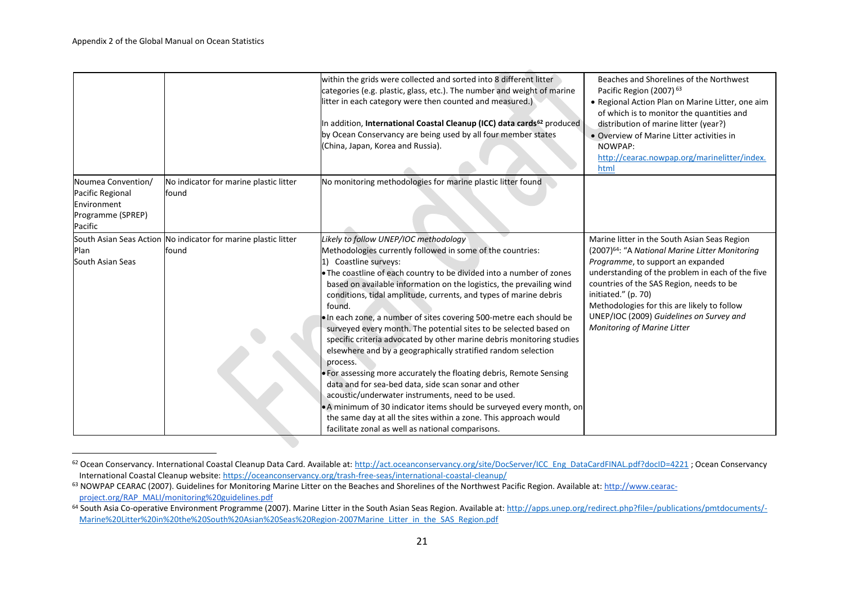|                                                                                       |                                                                         | within the grids were collected and sorted into 8 different litter<br>categories (e.g. plastic, glass, etc.). The number and weight of marine<br>litter in each category were then counted and measured.)<br>In addition, International Coastal Cleanup (ICC) data cards <sup>62</sup> produced<br>by Ocean Conservancy are being used by all four member states<br>(China, Japan, Korea and Russia).                                                                                                                                                                                                                                                                                                                                                                                                                                                                                                                                                                                                                                           | Beaches and Shorelines of the Northwest<br>Pacific Region (2007) <sup>63</sup><br>. Regional Action Plan on Marine Litter, one aim<br>of which is to monitor the quantities and<br>distribution of marine litter (year?)<br>• Overview of Marine Litter activities in<br>NOWPAP:<br>http://cearac.nowpap.org/marinelitter/index.<br>html                                                          |
|---------------------------------------------------------------------------------------|-------------------------------------------------------------------------|-------------------------------------------------------------------------------------------------------------------------------------------------------------------------------------------------------------------------------------------------------------------------------------------------------------------------------------------------------------------------------------------------------------------------------------------------------------------------------------------------------------------------------------------------------------------------------------------------------------------------------------------------------------------------------------------------------------------------------------------------------------------------------------------------------------------------------------------------------------------------------------------------------------------------------------------------------------------------------------------------------------------------------------------------|---------------------------------------------------------------------------------------------------------------------------------------------------------------------------------------------------------------------------------------------------------------------------------------------------------------------------------------------------------------------------------------------------|
| Noumea Convention/<br>Pacific Regional<br>Environment<br>Programme (SPREP)<br>Pacific | No indicator for marine plastic litter<br>found                         | No monitoring methodologies for marine plastic litter found                                                                                                                                                                                                                                                                                                                                                                                                                                                                                                                                                                                                                                                                                                                                                                                                                                                                                                                                                                                     |                                                                                                                                                                                                                                                                                                                                                                                                   |
| Plan<br>South Asian Seas                                                              | South Asian Seas Action No indicator for marine plastic litter<br>found | Likely to follow UNEP/IOC methodology<br>Methodologies currently followed in some of the countries:<br>Coastline surveys:<br>. The coastline of each country to be divided into a number of zones<br>based on available information on the logistics, the prevailing wind<br>conditions, tidal amplitude, currents, and types of marine debris<br>found.<br>. In each zone, a number of sites covering 500-metre each should be<br>surveyed every month. The potential sites to be selected based on<br>specific criteria advocated by other marine debris monitoring studies<br>elsewhere and by a geographically stratified random selection<br>process.<br>. For assessing more accurately the floating debris, Remote Sensing<br>data and for sea-bed data, side scan sonar and other<br>acoustic/underwater instruments, need to be used.<br>• A minimum of 30 indicator items should be surveyed every month, on<br>the same day at all the sites within a zone. This approach would<br>facilitate zonal as well as national comparisons. | Marine litter in the South Asian Seas Region<br>(2007) <sup>64</sup> : "A National Marine Litter Monitoring<br>Programme, to support an expanded<br>understanding of the problem in each of the five<br>countries of the SAS Region, needs to be<br>initiated." (p. 70)<br>Methodologies for this are likely to follow<br>UNEP/IOC (2009) Guidelines on Survey and<br>Monitoring of Marine Litter |

<sup>62</sup> Ocean Conservancy. International Coastal Cleanup Data Card. Available at: [http://act.oceanconservancy.org/site/DocServer/ICC\\_Eng\\_DataCardFINAL.pdf?docID=4221](http://act.oceanconservancy.org/site/DocServer/ICC_Eng_DataCardFINAL.pdf?docID=4221) ; Ocean Conservancy International Coastal Cleanup website[: https://oceanconservancy.org/trash-free-seas/international-coastal-cleanup/](https://oceanconservancy.org/trash-free-seas/international-coastal-cleanup/)

<sup>&</sup>lt;sup>63</sup> NOWPAP CEARAC (2007). Guidelines for Monitoring Marine Litter on the Beaches and Shorelines of the Northwest Pacific Region. Available at: [http://www.cearac](http://www.cearac-project.org/RAP_MALI/monitoring%20guidelines.pdf)[project.org/RAP\\_MALI/monitoring%20guidelines.pdf](http://www.cearac-project.org/RAP_MALI/monitoring%20guidelines.pdf)

<sup>64</sup> South Asia Co-operative Environment Programme (2007). Marine Litter in the South Asian Seas Region. Available at: [http://apps.unep.org/redirect.php?file=/publications/pmtdocuments/-](http://apps.unep.org/redirect.php?file=/publications/pmtdocuments/-Marine%20Litter%20in%20the%20South%20Asian%20Seas%20Region-2007Marine_Litter_in_the_SAS_Region.pdf) [Marine%20Litter%20in%20the%20South%20Asian%20Seas%20Region-2007Marine\\_Litter\\_in\\_the\\_SAS\\_Region.pdf](http://apps.unep.org/redirect.php?file=/publications/pmtdocuments/-Marine%20Litter%20in%20the%20South%20Asian%20Seas%20Region-2007Marine_Litter_in_the_SAS_Region.pdf)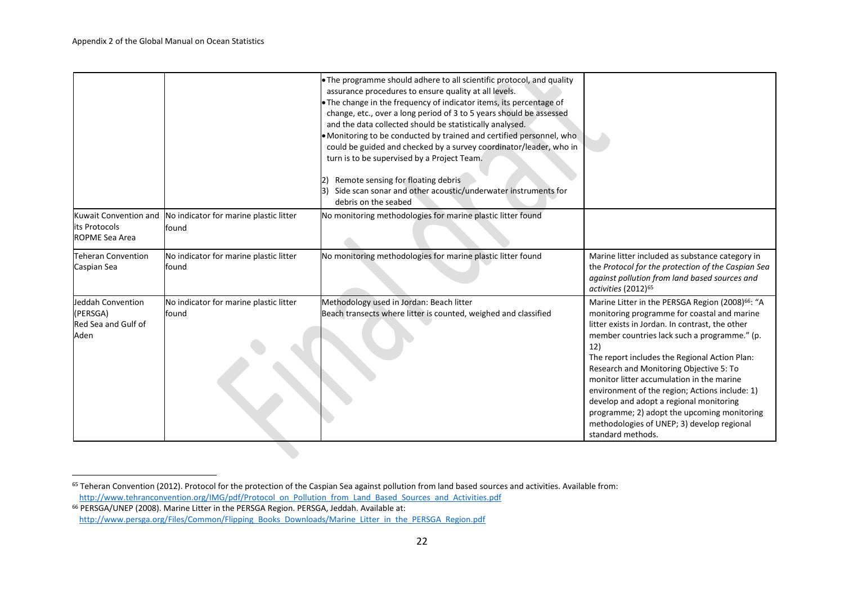| Kuwait Convention and<br>its Protocols<br>ROPME Sea Area     | No indicator for marine plastic litter<br>found | • The programme should adhere to all scientific protocol, and quality<br>assurance procedures to ensure quality at all levels.<br>• The change in the frequency of indicator items, its percentage of<br>change, etc., over a long period of 3 to 5 years should be assessed<br>and the data collected should be statistically analysed.<br>• Monitoring to be conducted by trained and certified personnel, who<br>could be guided and checked by a survey coordinator/leader, who in<br>turn is to be supervised by a Project Team.<br>Remote sensing for floating debris<br>Side scan sonar and other acoustic/underwater instruments for<br>debris on the seabed<br>No monitoring methodologies for marine plastic litter found |                                                                                                                                                                                                                                                                                                                                                                                                                                                                                                                                                                               |
|--------------------------------------------------------------|-------------------------------------------------|-------------------------------------------------------------------------------------------------------------------------------------------------------------------------------------------------------------------------------------------------------------------------------------------------------------------------------------------------------------------------------------------------------------------------------------------------------------------------------------------------------------------------------------------------------------------------------------------------------------------------------------------------------------------------------------------------------------------------------------|-------------------------------------------------------------------------------------------------------------------------------------------------------------------------------------------------------------------------------------------------------------------------------------------------------------------------------------------------------------------------------------------------------------------------------------------------------------------------------------------------------------------------------------------------------------------------------|
| <b>Teheran Convention</b><br>Caspian Sea                     | No indicator for marine plastic litter<br>found | No monitoring methodologies for marine plastic litter found                                                                                                                                                                                                                                                                                                                                                                                                                                                                                                                                                                                                                                                                         | Marine litter included as substance category in<br>the Protocol for the protection of the Caspian Sea<br>against pollution from land based sources and<br>activities (2012) <sup>65</sup>                                                                                                                                                                                                                                                                                                                                                                                     |
| Jeddah Convention<br>(PERSGA)<br>Red Sea and Gulf of<br>Aden | No indicator for marine plastic litter<br>found | Methodology used in Jordan: Beach litter<br>Beach transects where litter is counted, weighed and classified                                                                                                                                                                                                                                                                                                                                                                                                                                                                                                                                                                                                                         | Marine Litter in the PERSGA Region (2008) <sup>66</sup> : "A<br>monitoring programme for coastal and marine<br>litter exists in Jordan. In contrast, the other<br>member countries lack such a programme." (p.<br>12)<br>The report includes the Regional Action Plan:<br>Research and Monitoring Objective 5: To<br>monitor litter accumulation in the marine<br>environment of the region; Actions include: 1)<br>develop and adopt a regional monitoring<br>programme; 2) adopt the upcoming monitoring<br>methodologies of UNEP; 3) develop regional<br>standard methods. |

<sup>&</sup>lt;sup>65</sup> Teheran Convention (2012). Protocol for the protection of the Caspian Sea against pollution from land based sources and activities. Available from: [http://www.tehranconvention.org/IMG/pdf/Protocol\\_on\\_Pollution\\_from\\_Land\\_Based\\_Sources\\_and\\_Activities.pdf](http://www.tehranconvention.org/IMG/pdf/Protocol_on_Pollution_from_Land_Based_Sources_and_Activities.pdf)

<sup>66</sup> PERSGA/UNEP (2008). Marine Litter in the PERSGA Region. PERSGA, Jeddah. Available at:

[http://www.persga.org/Files/Common/Flipping\\_Books\\_Downloads/Marine\\_Litter\\_in\\_the\\_PERSGA\\_Region.pdf](http://www.persga.org/Files/Common/Flipping_Books_Downloads/Marine_Litter_in_the_PERSGA_Region.pdf)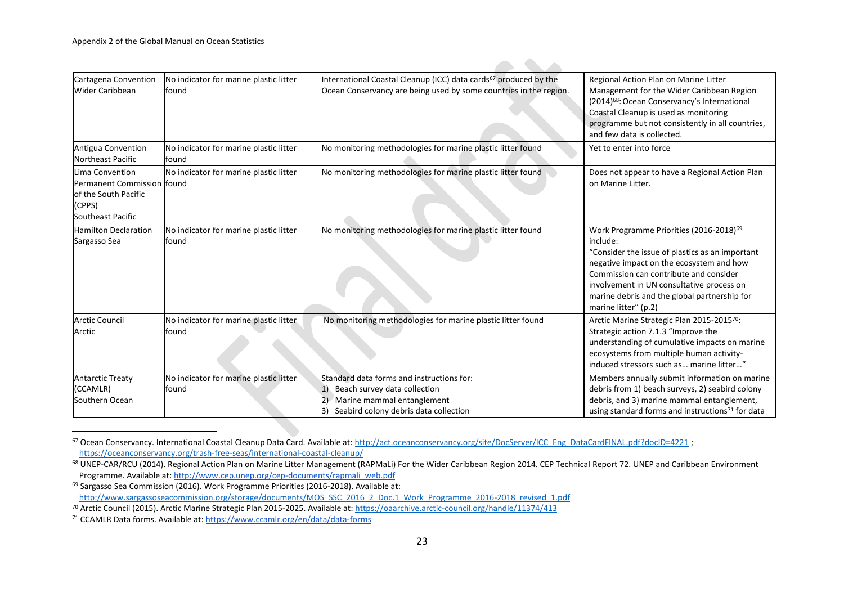| Cartagena Convention<br>Wider Caribbean                                                              | No indicator for marine plastic litter<br>lfound | International Coastal Cleanup (ICC) data cards <sup>67</sup> produced by the<br>Ocean Conservancy are being used by some countries in the region. | Regional Action Plan on Marine Litter<br>Management for the Wider Caribbean Region<br>(2014) <sup>68</sup> : Ocean Conservancy's International<br>Coastal Cleanup is used as monitoring<br>programme but not consistently in all countries,<br>and few data is collected.                                                     |
|------------------------------------------------------------------------------------------------------|--------------------------------------------------|---------------------------------------------------------------------------------------------------------------------------------------------------|-------------------------------------------------------------------------------------------------------------------------------------------------------------------------------------------------------------------------------------------------------------------------------------------------------------------------------|
| Antigua Convention<br>Northeast Pacific                                                              | No indicator for marine plastic litter<br>lfound | No monitoring methodologies for marine plastic litter found                                                                                       | Yet to enter into force                                                                                                                                                                                                                                                                                                       |
| Lima Convention<br>Permanent Commission found<br>of the South Pacific<br>(CPPS)<br>Southeast Pacific | No indicator for marine plastic litter           | No monitoring methodologies for marine plastic litter found                                                                                       | Does not appear to have a Regional Action Plan<br>on Marine Litter.                                                                                                                                                                                                                                                           |
| <b>Hamilton Declaration</b><br>Sargasso Sea                                                          | No indicator for marine plastic litter<br>found  | No monitoring methodologies for marine plastic litter found                                                                                       | Work Programme Priorities (2016-2018) <sup>69</sup><br>include:<br>"Consider the issue of plastics as an important<br>negative impact on the ecosystem and how<br>Commission can contribute and consider<br>involvement in UN consultative process on<br>marine debris and the global partnership for<br>marine litter" (p.2) |
| <b>Arctic Council</b><br>Arctic                                                                      | No indicator for marine plastic litter<br>found  | No monitoring methodologies for marine plastic litter found                                                                                       | Arctic Marine Strategic Plan 2015-2015 <sup>70</sup> :<br>Strategic action 7.1.3 "Improve the<br>understanding of cumulative impacts on marine<br>ecosystems from multiple human activity-<br>induced stressors such as marine litter"                                                                                        |
| <b>Antarctic Treaty</b><br>(CCAMLR)<br>Southern Ocean                                                | No indicator for marine plastic litter<br>found  | Standard data forms and instructions for:<br>Beach survey data collection<br>Marine mammal entanglement<br>Seabird colony debris data collection  | Members annually submit information on marine<br>debris from 1) beach surveys, 2) seabird colony<br>debris, and 3) marine mammal entanglement,<br>using standard forms and instructions <sup>71</sup> for data                                                                                                                |

<sup>&</sup>lt;sup>67</sup> Ocean Conservancy. International Coastal Cleanup Data Card. Available at: [http://act.oceanconservancy.org/site/DocServer/ICC\\_Eng\\_DataCardFINAL.pdf?docID=4221](http://act.oceanconservancy.org/site/DocServer/ICC_Eng_DataCardFINAL.pdf?docID=4221) ; <https://oceanconservancy.org/trash-free-seas/international-coastal-cleanup/>

<sup>68</sup> UNEP-CAR/RCU (2014). Regional Action Plan on Marine Litter Management (RAPMaLi) For the Wider Caribbean Region 2014. CEP Technical Report 72. UNEP and Caribbean Environment Programme. Available at[: http://www.cep.unep.org/cep-documents/rapmali\\_web.pdf](http://www.cep.unep.org/cep-documents/rapmali_web.pdf)

<sup>69</sup> Sargasso Sea Commission (2016). Work Programme Priorities (2016-2018). Available at: [http://www.sargassoseacommission.org/storage/documents/MOS\\_SSC\\_2016\\_2\\_Doc.1\\_Work\\_Programme\\_2016-2018\\_revised\\_1.pdf](http://www.sargassoseacommission.org/storage/documents/MOS_SSC_2016_2_Doc.1_Work_Programme_2016-2018_revised_1.pdf)

<sup>70</sup> Arctic Council (2015). Arctic Marine Strategic Plan 2015-2025. Available at[: https://oaarchive.arctic-council.org/handle/11374/413](https://oaarchive.arctic-council.org/handle/11374/413)

<sup>71</sup> CCAMLR Data forms. Available at[: https://www.ccamlr.org/en/data/data-forms](https://www.ccamlr.org/en/data/data-forms)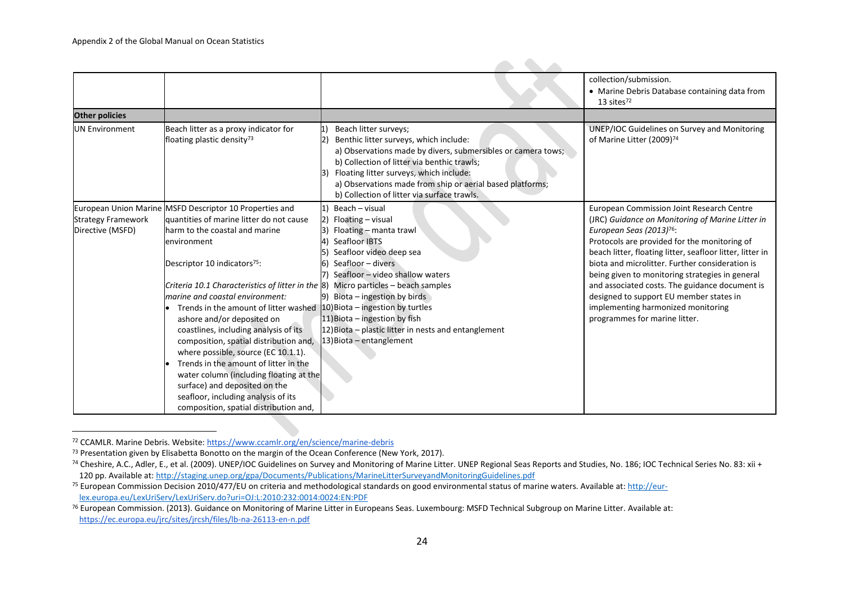|                           |                                                                                 |                                                                                                                                                                                                                                                                                                                                             | collection/submission.                                                                |
|---------------------------|---------------------------------------------------------------------------------|---------------------------------------------------------------------------------------------------------------------------------------------------------------------------------------------------------------------------------------------------------------------------------------------------------------------------------------------|---------------------------------------------------------------------------------------|
|                           |                                                                                 |                                                                                                                                                                                                                                                                                                                                             | • Marine Debris Database containing data from<br>13 sites $72$                        |
| <b>Other policies</b>     |                                                                                 |                                                                                                                                                                                                                                                                                                                                             |                                                                                       |
| <b>UN Environment</b>     | Beach litter as a proxy indicator for<br>floating plastic density <sup>73</sup> | Beach litter surveys;<br>Benthic litter surveys, which include:<br>I2<br>a) Observations made by divers, submersibles or camera tows;<br>b) Collection of litter via benthic trawls;<br>Floating litter surveys, which include:<br>a) Observations made from ship or aerial based platforms;<br>b) Collection of litter via surface trawls. | UNEP/IOC Guidelines on Survey and Monitoring<br>of Marine Litter (2009) <sup>74</sup> |
|                           | European Union Marine MSFD Descriptor 10 Properties and                         | Beach - visual                                                                                                                                                                                                                                                                                                                              | <b>European Commission Joint Research Centre</b>                                      |
| <b>Strategy Framework</b> | quantities of marine litter do not cause                                        | Floating - visual                                                                                                                                                                                                                                                                                                                           | (JRC) Guidance on Monitoring of Marine Litter in                                      |
| Directive (MSFD)          | harm to the coastal and marine                                                  | Floating - manta trawl                                                                                                                                                                                                                                                                                                                      | European Seas (2013) <sup>76</sup> :                                                  |
|                           | environment                                                                     | Seafloor IBTS                                                                                                                                                                                                                                                                                                                               | Protocols are provided for the monitoring of                                          |
|                           |                                                                                 | Seafloor video deep sea                                                                                                                                                                                                                                                                                                                     | beach litter, floating litter, seafloor litter, litter in                             |
|                           | Descriptor 10 indicators <sup>75</sup> :                                        | Seafloor - divers                                                                                                                                                                                                                                                                                                                           | biota and microlitter. Further consideration is                                       |
|                           |                                                                                 | Seafloor - video shallow waters                                                                                                                                                                                                                                                                                                             | being given to monitoring strategies in general                                       |
|                           | Criteria 10.1 Characteristics of litter in the 8)                               | Micro particles – beach samples                                                                                                                                                                                                                                                                                                             | and associated costs. The guidance document is                                        |
|                           | marine and coastal environment:                                                 | 9) Biota - ingestion by birds                                                                                                                                                                                                                                                                                                               | designed to support EU member states in                                               |
|                           | Trends in the amount of litter washed                                           | 10) Biota - ingestion by turtles                                                                                                                                                                                                                                                                                                            | implementing harmonized monitoring                                                    |
|                           | ashore and/or deposited on                                                      | 11) Biota - ingestion by fish                                                                                                                                                                                                                                                                                                               | programmes for marine litter.                                                         |
|                           | coastlines, including analysis of its                                           | 12) Biota - plastic litter in nests and entanglement                                                                                                                                                                                                                                                                                        |                                                                                       |
|                           | composition, spatial distribution and,                                          | $13)$ Biota – entanglement                                                                                                                                                                                                                                                                                                                  |                                                                                       |
|                           | where possible, source (EC 10.1.1).                                             |                                                                                                                                                                                                                                                                                                                                             |                                                                                       |
|                           | Trends in the amount of litter in the                                           |                                                                                                                                                                                                                                                                                                                                             |                                                                                       |
|                           | water column (including floating at the                                         |                                                                                                                                                                                                                                                                                                                                             |                                                                                       |
|                           | surface) and deposited on the                                                   |                                                                                                                                                                                                                                                                                                                                             |                                                                                       |
|                           | seafloor, including analysis of its                                             |                                                                                                                                                                                                                                                                                                                                             |                                                                                       |
|                           | composition, spatial distribution and,                                          |                                                                                                                                                                                                                                                                                                                                             |                                                                                       |

<sup>72</sup> CCAMLR. Marine Debris. Website[: https://www.ccamlr.org/en/science/marine-debris](https://www.ccamlr.org/en/science/marine-debris)

<sup>&</sup>lt;sup>73</sup> Presentation given by Elisabetta Bonotto on the margin of the Ocean Conference (New York, 2017).

<sup>74</sup> Cheshire, A.C., Adler, E., et al. (2009). UNEP/IOC Guidelines on Survey and Monitoring of Marine Litter. UNEP Regional Seas Reports and Studies, No. 186; IOC Technical Series No. 83: xii + 120 pp. Available at[: http://staging.unep.org/gpa/Documents/Publications/MarineLitterSurveyandMonitoringGuidelines.pdf](http://staging.unep.org/gpa/Documents/Publications/MarineLitterSurveyandMonitoringGuidelines.pdf)

<sup>&</sup>lt;sup>75</sup> European Commission Decision 2010/477/EU on criteria and methodological standards on good environmental status of marine waters. Available at[: http://eur](http://eur-lex.europa.eu/LexUriServ/LexUriServ.do?uri=OJ:L:2010:232:0014:0024:EN:PDF)[lex.europa.eu/LexUriServ/LexUriServ.do?uri=OJ:L:2010:232:0014:0024:EN:PDF](http://eur-lex.europa.eu/LexUriServ/LexUriServ.do?uri=OJ:L:2010:232:0014:0024:EN:PDF)

<sup>&</sup>lt;sup>76</sup> European Commission. (2013). Guidance on Monitoring of Marine Litter in Europeans Seas. Luxembourg: MSFD Technical Subgroup on Marine Litter. Available at: <https://ec.europa.eu/jrc/sites/jrcsh/files/lb-na-26113-en-n.pdf>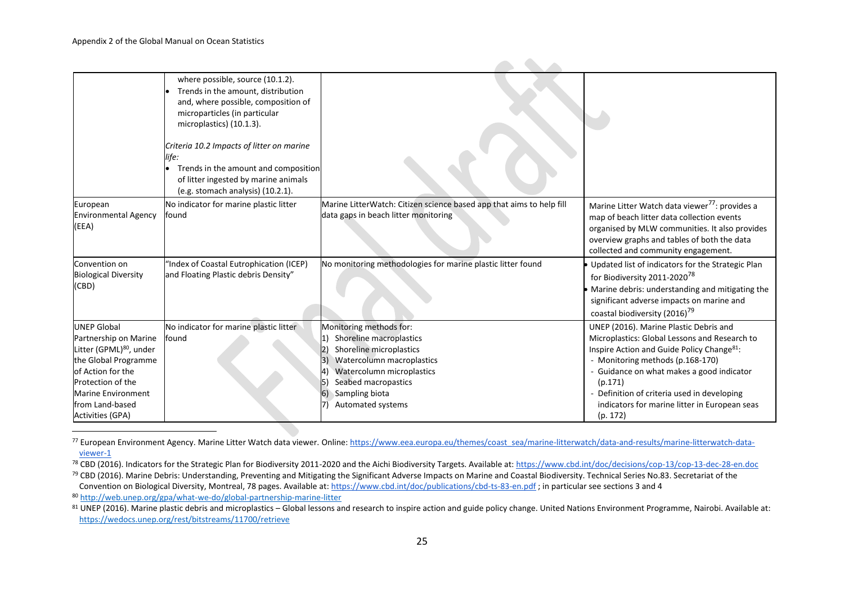|                                                                                                                                                                                                                                 | where possible, source (10.1.2).<br>Trends in the amount, distribution<br>and, where possible, composition of<br>microparticles (in particular<br>microplastics) (10.1.3).<br>Criteria 10.2 Impacts of litter on marine<br>life:<br>Trends in the amount and composition<br>of litter ingested by marine animals<br>(e.g. stomach analysis) (10.2.1). |                                                                                                                                                                                                                                  |                                                                                                                                                                                                                                                                                                                                                         |
|---------------------------------------------------------------------------------------------------------------------------------------------------------------------------------------------------------------------------------|-------------------------------------------------------------------------------------------------------------------------------------------------------------------------------------------------------------------------------------------------------------------------------------------------------------------------------------------------------|----------------------------------------------------------------------------------------------------------------------------------------------------------------------------------------------------------------------------------|---------------------------------------------------------------------------------------------------------------------------------------------------------------------------------------------------------------------------------------------------------------------------------------------------------------------------------------------------------|
| European<br><b>Environmental Agency</b><br>(EEA)                                                                                                                                                                                | No indicator for marine plastic litter<br>found                                                                                                                                                                                                                                                                                                       | Marine LitterWatch: Citizen science based app that aims to help fill<br>data gaps in beach litter monitoring                                                                                                                     | Marine Litter Watch data viewer <sup>77</sup> : provides a<br>map of beach litter data collection events<br>organised by MLW communities. It also provides<br>overview graphs and tables of both the data<br>collected and community engagement.                                                                                                        |
| Convention on<br><b>Biological Diversity</b><br>(CBD)                                                                                                                                                                           | "Index of Coastal Eutrophication (ICEP)<br>and Floating Plastic debris Density"                                                                                                                                                                                                                                                                       | No monitoring methodologies for marine plastic litter found                                                                                                                                                                      | Updated list of indicators for the Strategic Plan<br>for Biodiversity 2011-2020 <sup>78</sup><br>Marine debris: understanding and mitigating the<br>significant adverse impacts on marine and<br>coastal biodiversity (2016) <sup>79</sup>                                                                                                              |
| <b>UNEP Global</b><br>Partnership on Marine<br>Litter (GPML) <sup>80</sup> , under<br>the Global Programme<br>of Action for the<br>Protection of the<br><b>Marine Environment</b><br>from Land-based<br><b>Activities (GPA)</b> | No indicator for marine plastic litter<br>found                                                                                                                                                                                                                                                                                                       | Monitoring methods for:<br>Shoreline macroplastics<br> 1)<br>Shoreline microplastics<br> 2 <br>Watercolumn macroplastics<br>l3'<br>Watercolumn microplastics<br>Seabed macropastics<br>15<br>Sampling biota<br>Automated systems | UNEP (2016). Marine Plastic Debris and<br>Microplastics: Global Lessons and Research to<br>Inspire Action and Guide Policy Change <sup>81</sup> :<br>- Monitoring methods (p.168-170)<br>- Guidance on what makes a good indicator<br>(p.171)<br>Definition of criteria used in developing<br>indicators for marine litter in European seas<br>(p. 172) |

**Contract Contract Contract Contract** 

<sup>77</sup> European Environment Agency. Marine Litter Watch data viewer. Online[: https://www.eea.europa.eu/themes/coast\\_sea/marine-litterwatch/data-and-results/marine-litterwatch-data](https://www.eea.europa.eu/themes/coast_sea/marine-litterwatch/data-and-results/marine-litterwatch-data-viewer-1)[viewer-1](https://www.eea.europa.eu/themes/coast_sea/marine-litterwatch/data-and-results/marine-litterwatch-data-viewer-1)

78 CBD (2016). Indicators for the Strategic Plan for Biodiversity 2011-2020 and the Aichi Biodiversity Targets. Available at:<https://www.cbd.int/doc/decisions/cop-13/cop-13-dec-28-en.doc>

<sup>79</sup> CBD (2016). Marine Debris: Understanding, Preventing and Mitigating the Significant Adverse Impacts on Marine and Coastal Biodiversity. Technical Series No.83. Secretariat of the Convention on Biological Diversity, Montreal, 78 pages. Available at[: https://www.cbd.int/doc/publications/cbd-ts-83-en.pdf](https://www.cbd.int/doc/publications/cbd-ts-83-en.pdf) ; in particular see sections 3 and 4 <sup>80</sup> <http://web.unep.org/gpa/what-we-do/global-partnership-marine-litter>

81 UNEP (2016). Marine plastic debris and microplastics – Global lessons and research to inspire action and guide policy change. United Nations Environment Programme, Nairobi. Available at: <https://wedocs.unep.org/rest/bitstreams/11700/retrieve>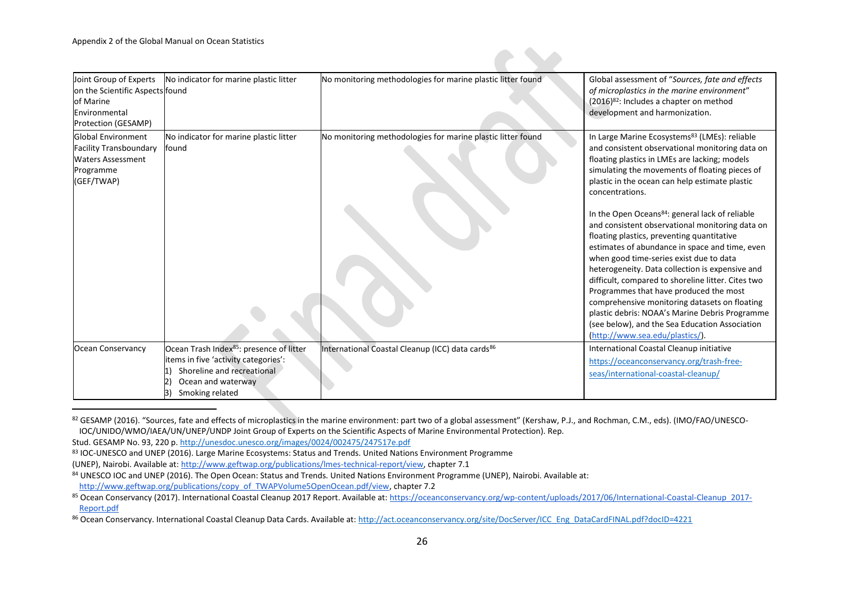| Joint Group of Experts<br>on the Scientific Aspects found<br>of Marine<br>Environmental<br>Protection (GESAMP) | No indicator for marine plastic litter                                                                                                                              | No monitoring methodologies for marine plastic litter found  | Global assessment of "Sources, fate and effects<br>of microplastics in the marine environment"<br>(2016) <sup>82</sup> : Includes a chapter on method<br>development and harmonization.                                                                                                                                                                                                                                                                                                                                                                                                                                                                                                                                                                                                                                                                                                      |
|----------------------------------------------------------------------------------------------------------------|---------------------------------------------------------------------------------------------------------------------------------------------------------------------|--------------------------------------------------------------|----------------------------------------------------------------------------------------------------------------------------------------------------------------------------------------------------------------------------------------------------------------------------------------------------------------------------------------------------------------------------------------------------------------------------------------------------------------------------------------------------------------------------------------------------------------------------------------------------------------------------------------------------------------------------------------------------------------------------------------------------------------------------------------------------------------------------------------------------------------------------------------------|
| Global Environment<br>Facility Transboundary<br><b>Waters Assessment</b><br>Programme<br>(GEF/TWAP)            | No indicator for marine plastic litter<br>found                                                                                                                     | No monitoring methodologies for marine plastic litter found  | In Large Marine Ecosystems <sup>83</sup> (LMEs): reliable<br>and consistent observational monitoring data on<br>floating plastics in LMEs are lacking; models<br>simulating the movements of floating pieces of<br>plastic in the ocean can help estimate plastic<br>concentrations.<br>In the Open Oceans <sup>84</sup> : general lack of reliable<br>and consistent observational monitoring data on<br>floating plastics, preventing quantitative<br>estimates of abundance in space and time, even<br>when good time-series exist due to data<br>heterogeneity. Data collection is expensive and<br>difficult, compared to shoreline litter. Cites two<br>Programmes that have produced the most<br>comprehensive monitoring datasets on floating<br>plastic debris: NOAA's Marine Debris Programme<br>(see below), and the Sea Education Association<br>(http://www.sea.edu/plastics/). |
| Ocean Conservancy                                                                                              | Ocean Trash Index <sup>85</sup> : presence of litter<br>items in five 'activity categories':<br>Shoreline and recreational<br>Ocean and waterway<br>Smoking related | International Coastal Cleanup (ICC) data cards <sup>86</sup> | International Coastal Cleanup initiative<br>https://oceanconservancy.org/trash-free-<br>seas/international-coastal-cleanup/                                                                                                                                                                                                                                                                                                                                                                                                                                                                                                                                                                                                                                                                                                                                                                  |

82 GESAMP (2016). "Sources, fate and effects of microplastics in the marine environment: part two of a global assessment" (Kershaw, P.J., and Rochman, C.M., eds). (IMO/FAO/UNESCO-IOC/UNIDO/WMO/IAEA/UN/UNEP/UNDP Joint Group of Experts on the Scientific Aspects of Marine Environmental Protection). Rep.

Stud. GESAMP No. 93, 220 p[. http://unesdoc.unesco.org/images/0024/002475/247517e.pdf](http://unesdoc.unesco.org/images/0024/002475/247517e.pdf)

83 IOC-UNESCO and UNEP (2016). Large Marine Ecosystems: Status and Trends. United Nations Environment Programme

(UNEP), Nairobi. Available at[: http://www.geftwap.org/publications/lmes-technical-report/view,](http://www.geftwap.org/publications/lmes-technical-report/view) chapter 7.1

<sup>84</sup> UNESCO IOC and UNEP (2016). The Open Ocean: Status and Trends. United Nations Environment Programme (UNEP), Nairobi. Available at: [http://www.geftwap.org/publications/copy\\_of\\_TWAPVolume5OpenOcean.pdf/view,](http://www.geftwap.org/publications/copy_of_TWAPVolume5OpenOcean.pdf/view) chapter 7.2

<sup>85</sup> Ocean Conservancy (2017). International Coastal Cleanup 2017 Report. Available at: https://oceanconservancy.org/wp-content/uploads/2017/06/International-Coastal-Cleanup 2017-[Report.pdf](https://oceanconservancy.org/wp-content/uploads/2017/06/International-Coastal-Cleanup_2017-Report.pdf)

<sup>86</sup> Ocean Conservancy. International Coastal Cleanup Data Cards. Available at[: http://act.oceanconservancy.org/site/DocServer/ICC\\_Eng\\_DataCardFINAL.pdf?docID=4221](http://act.oceanconservancy.org/site/DocServer/ICC_Eng_DataCardFINAL.pdf?docID=4221)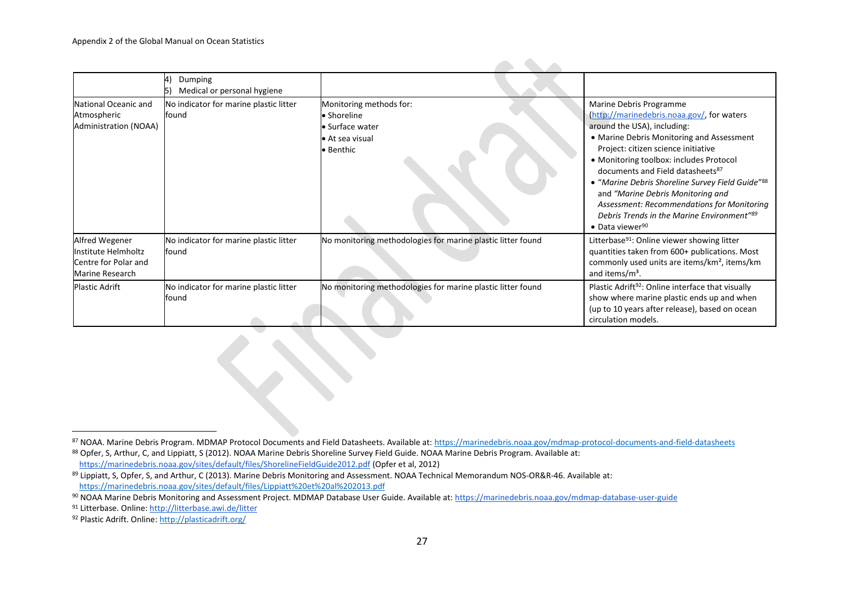|                                                                                  | Dumping<br>Medical or personal hygiene                 |                                                                                           |                                                                                                                                                                                                                                                                                                                                                                                                                                                                                                                 |
|----------------------------------------------------------------------------------|--------------------------------------------------------|-------------------------------------------------------------------------------------------|-----------------------------------------------------------------------------------------------------------------------------------------------------------------------------------------------------------------------------------------------------------------------------------------------------------------------------------------------------------------------------------------------------------------------------------------------------------------------------------------------------------------|
| National Oceanic and<br>Atmospheric<br><b>Administration (NOAA)</b>              | No indicator for marine plastic litter<br>lfound       | Monitoring methods for:<br>• Shoreline<br>• Surface water<br>• At sea visual<br>• Benthic | Marine Debris Programme<br>(http://marinedebris.noaa.gov/, for waters<br>around the USA), including:<br>• Marine Debris Monitoring and Assessment<br>Project: citizen science initiative<br>• Monitoring toolbox: includes Protocol<br>documents and Field datasheets <sup>87</sup><br>• "Marine Debris Shoreline Survey Field Guide"88<br>and "Marine Debris Monitoring and<br>Assessment: Recommendations for Monitoring<br>Debris Trends in the Marine Environment"89<br>$\bullet$ Data viewer <sup>90</sup> |
| Alfred Wegener<br>Institute Helmholtz<br>Centre for Polar and<br>Marine Research | No indicator for marine plastic litter<br><b>found</b> | No monitoring methodologies for marine plastic litter found                               | Litterbase <sup>91</sup> : Online viewer showing litter<br>quantities taken from 600+ publications. Most<br>commonly used units are items/km <sup>2</sup> , items/km<br>and items/m <sup>3</sup> .                                                                                                                                                                                                                                                                                                              |
| <b>Plastic Adrift</b>                                                            | No indicator for marine plastic litter<br><b>found</b> | No monitoring methodologies for marine plastic litter found                               | Plastic Adrift <sup>92</sup> : Online interface that visually<br>show where marine plastic ends up and when<br>(up to 10 years after release), based on ocean<br>circulation models.                                                                                                                                                                                                                                                                                                                            |

**CAN** 

<sup>87</sup> NOAA. Marine Debris Program. MDMAP Protocol Documents and Field Datasheets. Available at[: https://marinedebris.noaa.gov/mdmap-protocol-documents-and-field-datasheets](https://marinedebris.noaa.gov/mdmap-protocol-documents-and-field-datasheets)

<sup>88</sup> Opfer, S, Arthur, C, and Lippiatt, S (2012). NOAA Marine Debris Shoreline Survey Field Guide. NOAA Marine Debris Program. Available at: <https://marinedebris.noaa.gov/sites/default/files/ShorelineFieldGuide2012.pdf> (Opfer et al, 2012)

<sup>89</sup> Lippiatt, S, Opfer, S, and Arthur, C (2013). Marine Debris Monitoring and Assessment. NOAA Technical Memorandum NOS-OR&R-46. Available at: <https://marinedebris.noaa.gov/sites/default/files/Lippiatt%20et%20al%202013.pdf>

<sup>90</sup> NOAA Marine Debris Monitoring and Assessment Project. MDMAP Database User Guide. Available at:<https://marinedebris.noaa.gov/mdmap-database-user-guide>

<sup>91</sup> Litterbase. Online[: http://litterbase.awi.de/litter](http://litterbase.awi.de/litter)

<sup>92</sup> Plastic Adrift. Online[: http://plasticadrift.org/](http://plasticadrift.org/)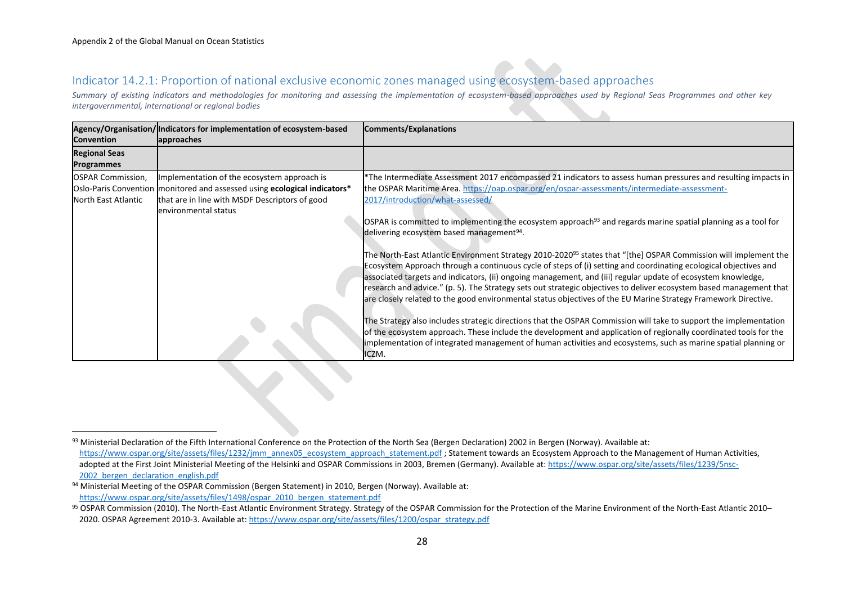#### Indicator 14.2.1: Proportion of national exclusive economic zones managed using ecosystem-based approaches

*Summary of existing indicators and methodologies for monitoring and assessing the implementation of ecosystem-based approaches used by Regional Seas Programmes and other key intergovernmental, international or regional bodies*

| <b>Convention</b>                               | Agency/Organisation/ Indicators for implementation of ecosystem-based<br>approaches                                                                                                                | <b>Comments/Explanations</b>                                                                                                                                                                                                                                                                                                                                                                                                                                                                                                                                                                                                                                                                                                                                                                                                                                                                                                                                                                                                                                                                                                                                                                                                                                                                                                                                                                                             |
|-------------------------------------------------|----------------------------------------------------------------------------------------------------------------------------------------------------------------------------------------------------|--------------------------------------------------------------------------------------------------------------------------------------------------------------------------------------------------------------------------------------------------------------------------------------------------------------------------------------------------------------------------------------------------------------------------------------------------------------------------------------------------------------------------------------------------------------------------------------------------------------------------------------------------------------------------------------------------------------------------------------------------------------------------------------------------------------------------------------------------------------------------------------------------------------------------------------------------------------------------------------------------------------------------------------------------------------------------------------------------------------------------------------------------------------------------------------------------------------------------------------------------------------------------------------------------------------------------------------------------------------------------------------------------------------------------|
| <b>Regional Seas</b><br><b>Programmes</b>       |                                                                                                                                                                                                    |                                                                                                                                                                                                                                                                                                                                                                                                                                                                                                                                                                                                                                                                                                                                                                                                                                                                                                                                                                                                                                                                                                                                                                                                                                                                                                                                                                                                                          |
| <b>OSPAR Commission,</b><br>North East Atlantic | Implementation of the ecosystem approach is<br>Oslo-Paris Convention monitored and assessed using ecological indicators*<br>that are in line with MSDF Descriptors of good<br>environmental status | *The Intermediate Assessment 2017 encompassed 21 indicators to assess human pressures and resulting impacts in<br>the OSPAR Maritime Area. https://oap.ospar.org/en/ospar-assessments/intermediate-assessment-<br>2017/introduction/what-assessed/<br>OSPAR is committed to implementing the ecosystem approach <sup>93</sup> and regards marine spatial planning as a tool for<br>delivering ecosystem based management <sup>94</sup> .<br>The North-East Atlantic Environment Strategy 2010-2020 <sup>95</sup> states that "[the] OSPAR Commission will implement the<br>Ecosystem Approach through a continuous cycle of steps of (i) setting and coordinating ecological objectives and<br>associated targets and indicators, (ii) ongoing management, and (iii) regular update of ecosystem knowledge,<br>research and advice." (p. 5). The Strategy sets out strategic objectives to deliver ecosystem based management that<br>are closely related to the good environmental status objectives of the EU Marine Strategy Framework Directive.<br>The Strategy also includes strategic directions that the OSPAR Commission will take to support the implementation<br>of the ecosystem approach. These include the development and application of regionally coordinated tools for the<br>implementation of integrated management of human activities and ecosystems, such as marine spatial planning or<br>ICZM. |

<sup>93</sup> Ministerial Declaration of the Fifth International Conference on the Protection of the North Sea (Bergen Declaration) 2002 in Bergen (Norway). Available at: [https://www.ospar.org/site/assets/files/1232/jmm\\_annex05\\_ecosystem\\_approach\\_statement.pdf](https://www.ospar.org/site/assets/files/1232/jmm_annex05_ecosystem_approach_statement.pdf) ; Statement towards an Ecosystem Approach to the Management of Human Activities, adopted at the First Joint Ministerial Meeting of the Helsinki and OSPAR Commissions in 2003, Bremen (Germany). Available at: [https://www.ospar.org/site/assets/files/1239/5nsc-](https://www.ospar.org/site/assets/files/1239/5nsc-2002_bergen_declaration_english.pdf)2002 bergen declaration english.pdf

<sup>94</sup> Ministerial Meeting of the OSPAR Commission (Bergen Statement) in 2010, Bergen (Norway). Available at: [https://www.ospar.org/site/assets/files/1498/ospar\\_2010\\_bergen\\_statement.pdf](https://www.ospar.org/site/assets/files/1498/ospar_2010_bergen_statement.pdf)

<sup>95</sup> OSPAR Commission (2010). The North-East Atlantic Environment Strategy. Strategy of the OSPAR Commission for the Protection of the Marine Environment of the North-East Atlantic 2010– 2020. OSPAR Agreement 2010-3. Available at[: https://www.ospar.org/site/assets/files/1200/ospar\\_strategy.pdf](https://www.ospar.org/site/assets/files/1200/ospar_strategy.pdf)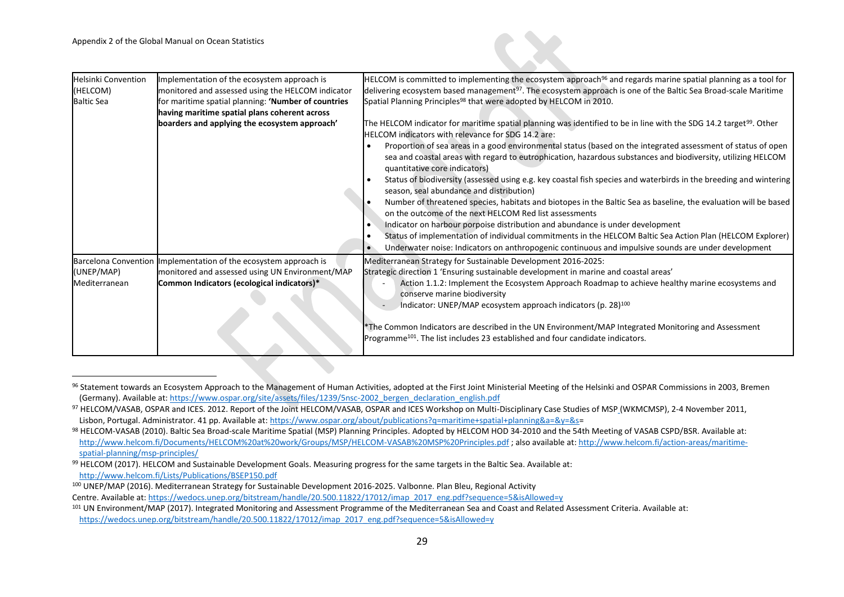| <b>Helsinki Convention</b><br>(HELCOM) | Implementation of the ecosystem approach is<br>monitored and assessed using the HELCOM indicator     | HELCOM is committed to implementing the ecosystem approach <sup>96</sup> and regards marine spatial planning as a tool for<br>delivering ecosystem based management <sup>97</sup> . The ecosystem approach is one of the Baltic Sea Broad-scale Maritime      |
|----------------------------------------|------------------------------------------------------------------------------------------------------|---------------------------------------------------------------------------------------------------------------------------------------------------------------------------------------------------------------------------------------------------------------|
| <b>Baltic Sea</b>                      | for maritime spatial planning: 'Number of countries<br>having maritime spatial plans coherent across | Spatial Planning Principles <sup>98</sup> that were adopted by HELCOM in 2010.                                                                                                                                                                                |
|                                        | boarders and applying the ecosystem approach'                                                        | The HELCOM indicator for maritime spatial planning was identified to be in line with the SDG 14.2 target <sup>99</sup> . Other<br>HELCOM indicators with relevance for SDG 14.2 are:                                                                          |
|                                        |                                                                                                      | Proportion of sea areas in a good environmental status (based on the integrated assessment of status of open<br>sea and coastal areas with regard to eutrophication, hazardous substances and biodiversity, utilizing HELCOM<br>quantitative core indicators) |
|                                        |                                                                                                      | Status of biodiversity (assessed using e.g. key coastal fish species and waterbirds in the breeding and wintering<br>season, seal abundance and distribution)                                                                                                 |
|                                        |                                                                                                      | Number of threatened species, habitats and biotopes in the Baltic Sea as baseline, the evaluation will be based<br>on the outcome of the next HELCOM Red list assessments                                                                                     |
|                                        |                                                                                                      | Indicator on harbour porpoise distribution and abundance is under development                                                                                                                                                                                 |
|                                        |                                                                                                      | Status of implementation of individual commitments in the HELCOM Baltic Sea Action Plan (HELCOM Explorer)<br>Underwater noise: Indicators on anthropogenic continuous and impulsive sounds are under development                                              |
|                                        | Barcelona Convention Implementation of the ecosystem approach is                                     | Mediterranean Strategy for Sustainable Development 2016-2025:                                                                                                                                                                                                 |
| (UNEP/MAP)                             | monitored and assessed using UN Environment/MAP                                                      | Strategic direction 1 'Ensuring sustainable development in marine and coastal areas'                                                                                                                                                                          |
| Mediterranean                          | Common Indicators (ecological indicators)*                                                           | Action 1.1.2: Implement the Ecosystem Approach Roadmap to achieve healthy marine ecosystems and<br>conserve marine biodiversity                                                                                                                               |
|                                        |                                                                                                      | Indicator: UNEP/MAP ecosystem approach indicators (p. 28) $100$                                                                                                                                                                                               |
|                                        |                                                                                                      | The Common Indicators are described in the UN Environment/MAP Integrated Monitoring and Assessment<br>Programme <sup>101</sup> . The list includes 23 established and four candidate indicators.                                                              |

<sup>96</sup> Statement towards an Ecosystem Approach to the Management of Human Activities, adopted at the First Joint Ministerial Meeting of the Helsinki and OSPAR Commissions in 2003, Bremen (Germany). Available at[: https://www.ospar.org/site/assets/files/1239/5nsc-2002\\_bergen\\_declaration\\_english.pdf](https://www.ospar.org/site/assets/files/1239/5nsc-2002_bergen_declaration_english.pdf)

<sup>97</sup> HELCOM/VASAB, OSPAR and ICES. 2012. Report of the Joint HELCOM/VASAB, OSPAR and ICES Workshop on Multi-Disciplinary Case Studies of MSP (WKMCMSP), 2-4 November 2011, Lisbon, Portugal. Administrator. 41 pp. Available at[: https://www.ospar.org/about/publications?q=maritime+spatial+planning&a=&y=&s=](https://www.ospar.org/about/publications?q=maritime+spatial+planning&a=&y=&s)

<sup>98</sup> HELCOM-VASAB (2010). Baltic Sea Broad-scale Maritime Spatial (MSP) Planning Principles. Adopted by HELCOM HOD 34-2010 and the 54th Meeting of VASAB CSPD/BSR. Available at: <http://www.helcom.fi/Documents/HELCOM%20at%20work/Groups/MSP/HELCOM-VASAB%20MSP%20Principles.pdf> ; also available at[: http://www.helcom.fi/action-areas/maritime](http://www.helcom.fi/action-areas/maritime-spatial-planning/msp-principles/)[spatial-planning/msp-principles/](http://www.helcom.fi/action-areas/maritime-spatial-planning/msp-principles/)

<sup>99</sup> HELCOM (2017). HELCOM and Sustainable Development Goals. Measuring progress for the same targets in the Baltic Sea. Available at: <http://www.helcom.fi/Lists/Publications/BSEP150.pdf>

<sup>100</sup> UNEP/MAP (2016). Mediterranean Strategy for Sustainable Development 2016-2025. Valbonne. Plan Bleu, Regional Activity

Centre. Available at: [https://wedocs.unep.org/bitstream/handle/20.500.11822/17012/imap\\_2017\\_eng.pdf?sequence=5&isAllowed=y](https://wedocs.unep.org/bitstream/handle/20.500.11822/17012/imap_2017_eng.pdf?sequence=5&isAllowed=y)

<sup>101</sup> UN Environment/MAP (2017). Integrated Monitoring and Assessment Programme of the Mediterranean Sea and Coast and Related Assessment Criteria. Available at: [https://wedocs.unep.org/bitstream/handle/20.500.11822/17012/imap\\_2017\\_eng.pdf?sequence=5&isAllowed=y](https://wedocs.unep.org/bitstream/handle/20.500.11822/17012/imap_2017_eng.pdf?sequence=5&isAllowed=y)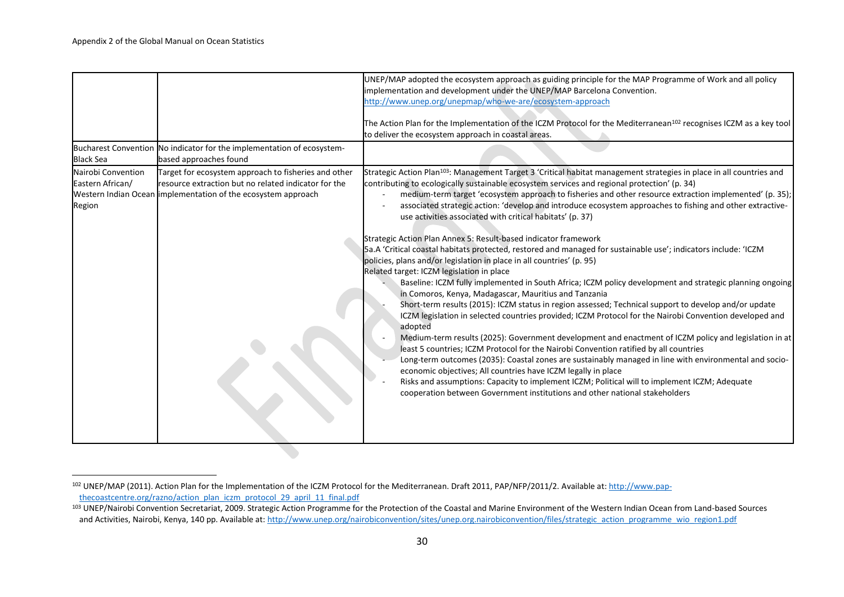| <b>Black Sea</b>                                 | Bucharest Convention No indicator for the implementation of ecosystem-                                                                                                                                  | UNEP/MAP adopted the ecosystem approach as guiding principle for the MAP Programme of Work and all policy<br>implementation and development under the UNEP/MAP Barcelona Convention.<br>http://www.unep.org/unepmap/who-we-are/ecosystem-approach<br>The Action Plan for the Implementation of the ICZM Protocol for the Mediterranean <sup>102</sup> recognises ICZM as a key tool<br>to deliver the ecosystem approach in coastal areas.                                                                                                                                                                                                                                                                                                                                                                                                                                                                                                                                                                                                                                                                                                                                                                                                                                                                                                                                                                                                                                                                                                                                                                                                                                                                                                                                                         |
|--------------------------------------------------|---------------------------------------------------------------------------------------------------------------------------------------------------------------------------------------------------------|----------------------------------------------------------------------------------------------------------------------------------------------------------------------------------------------------------------------------------------------------------------------------------------------------------------------------------------------------------------------------------------------------------------------------------------------------------------------------------------------------------------------------------------------------------------------------------------------------------------------------------------------------------------------------------------------------------------------------------------------------------------------------------------------------------------------------------------------------------------------------------------------------------------------------------------------------------------------------------------------------------------------------------------------------------------------------------------------------------------------------------------------------------------------------------------------------------------------------------------------------------------------------------------------------------------------------------------------------------------------------------------------------------------------------------------------------------------------------------------------------------------------------------------------------------------------------------------------------------------------------------------------------------------------------------------------------------------------------------------------------------------------------------------------------|
| Nairobi Convention<br>Eastern African/<br>Region | based approaches found<br>Target for ecosystem approach to fisheries and other<br>resource extraction but no related indicator for the<br>Western Indian Ocean implementation of the ecosystem approach | Strategic Action Plan <sup>103</sup> : Management Target 3 'Critical habitat management strategies in place in all countries and<br>contributing to ecologically sustainable ecosystem services and regional protection' (p. 34)<br>medium-term target 'ecosystem approach to fisheries and other resource extraction implemented' (p. 35);<br>associated strategic action: 'develop and introduce ecosystem approaches to fishing and other extractive-<br>use activities associated with critical habitats' (p. 37)<br>Strategic Action Plan Annex 5: Result-based indicator framework<br>5a.A 'Critical coastal habitats protected, restored and managed for sustainable use'; indicators include: 'ICZM<br>policies, plans and/or legislation in place in all countries' (p. 95)<br>Related target: ICZM legislation in place<br>Baseline: ICZM fully implemented in South Africa; ICZM policy development and strategic planning ongoing<br>in Comoros, Kenya, Madagascar, Mauritius and Tanzania<br>Short-term results (2015): ICZM status in region assessed; Technical support to develop and/or update<br>ICZM legislation in selected countries provided; ICZM Protocol for the Nairobi Convention developed and<br>adopted<br>Medium-term results (2025): Government development and enactment of ICZM policy and legislation in at<br>least 5 countries; ICZM Protocol for the Nairobi Convention ratified by all countries<br>Long-term outcomes (2035): Coastal zones are sustainably managed in line with environmental and socio-<br>economic objectives; All countries have ICZM legally in place<br>Risks and assumptions: Capacity to implement ICZM; Political will to implement ICZM; Adequate<br>cooperation between Government institutions and other national stakeholders |

<sup>&</sup>lt;sup>102</sup> UNEP/MAP (2011). Action Plan for the Implementation of the ICZM Protocol for the Mediterranean. Draft 2011, PAP/NFP/2011/2. Available at[: http://www.pap](http://www.pap-thecoastcentre.org/razno/action_plan_iczm_protocol_29_april_11_final.pdf)[thecoastcentre.org/razno/action\\_plan\\_iczm\\_protocol\\_29\\_april\\_11\\_final.pdf](http://www.pap-thecoastcentre.org/razno/action_plan_iczm_protocol_29_april_11_final.pdf)

<sup>103</sup> UNEP/Nairobi Convention Secretariat, 2009. Strategic Action Programme for the Protection of the Coastal and Marine Environment of the Western Indian Ocean from Land-based Sources and Activities, Nairobi, Kenya, 140 pp. Available at: [http://www.unep.org/nairobiconvention/sites/unep.org.nairobiconvention/files/strategic\\_action\\_programme\\_wio\\_region1.pdf](http://www.unep.org/nairobiconvention/sites/unep.org.nairobiconvention/files/strategic_action_programme_wio_region1.pdf)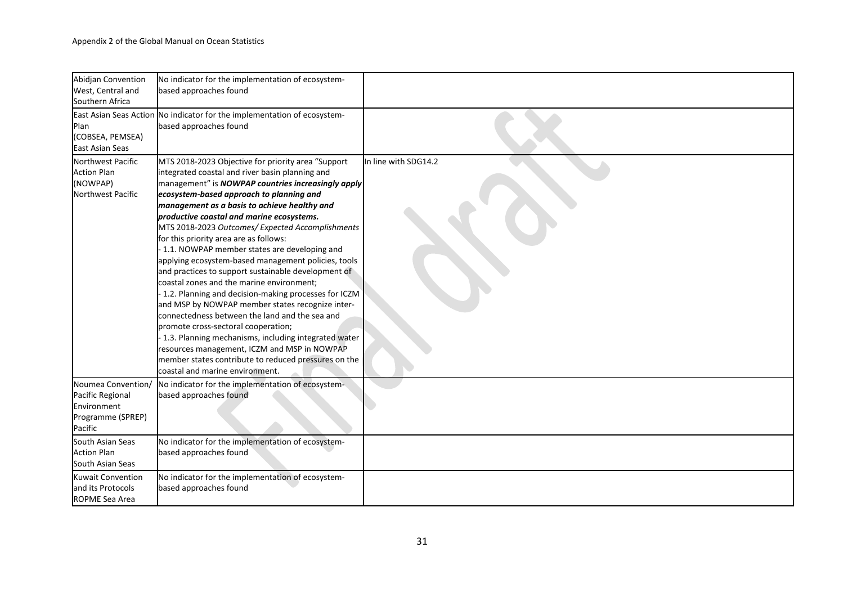| Abidjan Convention<br>West, Central and<br>Southern Africa                            | No indicator for the implementation of ecosystem-<br>based approaches found                                                                                                                                                                                                                                                                                                                                                                                                                                                                                                                                                                                                                                                                                                                                                                                                                                                                                                                                                 |                      |
|---------------------------------------------------------------------------------------|-----------------------------------------------------------------------------------------------------------------------------------------------------------------------------------------------------------------------------------------------------------------------------------------------------------------------------------------------------------------------------------------------------------------------------------------------------------------------------------------------------------------------------------------------------------------------------------------------------------------------------------------------------------------------------------------------------------------------------------------------------------------------------------------------------------------------------------------------------------------------------------------------------------------------------------------------------------------------------------------------------------------------------|----------------------|
| Plan<br>(COBSEA, PEMSEA)<br><b>East Asian Seas</b>                                    | East Asian Seas Action No indicator for the implementation of ecosystem-<br>based approaches found                                                                                                                                                                                                                                                                                                                                                                                                                                                                                                                                                                                                                                                                                                                                                                                                                                                                                                                          |                      |
| Northwest Pacific<br><b>Action Plan</b><br>(NOWPAP)<br>Northwest Pacific              | MTS 2018-2023 Objective for priority area "Support<br>integrated coastal and river basin planning and<br>management" is NOWPAP countries increasingly apply<br>ecosystem-based approach to planning and<br>management as a basis to achieve healthy and<br>productive coastal and marine ecosystems.<br>MTS 2018-2023 Outcomes/ Expected Accomplishments<br>for this priority area are as follows:<br>- 1.1. NOWPAP member states are developing and<br>applying ecosystem-based management policies, tools<br>and practices to support sustainable development of<br>coastal zones and the marine environment;<br>- 1.2. Planning and decision-making processes for ICZM<br>and MSP by NOWPAP member states recognize inter-<br>connectedness between the land and the sea and<br>promote cross-sectoral cooperation;<br>- 1.3. Planning mechanisms, including integrated water<br>resources management, ICZM and MSP in NOWPAP<br>member states contribute to reduced pressures on the<br>coastal and marine environment. | In line with SDG14.2 |
| Noumea Convention/<br>Pacific Regional<br>Environment<br>Programme (SPREP)<br>Pacific | No indicator for the implementation of ecosystem-<br>based approaches found                                                                                                                                                                                                                                                                                                                                                                                                                                                                                                                                                                                                                                                                                                                                                                                                                                                                                                                                                 |                      |
| South Asian Seas<br><b>Action Plan</b><br>South Asian Seas                            | No indicator for the implementation of ecosystem-<br>based approaches found                                                                                                                                                                                                                                                                                                                                                                                                                                                                                                                                                                                                                                                                                                                                                                                                                                                                                                                                                 |                      |
| <b>Kuwait Convention</b><br>and its Protocols<br><b>ROPME Sea Area</b>                | No indicator for the implementation of ecosystem-<br>based approaches found                                                                                                                                                                                                                                                                                                                                                                                                                                                                                                                                                                                                                                                                                                                                                                                                                                                                                                                                                 |                      |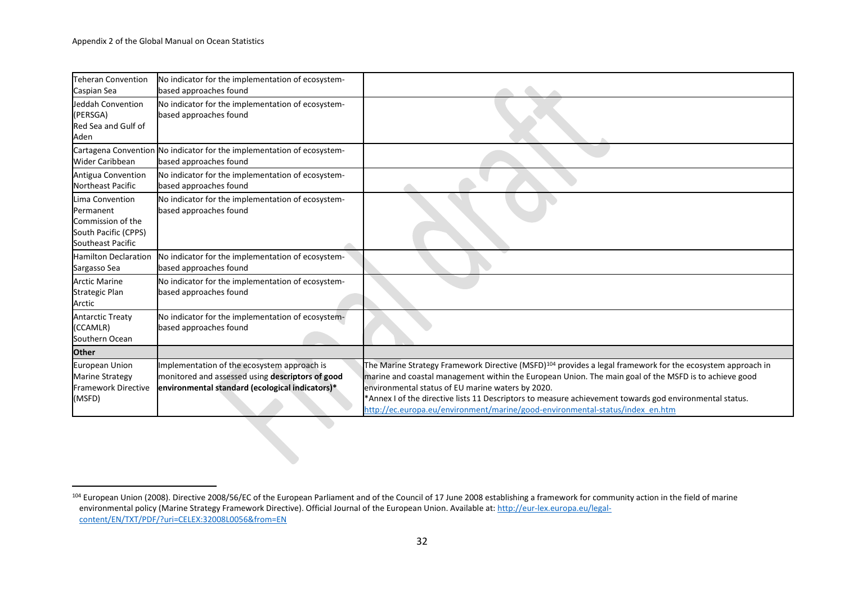| <b>Teheran Convention</b><br>Caspian Sea                                                       | No indicator for the implementation of ecosystem-<br>based approaches found                                                                        |                                                                                                                                                                                                                                                                                                                                                                                                                                                                                 |
|------------------------------------------------------------------------------------------------|----------------------------------------------------------------------------------------------------------------------------------------------------|---------------------------------------------------------------------------------------------------------------------------------------------------------------------------------------------------------------------------------------------------------------------------------------------------------------------------------------------------------------------------------------------------------------------------------------------------------------------------------|
| Jeddah Convention<br>(PERSGA)<br>Red Sea and Gulf of<br>Aden                                   | No indicator for the implementation of ecosystem-<br>based approaches found                                                                        |                                                                                                                                                                                                                                                                                                                                                                                                                                                                                 |
| Wider Caribbean                                                                                | Cartagena Convention No indicator for the implementation of ecosystem-<br>based approaches found                                                   |                                                                                                                                                                                                                                                                                                                                                                                                                                                                                 |
| Antigua Convention<br>Northeast Pacific                                                        | No indicator for the implementation of ecosystem-<br>based approaches found                                                                        |                                                                                                                                                                                                                                                                                                                                                                                                                                                                                 |
| Lima Convention<br>Permanent<br>Commission of the<br>South Pacific (CPPS)<br>Southeast Pacific | No indicator for the implementation of ecosystem-<br>based approaches found                                                                        |                                                                                                                                                                                                                                                                                                                                                                                                                                                                                 |
| <b>Hamilton Declaration</b><br>Sargasso Sea                                                    | No indicator for the implementation of ecosystem-<br>based approaches found                                                                        |                                                                                                                                                                                                                                                                                                                                                                                                                                                                                 |
| <b>Arctic Marine</b><br><b>Strategic Plan</b><br>Arctic                                        | No indicator for the implementation of ecosystem-<br>based approaches found                                                                        |                                                                                                                                                                                                                                                                                                                                                                                                                                                                                 |
| <b>Antarctic Treaty</b><br>(CCAMLR)<br>Southern Ocean                                          | No indicator for the implementation of ecosystem-<br>based approaches found                                                                        |                                                                                                                                                                                                                                                                                                                                                                                                                                                                                 |
| <b>Other</b>                                                                                   |                                                                                                                                                    |                                                                                                                                                                                                                                                                                                                                                                                                                                                                                 |
| European Union<br><b>Marine Strategy</b><br><b>Framework Directive</b><br>(MSFD)               | Implementation of the ecosystem approach is<br>monitored and assessed using descriptors of good<br>environmental standard (ecological indicators)* | The Marine Strategy Framework Directive (MSFD) <sup>104</sup> provides a legal framework for the ecosystem approach in<br>marine and coastal management within the European Union. The main goal of the MSFD is to achieve good<br>environmental status of EU marine waters by 2020.<br>Annex I of the directive lists 11 Descriptors to measure achievement towards god environmental status.<br>http://ec.europa.eu/environment/marine/good-environmental-status/index en.htm |

<sup>104</sup> European Union (2008). Directive 2008/56/EC of the European Parliament and of the Council of 17 June 2008 establishing a framework for community action in the field of marine environmental policy (Marine Strategy Framework Directive). Official Journal of the European Union. Available at[: http://eur-lex.europa.eu/legal](http://eur-lex.europa.eu/legal-content/EN/TXT/PDF/?uri=CELEX:32008L0056&from=EN)[content/EN/TXT/PDF/?uri=CELEX:32008L0056&from=EN](http://eur-lex.europa.eu/legal-content/EN/TXT/PDF/?uri=CELEX:32008L0056&from=EN)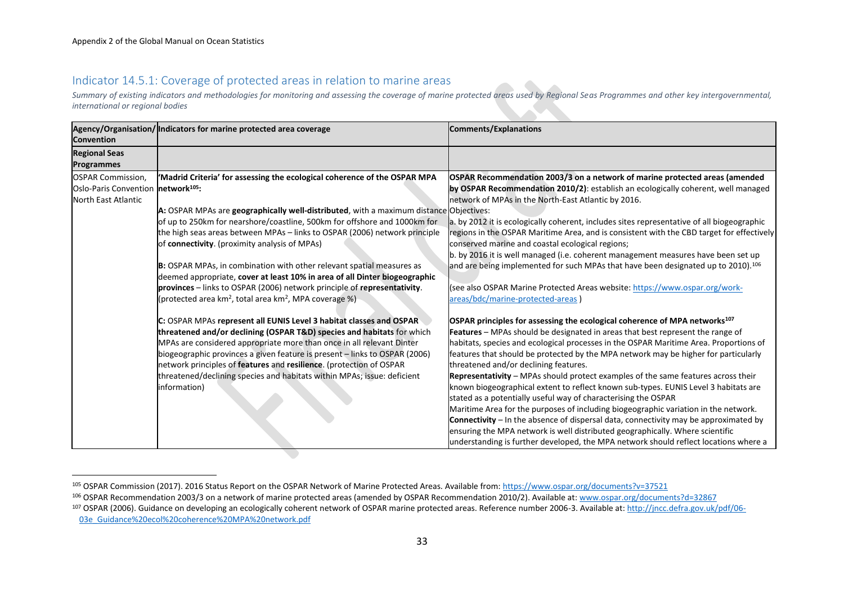#### Indicator 14.5.1: Coverage of protected areas in relation to marine areas

*Summary of existing indicators and methodologies for monitoring and assessing the coverage of marine protected areas used by Regional Seas Programmes and other key intergovernmental, international or regional bodies*

| <b>Convention</b>                                                                                 | Agency/Organisation/ Indicators for marine protected area coverage                                                                                                                                                                                                                                                                                                                                                                                                                                                                                                                                                                                                                                                                                                                                                                                                                                                                    | <b>Comments/Explanations</b>                                                                                                                                                                                                                                                                                                                                                                                                                                                                                                                                                                                                                                                                                                                                                                                                                                                                                                                                                                                                                          |
|---------------------------------------------------------------------------------------------------|---------------------------------------------------------------------------------------------------------------------------------------------------------------------------------------------------------------------------------------------------------------------------------------------------------------------------------------------------------------------------------------------------------------------------------------------------------------------------------------------------------------------------------------------------------------------------------------------------------------------------------------------------------------------------------------------------------------------------------------------------------------------------------------------------------------------------------------------------------------------------------------------------------------------------------------|-------------------------------------------------------------------------------------------------------------------------------------------------------------------------------------------------------------------------------------------------------------------------------------------------------------------------------------------------------------------------------------------------------------------------------------------------------------------------------------------------------------------------------------------------------------------------------------------------------------------------------------------------------------------------------------------------------------------------------------------------------------------------------------------------------------------------------------------------------------------------------------------------------------------------------------------------------------------------------------------------------------------------------------------------------|
| <b>Regional Seas</b><br><b>Programmes</b>                                                         |                                                                                                                                                                                                                                                                                                                                                                                                                                                                                                                                                                                                                                                                                                                                                                                                                                                                                                                                       |                                                                                                                                                                                                                                                                                                                                                                                                                                                                                                                                                                                                                                                                                                                                                                                                                                                                                                                                                                                                                                                       |
| <b>OSPAR Commission,</b><br>Oslo-Paris Convention network <sup>105</sup> :<br>North East Atlantic | 'Madrid Criteria' for assessing the ecological coherence of the OSPAR MPA<br>A: OSPAR MPAs are geographically well-distributed, with a maximum distance Objectives:<br>of up to 250km for nearshore/coastline, 500km for offshore and 1000km for<br>the high seas areas between MPAs - links to OSPAR (2006) network principle<br>of connectivity. (proximity analysis of MPAs)<br><b>B:</b> OSPAR MPAs, in combination with other relevant spatial measures as<br>deemed appropriate, cover at least 10% in area of all Dinter biogeographic<br>provinces - links to OSPAR (2006) network principle of representativity.<br>(protected area km <sup>2</sup> , total area km <sup>2</sup> , MPA coverage %)<br>C: OSPAR MPAs represent all EUNIS Level 3 habitat classes and OSPAR<br>threatened and/or declining (OSPAR T&D) species and habitats for which<br>MPAs are considered appropriate more than once in all relevant Dinter | OSPAR Recommendation 2003/3 on a network of marine protected areas (amended<br>by OSPAR Recommendation 2010/2): establish an ecologically coherent, well managed<br>network of MPAs in the North-East Atlantic by 2016.<br>a. by 2012 it is ecologically coherent, includes sites representative of all biogeographic<br>regions in the OSPAR Maritime Area, and is consistent with the CBD target for effectively<br>conserved marine and coastal ecological regions;<br>b. by 2016 it is well managed (i.e. coherent management measures have been set up<br>and are being implemented for such MPAs that have been designated up to 2010). <sup>106</sup><br>(see also OSPAR Marine Protected Areas website: https://www.ospar.org/work-<br>areas/bdc/marine-protected-areas)<br>OSPAR principles for assessing the ecological coherence of MPA networks <sup>107</sup><br>Features - MPAs should be designated in areas that best represent the range of<br>habitats, species and ecological processes in the OSPAR Maritime Area. Proportions of |
|                                                                                                   | biogeographic provinces a given feature is present - links to OSPAR (2006)<br>network principles of features and resilience. (protection of OSPAR<br>threatened/declining species and habitats within MPAs; issue: deficient<br>information)                                                                                                                                                                                                                                                                                                                                                                                                                                                                                                                                                                                                                                                                                          | features that should be protected by the MPA network may be higher for particularly<br>threatened and/or declining features.<br>Representativity - MPAs should protect examples of the same features across their<br>known biogeographical extent to reflect known sub-types. EUNIS Level 3 habitats are<br>stated as a potentially useful way of characterising the OSPAR<br>Maritime Area for the purposes of including biogeographic variation in the network.<br><b>Connectivity</b> $-$ In the absence of dispersal data, connectivity may be approximated by<br>ensuring the MPA network is well distributed geographically. Where scientific<br>understanding is further developed, the MPA network should reflect locations where a                                                                                                                                                                                                                                                                                                           |

<sup>105</sup> OSPAR Commission (2017). 2016 Status Report on the OSPAR Network of Marine Protected Areas. Available from[: https://www.ospar.org/documents?v=37521](https://www.ospar.org/documents?v=37521)

<sup>106</sup> OSPAR Recommendation 2003/3 on a network of marine protected areas (amended by OSPAR Recommendation 2010/2). Available at: [www.ospar.org/documents?d=32867](http://www.ospar.org/documents?d=32867)

<sup>107</sup> OSPAR (2006). Guidance on developing an ecologically coherent network of OSPAR marine protected areas. Reference number 2006-3. Available at[: http://jncc.defra.gov.uk/pdf/06-](http://jncc.defra.gov.uk/pdf/06-03e_Guidance%20ecol%20coherence%20MPA%20network.pdf) [03e\\_Guidance%20ecol%20coherence%20MPA%20network.pdf](http://jncc.defra.gov.uk/pdf/06-03e_Guidance%20ecol%20coherence%20MPA%20network.pdf)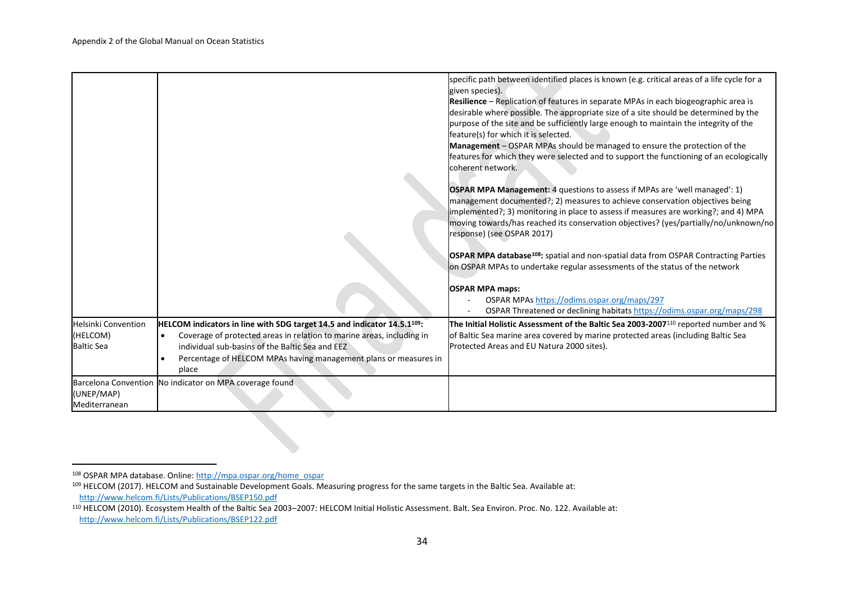| <b>Helsinki Convention</b><br>(HELCOM)<br><b>Baltic Sea</b> | HELCOM indicators in line with SDG target 14.5 and indicator 14.5.1109:<br>Coverage of protected areas in relation to marine areas, including in<br>individual sub-basins of the Baltic Sea and EEZ<br>Percentage of HELCOM MPAs having management plans or measures in<br>place | specific path between identified places is known (e.g. critical areas of a life cycle for a<br>given species).<br>Resilience - Replication of features in separate MPAs in each biogeographic area is<br>desirable where possible. The appropriate size of a site should be determined by the<br>purpose of the site and be sufficiently large enough to maintain the integrity of the<br>feature(s) for which it is selected.<br><b>Management</b> – OSPAR MPAs should be managed to ensure the protection of the<br>features for which they were selected and to support the functioning of an ecologically<br>coherent network.<br><b>OSPAR MPA Management:</b> 4 questions to assess if MPAs are 'well managed': 1)<br>management documented?; 2) measures to achieve conservation objectives being<br>implemented?; 3) monitoring in place to assess if measures are working?; and 4) MPA<br>moving towards/has reached its conservation objectives? (yes/partially/no/unknown/no<br>response) (see OSPAR 2017)<br>OSPAR MPA database <sup>108</sup> : spatial and non-spatial data from OSPAR Contracting Parties<br>on OSPAR MPAs to undertake regular assessments of the status of the network<br><b>OSPAR MPA maps:</b><br>OSPAR MPAs https://odims.ospar.org/maps/297<br>OSPAR Threatened or declining habitats https://odims.ospar.org/maps/298<br>The Initial Holistic Assessment of the Baltic Sea 2003-2007 <sup>110</sup> reported number and %<br>of Baltic Sea marine area covered by marine protected areas (including Baltic Sea<br>Protected Areas and EU Natura 2000 sites). |
|-------------------------------------------------------------|----------------------------------------------------------------------------------------------------------------------------------------------------------------------------------------------------------------------------------------------------------------------------------|---------------------------------------------------------------------------------------------------------------------------------------------------------------------------------------------------------------------------------------------------------------------------------------------------------------------------------------------------------------------------------------------------------------------------------------------------------------------------------------------------------------------------------------------------------------------------------------------------------------------------------------------------------------------------------------------------------------------------------------------------------------------------------------------------------------------------------------------------------------------------------------------------------------------------------------------------------------------------------------------------------------------------------------------------------------------------------------------------------------------------------------------------------------------------------------------------------------------------------------------------------------------------------------------------------------------------------------------------------------------------------------------------------------------------------------------------------------------------------------------------------------------------------------------------------------------------------------------------|
|                                                             |                                                                                                                                                                                                                                                                                  |                                                                                                                                                                                                                                                                                                                                                                                                                                                                                                                                                                                                                                                                                                                                                                                                                                                                                                                                                                                                                                                                                                                                                                                                                                                                                                                                                                                                                                                                                                                                                                                                   |
| (UNEP/MAP)<br>Mediterranean                                 | Barcelona Convention No indicator on MPA coverage found                                                                                                                                                                                                                          |                                                                                                                                                                                                                                                                                                                                                                                                                                                                                                                                                                                                                                                                                                                                                                                                                                                                                                                                                                                                                                                                                                                                                                                                                                                                                                                                                                                                                                                                                                                                                                                                   |

<sup>108</sup> OSPAR MPA database. Online: [http://mpa.ospar.org/home\\_ospar](http://mpa.ospar.org/home_ospar)

<sup>109</sup> HELCOM (2017). HELCOM and Sustainable Development Goals. Measuring progress for the same targets in the Baltic Sea. Available at:

<http://www.helcom.fi/Lists/Publications/BSEP150.pdf>

<sup>110</sup> HELCOM (2010). Ecosystem Health of the Baltic Sea 2003–2007: HELCOM Initial Holistic Assessment. Balt. Sea Environ. Proc. No. 122. Available at: <http://www.helcom.fi/Lists/Publications/BSEP122.pdf>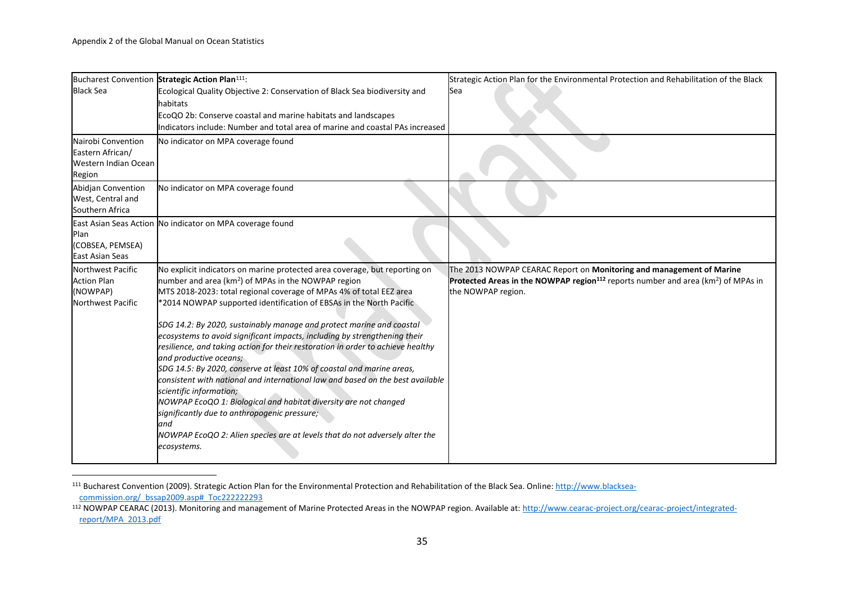| <b>Black Sea</b>                                                                | Bucharest Convention Strategic Action Plan <sup>111</sup> :<br>Ecological Quality Objective 2: Conservation of Black Sea biodiversity and<br>habitats<br>EcoQO 2b: Conserve coastal and marine habitats and landscapes<br>Indicators include: Number and total area of marine and coastal PAs increased                                                                                                                                                                                                                                                                                                                                                                                                                                                                                                                                                                                                                                                                      | Strategic Action Plan for the Environmental Protection and Rehabilitation of the Black<br>Sea                                                                                                           |
|---------------------------------------------------------------------------------|------------------------------------------------------------------------------------------------------------------------------------------------------------------------------------------------------------------------------------------------------------------------------------------------------------------------------------------------------------------------------------------------------------------------------------------------------------------------------------------------------------------------------------------------------------------------------------------------------------------------------------------------------------------------------------------------------------------------------------------------------------------------------------------------------------------------------------------------------------------------------------------------------------------------------------------------------------------------------|---------------------------------------------------------------------------------------------------------------------------------------------------------------------------------------------------------|
| Nairobi Convention<br>Eastern African/<br>Western Indian Ocean<br>Region        | No indicator on MPA coverage found                                                                                                                                                                                                                                                                                                                                                                                                                                                                                                                                                                                                                                                                                                                                                                                                                                                                                                                                           |                                                                                                                                                                                                         |
| Abidjan Convention<br>West, Central and<br>Southern Africa                      | No indicator on MPA coverage found                                                                                                                                                                                                                                                                                                                                                                                                                                                                                                                                                                                                                                                                                                                                                                                                                                                                                                                                           |                                                                                                                                                                                                         |
| Plan<br>(COBSEA, PEMSEA)<br><b>East Asian Seas</b>                              | East Asian Seas Action No indicator on MPA coverage found                                                                                                                                                                                                                                                                                                                                                                                                                                                                                                                                                                                                                                                                                                                                                                                                                                                                                                                    |                                                                                                                                                                                                         |
| Northwest Pacific<br><b>Action Plan</b><br>(NOWPAP)<br><b>Northwest Pacific</b> | No explicit indicators on marine protected area coverage, but reporting on<br>number and area (km <sup>2</sup> ) of MPAs in the NOWPAP region<br>MTS 2018-2023: total regional coverage of MPAs 4% of total EEZ area<br>*2014 NOWPAP supported identification of EBSAs in the North Pacific<br>SDG 14.2: By 2020, sustainably manage and protect marine and coastal<br>ecosystems to avoid significant impacts, including by strengthening their<br>resilience, and taking action for their restoration in order to achieve healthy<br>and productive oceans;<br>SDG 14.5: By 2020, conserve at least 10% of coastal and marine areas,<br>consistent with national and international law and based on the best available<br>scientific information;<br>NOWPAP EcoQO 1: Biological and habitat diversity are not changed<br>significantly due to anthropogenic pressure;<br>and<br>NOWPAP EcoQO 2: Alien species are at levels that do not adversely alter the<br>ecosystems. | The 2013 NOWPAP CEARAC Report on Monitoring and management of Marine<br>Protected Areas in the NOWPAP region <sup>112</sup> reports number and area (km <sup>2</sup> ) of MPAs in<br>the NOWPAP region. |

<sup>&</sup>lt;sup>111</sup> Bucharest Convention (2009). Strategic Action Plan for the Environmental Protection and Rehabilitation of the Black Sea. Online[: http://www.blacksea-](http://www.blacksea-commission.org/_bssap2009.asp#_Toc222222293)

[commission.org/\\_bssap2009.asp#\\_Toc222222293](http://www.blacksea-commission.org/_bssap2009.asp#_Toc222222293)

<sup>112</sup> NOWPAP CEARAC (2013). Monitoring and management of Marine Protected Areas in the NOWPAP region. Available at[: http://www.cearac-project.org/cearac-project/integrated](http://www.cearac-project.org/cearac-project/integrated-report/MPA_2013.pdf)[report/MPA\\_2013.pdf](http://www.cearac-project.org/cearac-project/integrated-report/MPA_2013.pdf)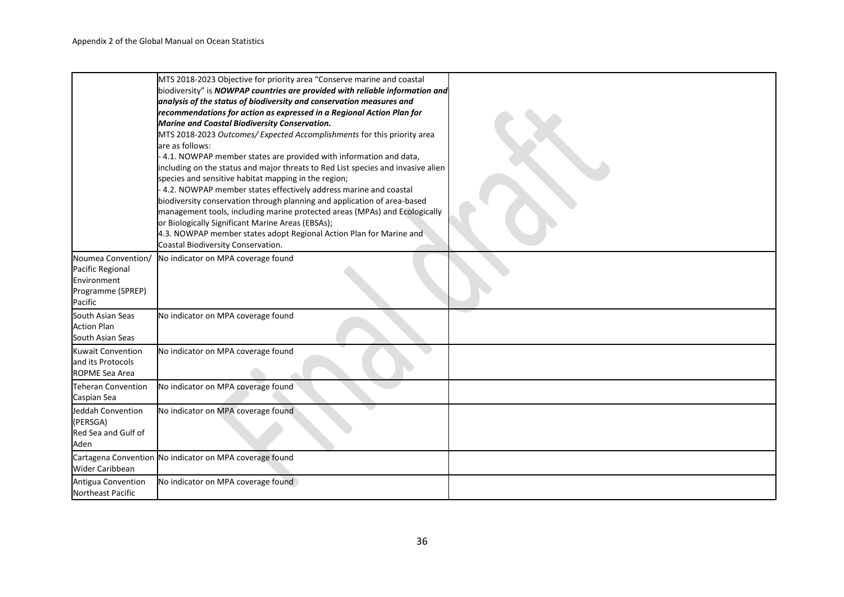|                                                                                       | MTS 2018-2023 Objective for priority area "Conserve marine and coastal<br>biodiversity" is NOWPAP countries are provided with reliable information and<br>analysis of the status of biodiversity and conservation measures and<br>recommendations for action as expressed in a Regional Action Plan for<br>Marine and Coastal Biodiversity Conservation.<br>MTS 2018-2023 Outcomes/ Expected Accomplishments for this priority area<br>are as follows:<br>4.1. NOWPAP member states are provided with information and data,<br>including on the status and major threats to Red List species and invasive alien<br>species and sensitive habitat mapping in the region;<br>4.2. NOWPAP member states effectively address marine and coastal<br>biodiversity conservation through planning and application of area-based<br>management tools, including marine protected areas (MPAs) and Ecologically<br>or Biologically Significant Marine Areas (EBSAs);<br>4.3. NOWPAP member states adopt Regional Action Plan for Marine and<br>Coastal Biodiversity Conservation. |  |
|---------------------------------------------------------------------------------------|-------------------------------------------------------------------------------------------------------------------------------------------------------------------------------------------------------------------------------------------------------------------------------------------------------------------------------------------------------------------------------------------------------------------------------------------------------------------------------------------------------------------------------------------------------------------------------------------------------------------------------------------------------------------------------------------------------------------------------------------------------------------------------------------------------------------------------------------------------------------------------------------------------------------------------------------------------------------------------------------------------------------------------------------------------------------------|--|
| Noumea Convention/<br>Pacific Regional<br>Environment<br>Programme (SPREP)<br>Pacific | No indicator on MPA coverage found                                                                                                                                                                                                                                                                                                                                                                                                                                                                                                                                                                                                                                                                                                                                                                                                                                                                                                                                                                                                                                      |  |
| South Asian Seas<br><b>Action Plan</b><br>South Asian Seas                            | No indicator on MPA coverage found                                                                                                                                                                                                                                                                                                                                                                                                                                                                                                                                                                                                                                                                                                                                                                                                                                                                                                                                                                                                                                      |  |
| <b>Kuwait Convention</b><br>and its Protocols<br><b>ROPME Sea Area</b>                | No indicator on MPA coverage found                                                                                                                                                                                                                                                                                                                                                                                                                                                                                                                                                                                                                                                                                                                                                                                                                                                                                                                                                                                                                                      |  |
| <b>Teheran Convention</b><br>Caspian Sea                                              | No indicator on MPA coverage found                                                                                                                                                                                                                                                                                                                                                                                                                                                                                                                                                                                                                                                                                                                                                                                                                                                                                                                                                                                                                                      |  |
| Jeddah Convention<br>(PERSGA)<br>Red Sea and Gulf of<br>Aden                          | No indicator on MPA coverage found                                                                                                                                                                                                                                                                                                                                                                                                                                                                                                                                                                                                                                                                                                                                                                                                                                                                                                                                                                                                                                      |  |
| <b>Wider Caribbean</b>                                                                | Cartagena Convention No indicator on MPA coverage found                                                                                                                                                                                                                                                                                                                                                                                                                                                                                                                                                                                                                                                                                                                                                                                                                                                                                                                                                                                                                 |  |
| Antigua Convention<br><b>Northeast Pacific</b>                                        | No indicator on MPA coverage found                                                                                                                                                                                                                                                                                                                                                                                                                                                                                                                                                                                                                                                                                                                                                                                                                                                                                                                                                                                                                                      |  |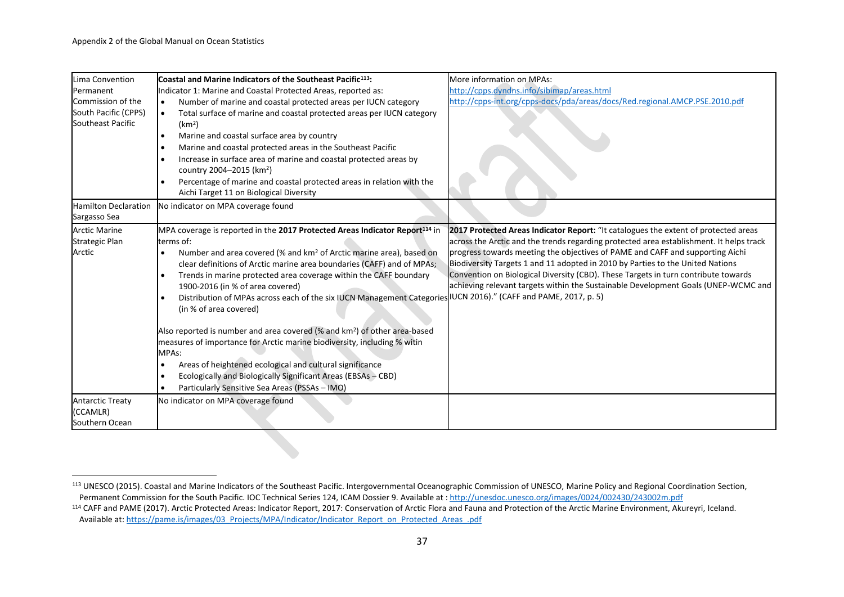| Lima Convention                             | Coastal and Marine Indicators of the Southeast Pacific <sup>113</sup> :                                                                   | More information on MPAs:                                                               |
|---------------------------------------------|-------------------------------------------------------------------------------------------------------------------------------------------|-----------------------------------------------------------------------------------------|
| Permanent                                   | Indicator 1: Marine and Coastal Protected Areas, reported as:                                                                             | http://cpps.dyndns.info/sibimap/areas.html                                              |
| Commission of the                           | Number of marine and coastal protected areas per IUCN category<br>$\bullet$                                                               | http://cpps-int.org/cpps-docs/pda/areas/docs/Red.regional.AMCP.PSE.2010.pdf             |
| South Pacific (CPPS)                        | Total surface of marine and coastal protected areas per IUCN category                                                                     |                                                                                         |
| Southeast Pacific                           | (km <sup>2</sup> )                                                                                                                        |                                                                                         |
|                                             | Marine and coastal surface area by country<br>$\bullet$                                                                                   |                                                                                         |
|                                             | Marine and coastal protected areas in the Southeast Pacific                                                                               |                                                                                         |
|                                             | Increase in surface area of marine and coastal protected areas by<br>country 2004-2015 (km <sup>2</sup> )                                 |                                                                                         |
|                                             | Percentage of marine and coastal protected areas in relation with the                                                                     |                                                                                         |
|                                             | Aichi Target 11 on Biological Diversity                                                                                                   |                                                                                         |
| <b>Hamilton Declaration</b><br>Sargasso Sea | No indicator on MPA coverage found                                                                                                        |                                                                                         |
| <b>Arctic Marine</b>                        | MPA coverage is reported in the 2017 Protected Areas Indicator Report <sup>114</sup> in                                                   | 2017 Protected Areas Indicator Report: "It catalogues the extent of protected areas     |
| <b>Strategic Plan</b>                       | terms of:                                                                                                                                 | across the Arctic and the trends regarding protected area establishment. It helps track |
| Arctic                                      | Number and area covered (% and km <sup>2</sup> of Arctic marine area), based on                                                           | progress towards meeting the objectives of PAME and CAFF and supporting Aichi           |
|                                             | clear definitions of Arctic marine area boundaries (CAFF) and of MPAs;                                                                    | Biodiversity Targets 1 and 11 adopted in 2010 by Parties to the United Nations          |
|                                             | Trends in marine protected area coverage within the CAFF boundary                                                                         | Convention on Biological Diversity (CBD). These Targets in turn contribute towards      |
|                                             | 1900-2016 (in % of area covered)                                                                                                          | achieving relevant targets within the Sustainable Development Goals (UNEP-WCMC and      |
|                                             | Distribution of MPAs across each of the six IUCN Management Categories IUCN 2016)." (CAFF and PAME, 2017, p. 5)<br>(in % of area covered) |                                                                                         |
|                                             | Also reported is number and area covered (% and km <sup>2</sup> ) of other area-based                                                     |                                                                                         |
|                                             | measures of importance for Arctic marine biodiversity, including % witin                                                                  |                                                                                         |
|                                             | MPAs:                                                                                                                                     |                                                                                         |
|                                             | Areas of heightened ecological and cultural significance<br>٠                                                                             |                                                                                         |
|                                             | Ecologically and Biologically Significant Areas (EBSAs - CBD)                                                                             |                                                                                         |
|                                             | Particularly Sensitive Sea Areas (PSSAs - IMO)                                                                                            |                                                                                         |
| <b>Antarctic Treaty</b>                     | No indicator on MPA coverage found                                                                                                        |                                                                                         |
| (CCAMLR)                                    |                                                                                                                                           |                                                                                         |
| Southern Ocean                              |                                                                                                                                           |                                                                                         |

<sup>113</sup> UNESCO (2015). Coastal and Marine Indicators of the Southeast Pacific. Intergovernmental Oceanographic Commission of UNESCO, Marine Policy and Regional Coordination Section, Permanent Commission for the South Pacific. IOC Technical Series 124, ICAM Dossier 9. Available at :<http://unesdoc.unesco.org/images/0024/002430/243002m.pdf>

<sup>114</sup> CAFF and PAME (2017). Arctic Protected Areas: Indicator Report, 2017: Conservation of Arctic Flora and Fauna and Protection of the Arctic Marine Environment, Akureyri, Iceland. Available at[: https://pame.is/images/03\\_Projects/MPA/Indicator/Indicator\\_Report\\_on\\_Protected\\_Areas\\_.pdf](https://pame.is/images/03_Projects/MPA/Indicator/Indicator_Report_on_Protected_Areas_.pdf)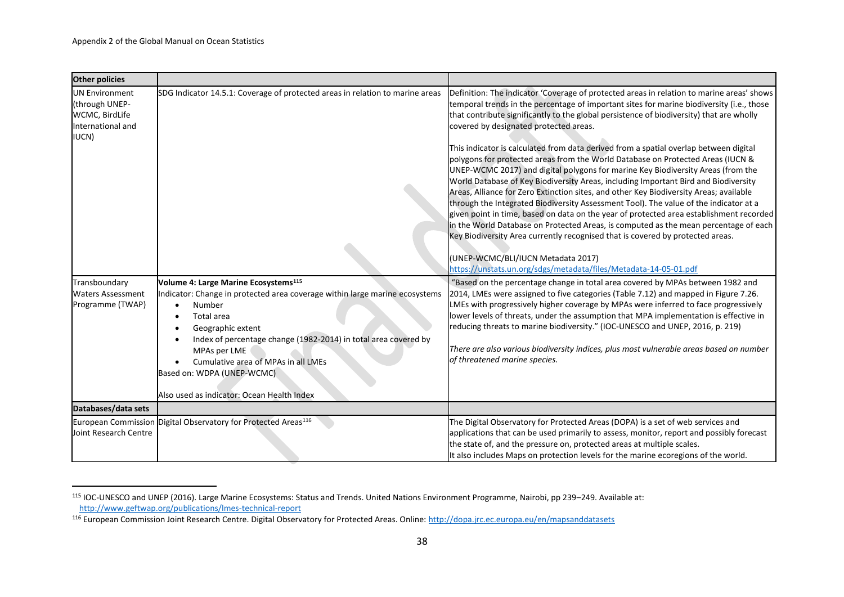| <b>Other policies</b>                                                                   |                                                                                                                                                                                                                                                                                                                                                                                                      |                                                                                                                                                                                                                                                                                                                                                                                                                                                                                                                                                                                                                                                                                                                                                                                                                                                                                                                                                                                                                                                                                                                                                                                                                                                       |
|-----------------------------------------------------------------------------------------|------------------------------------------------------------------------------------------------------------------------------------------------------------------------------------------------------------------------------------------------------------------------------------------------------------------------------------------------------------------------------------------------------|-------------------------------------------------------------------------------------------------------------------------------------------------------------------------------------------------------------------------------------------------------------------------------------------------------------------------------------------------------------------------------------------------------------------------------------------------------------------------------------------------------------------------------------------------------------------------------------------------------------------------------------------------------------------------------------------------------------------------------------------------------------------------------------------------------------------------------------------------------------------------------------------------------------------------------------------------------------------------------------------------------------------------------------------------------------------------------------------------------------------------------------------------------------------------------------------------------------------------------------------------------|
| <b>UN Environment</b><br>(through UNEP-<br>WCMC, BirdLife<br>International and<br>IUCN) | SDG Indicator 14.5.1: Coverage of protected areas in relation to marine areas                                                                                                                                                                                                                                                                                                                        | Definition: The indicator 'Coverage of protected areas in relation to marine areas' shows<br>temporal trends in the percentage of important sites for marine biodiversity (i.e., those<br>that contribute significantly to the global persistence of biodiversity) that are wholly<br>covered by designated protected areas.<br>This indicator is calculated from data derived from a spatial overlap between digital<br>polygons for protected areas from the World Database on Protected Areas (IUCN &<br>UNEP-WCMC 2017) and digital polygons for marine Key Biodiversity Areas (from the<br>World Database of Key Biodiversity Areas, including Important Bird and Biodiversity<br>Areas, Alliance for Zero Extinction sites, and other Key Biodiversity Areas; available<br>through the Integrated Biodiversity Assessment Tool). The value of the indicator at a<br>given point in time, based on data on the year of protected area establishment recorded<br>in the World Database on Protected Areas, is computed as the mean percentage of each<br>Key Biodiversity Area currently recognised that is covered by protected areas.<br>(UNEP-WCMC/BLI/IUCN Metadata 2017)<br>https://unstats.un.org/sdgs/metadata/files/Metadata-14-05-01.pdf |
| Transboundary<br><b>Waters Assessment</b><br>Programme (TWAP)                           | Volume 4: Large Marine Ecosystems <sup>115</sup><br>Indicator: Change in protected area coverage within large marine ecosystems<br>Number<br>$\bullet$<br>Total area<br>٠<br>Geographic extent<br>Index of percentage change (1982-2014) in total area covered by<br>MPAs per LME<br>Cumulative area of MPAs in all LMEs<br>Based on: WDPA (UNEP-WCMC)<br>Also used as indicator: Ocean Health Index | "Based on the percentage change in total area covered by MPAs between 1982 and<br>2014, LMEs were assigned to five categories (Table 7.12) and mapped in Figure 7.26.<br>LMEs with progressively higher coverage by MPAs were inferred to face progressively<br>lower levels of threats, under the assumption that MPA implementation is effective in<br>reducing threats to marine biodiversity." (IOC-UNESCO and UNEP, 2016, p. 219)<br>There are also various biodiversity indices, plus most vulnerable areas based on number<br>of threatened marine species.                                                                                                                                                                                                                                                                                                                                                                                                                                                                                                                                                                                                                                                                                    |
| Databases/data sets                                                                     |                                                                                                                                                                                                                                                                                                                                                                                                      |                                                                                                                                                                                                                                                                                                                                                                                                                                                                                                                                                                                                                                                                                                                                                                                                                                                                                                                                                                                                                                                                                                                                                                                                                                                       |
| <b>Joint Research Centre</b>                                                            | European Commission Digital Observatory for Protected Areas <sup>116</sup>                                                                                                                                                                                                                                                                                                                           | The Digital Observatory for Protected Areas (DOPA) is a set of web services and<br>applications that can be used primarily to assess, monitor, report and possibly forecast<br>the state of, and the pressure on, protected areas at multiple scales.<br>It also includes Maps on protection levels for the marine ecoregions of the world.                                                                                                                                                                                                                                                                                                                                                                                                                                                                                                                                                                                                                                                                                                                                                                                                                                                                                                           |

<sup>115</sup> IOC-UNESCO and UNEP (2016). Large Marine Ecosystems: Status and Trends. United Nations Environment Programme, Nairobi, pp 239–249. Available at: <http://www.geftwap.org/publications/lmes-technical-report>

<sup>116</sup> European Commission Joint Research Centre. Digital Observatory for Protected Areas. Online[: http://dopa.jrc.ec.europa.eu/en/mapsanddatasets](http://dopa.jrc.ec.europa.eu/en/mapsanddatasets)